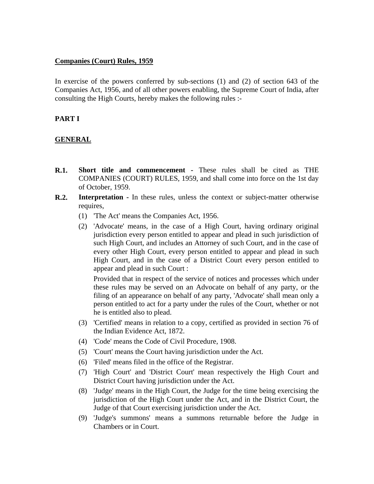## **Companies (Court) Rules, 1959**

In exercise of the powers conferred by sub-sections (1) and (2) of section 643 of the Companies Act, 1956, and of all other powers enabling, the Supreme Court of India, after consulting the High Courts, hereby makes the following rules :-

# **PART I**

# **GENERAL**

- **R.1. Short title and commencement -** These rules shall be cited as THE COMPANIES (COURT) RULES, 1959, and shall come into force on the 1st day of October, 1959.
- **R.2. Interpretation -** In these rules, unless the context or subject-matter otherwise requires,
	- (1) 'The Act' means the Companies Act, 1956.
	- (2) 'Advocate' means, in the case of a High Court, having ordinary original jurisdiction every person entitled to appear and plead in such jurisdiction of such High Court, and includes an Attorney of such Court, and in the case of every other High Court, every person entitled to appear and plead in such High Court, and in the case of a District Court every person entitled to appear and plead in such Court :

Provided that in respect of the service of notices and processes which under these rules may be served on an Advocate on behalf of any party, or the filing of an appearance on behalf of any party, 'Advocate' shall mean only a person entitled to act for a party under the rules of the Court, whether or not he is entitled also to plead.

- (3) 'Certified' means in relation to a copy, certified as provided in section 76 of the Indian Evidence Act, 1872.
- (4) 'Code' means the Code of Civil Procedure, 1908.
- (5) 'Court' means the Court having jurisdiction under the Act.
- (6) 'Filed' means filed in the office of the Registrar.
- (7) 'High Court' and 'District Court' mean respectively the High Court and District Court having jurisdiction under the Act.
- (8) 'Judge' means in the High Court, the Judge for the time being exercising the jurisdiction of the High Court under the Act, and in the District Court, the Judge of that Court exercising jurisdiction under the Act.
- (9) 'Judge's summons' means a summons returnable before the Judge in Chambers or in Court.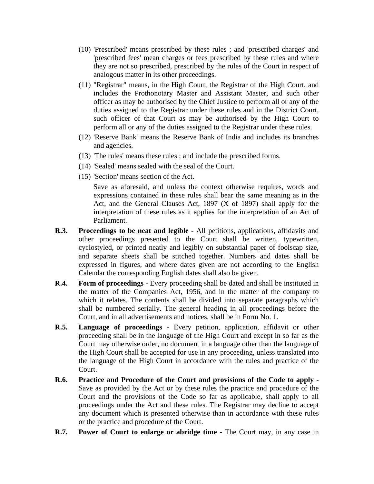- (10) 'Prescribed' means prescribed by these rules ; and 'prescribed charges' and 'prescribed fees' mean charges or fees prescribed by these rules and where they are not so prescribed, prescribed by the rules of the Court in respect of analogous matter in its other proceedings.
- (11) "Registrar" means, in the High Court, the Registrar of the High Court, and includes the Prothonotary Master and Assistant Master, and such other officer as may be authorised by the Chief Justice to perform all or any of the duties assigned to the Registrar under these rules and in the District Court, such officer of that Court as may be authorised by the High Court to perform all or any of the duties assigned to the Registrar under these rules.
- (12) 'Reserve Bank' means the Reserve Bank of India and includes its branches and agencies.
- (13) 'The rules' means these rules ; and include the prescribed forms.
- (14) 'Sealed' means sealed with the seal of the Court.
- (15) 'Section' means section of the Act.

Save as aforesaid, and unless the context otherwise requires, words and expressions contained in these rules shall bear the same meaning as in the Act, and the General Clauses Act, 1897 (X of 1897) shall apply for the interpretation of these rules as it applies for the interpretation of an Act of Parliament.

- **R.3. Proceedings to be neat and legible -** All petitions, applications, affidavits and other proceedings presented to the Court shall be written, typewritten, cyclostyled, or printed neatly and legibly on substantial paper of foolscap size, and separate sheets shall be stitched together. Numbers and dates shall be expressed in figures, and where dates given are not according to the English Calendar the corresponding English dates shall also be given.
- **R.4. Form of proceedings -** Every proceeding shall be dated and shall be instituted in the matter of the Companies Act, 1956, and in the matter of the company to which it relates. The contents shall be divided into separate paragraphs which shall be numbered serially. The general heading in all proceedings before the Court, and in all advertisements and notices, shall be in Form No. 1.
- **R.5. Language of proceedings -** Every petition, application, affidavit or other proceeding shall be in the language of the High Court and except in so far as the Court may otherwise order, no document in a language other than the language of the High Court shall be accepted for use in any proceeding, unless translated into the language of the High Court in accordance with the rules and practice of the Court.
- **R.6. Practice and Procedure of the Court and provisions of the Code to apply -** Save as provided by the Act or by these rules the practice and procedure of the Court and the provisions of the Code so far as applicable, shall apply to all proceedings under the Act and these rules. The Registrar may decline to accept any document which is presented otherwise than in accordance with these rules or the practice and procedure of the Court.
- **R.7. Power of Court to enlarge or abridge time -** The Court may, in any case in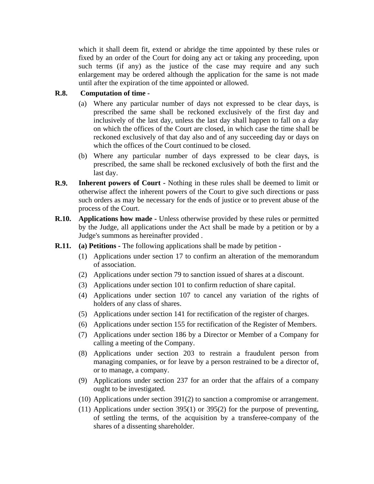which it shall deem fit, extend or abridge the time appointed by these rules or fixed by an order of the Court for doing any act or taking any proceeding, upon such terms (if any) as the justice of the case may require and any such enlargement may be ordered although the application for the same is not made until after the expiration of the time appointed or allowed.

#### **R.8. Computation of time -**

- (a) Where any particular number of days not expressed to be clear days, is prescribed the same shall be reckoned exclusively of the first day and inclusively of the last day, unless the last day shall happen to fall on a day on which the offices of the Court are closed, in which case the time shall be reckoned exclusively of that day also and of any succeeding day or days on which the offices of the Court continued to be closed.
- (b) Where any particular number of days expressed to be clear days, is prescribed, the same shall be reckoned exclusively of both the first and the last day.
- **R.9. Inherent powers of Court -** Nothing in these rules shall be deemed to limit or otherwise affect the inherent powers of the Court to give such directions or pass such orders as may be necessary for the ends of justice or to prevent abuse of the process of the Court.
- **R.10. Applications how made -** Unless otherwise provided by these rules or permitted by the Judge, all applications under the Act shall be made by a petition or by a Judge's summons as hereinafter provided .
- **R.11. (a) Petitions** The following applications shall be made by petition
	- (1) Applications under section 17 to confirm an alteration of the memorandum of association.
	- (2) Applications under section 79 to sanction issued of shares at a discount.
	- (3) Applications under section 101 to confirm reduction of share capital.
	- (4) Applications under section 107 to cancel any variation of the rights of holders of any class of shares.
	- (5) Applications under section 141 for rectification of the register of charges.
	- (6) Applications under section 155 for rectification of the Register of Members.
	- (7) Applications under section 186 by a Director or Member of a Company for calling a meeting of the Company.
	- (8) Applications under section 203 to restrain a fraudulent person from managing companies, or for leave by a person restrained to be a director of, or to manage, a company.
	- (9) Applications under section 237 for an order that the affairs of a company ought to be investigated.
	- (10) Applications under section 391(2) to sanction a compromise or arrangement.
	- (11) Applications under section 395(1) or 395(2) for the purpose of preventing, of settling the terms, of the acquisition by a transferee-company of the shares of a dissenting shareholder.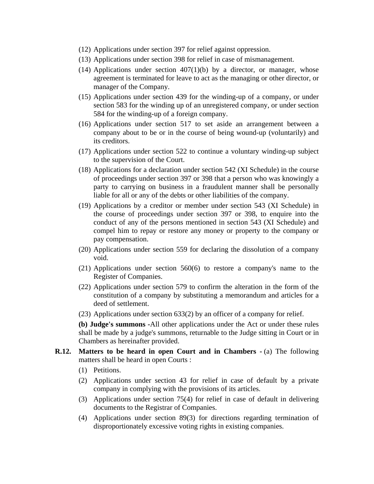- (12) Applications under section 397 for relief against oppression.
- (13) Applications under section 398 for relief in case of mismanagement.
- (14) Applications under section  $407(1)(b)$  by a director, or manager, whose agreement is terminated for leave to act as the managing or other director, or manager of the Company.
- (15) Applications under section 439 for the winding-up of a company, or under section 583 for the winding up of an unregistered company, or under section 584 for the winding-up of a foreign company.
- (16) Applications under section 517 to set aside an arrangement between a company about to be or in the course of being wound-up (voluntarily) and its creditors.
- (17) Applications under section 522 to continue a voluntary winding-up subject to the supervision of the Court.
- (18) Applications for a declaration under section 542 (XI Schedule) in the course of proceedings under section 397 or 398 that a person who was knowingly a party to carrying on business in a fraudulent manner shall be personally liable for all or any of the debts or other liabilities of the company.
- (19) Applications by a creditor or member under section 543 (XI Schedule) in the course of proceedings under section 397 or 398, to enquire into the conduct of any of the persons mentioned in section 543 (XI Schedule) and compel him to repay or restore any money or property to the company or pay compensation.
- (20) Applications under section 559 for declaring the dissolution of a company void.
- (21) Applications under section 560(6) to restore a company's name to the Register of Companies.
- (22) Applications under section 579 to confirm the alteration in the form of the constitution of a company by substituting a memorandum and articles for a deed of settlement.
- (23) Applications under section 633(2) by an officer of a company for relief.

**(b) Judge's summons -**All other applications under the Act or under these rules shall be made by a judge's summons, returnable to the Judge sitting in Court or in Chambers as hereinafter provided.

- **R.12. Matters to be heard in open Court and in Chambers (a)** The following matters shall be heard in open Courts :
	- (1) Petitions.
	- (2) Applications under section 43 for relief in case of default by a private company in complying with the provisions of its articles.
	- (3) Applications under section 75(4) for relief in case of default in delivering documents to the Registrar of Companies.
	- (4) Applications under section 89(3) for directions regarding termination of disproportionately excessive voting rights in existing companies.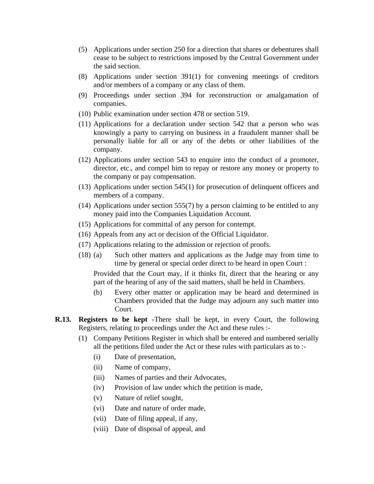- (5) Applications under section 250 for a direction that shares or debentures shall cease to be subject to restrictions imposed by the Central Government under the said section.
- (8) Applications under section 391(1) for convening meetings of creditors and/or members of a company or any class of them.
- (9) Proceedings under section 394 for reconstruction or amalgamation of companies.
- (10) Public examination under section 478 or section 519.
- (11) Applications for a declaration under section 542 that a person who was knowingly a party to carrying on business in a fraudulent manner shall be personally liable for all or any of the debts or other liabilities of the company.
- (12) Applications under section 543 to enquire into the conduct of a promoter, director, etc., and compel him to repay or restore any money or property to the company or pay compensation.
- (13) Applications under section 545(1) for prosecution of delinquent officers and members of a company.
- (14) Applications under section 555(7) by a person claiming to be entitled to any money paid into the Companies Liquidation Account.
- (15) Applications for committal of any person for contempt.
- (16) Appeals from any act or decision of the Official Liquidator.
- (17) Applications relating to the admission or rejection of proofs.
- (18) (a) Such other matters and applications as the Judge may from time to time by general or special order direct to be heard in open Court :

Provided that the Court may, if it thinks fit, direct that the hearing or any part of the hearing of any of the said matters, shall be held in Chambers.

- (b) Every other matter or application may be heard and determined in Chambers provided that the Judge may adjourn any such matter into Court.
- **R.13. Registers to be kept -**There shall be kept, in every Court, the following Registers, relating to proceedings under the Act and these rules :-
	- (1) Company Petitions Register in which shall be entered and numbered serially all the petitions filed under the Act or these rules with particulars as to :-
		- (i) Date of presentation,
		- (ii) Name of company,
		- (iii) Names of parties and their Advocates,
		- (iv) Provision of law under which the petition is made,
		- (v) Nature of relief sought,
		- (vi) Date and nature of order made,
		- (vii) Date of filing appeal, if any,
		- (viii) Date of disposal of appeal, and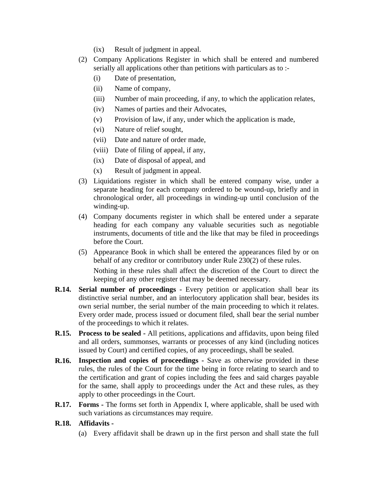- (ix) Result of judgment in appeal.
- (2) Company Applications Register in which shall be entered and numbered serially all applications other than petitions with particulars as to :-
	- (i) Date of presentation,
	- (ii) Name of company,
	- (iii) Number of main proceeding, if any, to which the application relates,
	- (iv) Names of parties and their Advocates,
	- (v) Provision of law, if any, under which the application is made,
	- (vi) Nature of relief sought,
	- (vii) Date and nature of order made,
	- (viii) Date of filing of appeal, if any,
	- (ix) Date of disposal of appeal, and
	- (x) Result of judgment in appeal.
- (3) Liquidations register in which shall be entered company wise, under a separate heading for each company ordered to be wound-up, briefly and in chronological order, all proceedings in winding-up until conclusion of the winding-up.
- (4) Company documents register in which shall be entered under a separate heading for each company any valuable securities such as negotiable instruments, documents of title and the like that may be filed in proceedings before the Court.
- (5) Appearance Book in which shall be entered the appearances filed by or on behalf of any creditor or contributory under Rule 230(2) of these rules. Nothing in these rules shall affect the discretion of the Court to direct the keeping of any other register that may be deemed necessary.
- **R.14. Serial number of proceedings -** Every petition or application shall bear its distinctive serial number, and an interlocutory application shall bear, besides its own serial number, the serial number of the main proceeding to which it relates. Every order made, process issued or document filed, shall bear the serial number of the proceedings to which it relates.
- **R.15. Process to be sealed -** All petitions, applications and affidavits, upon being filed and all orders, summonses, warrants or processes of any kind (including notices issued by Court) and certified copies, of any proceedings, shall be sealed.
- **R.16. Inspection and copies of proceedings -** Save as otherwise provided in these rules, the rules of the Court for the time being in force relating to search and to the certification and grant of copies including the fees and said charges payable for the same, shall apply to proceedings under the Act and these rules, as they apply to other proceedings in the Court.
- **R.17. Forms -** The forms set forth in Appendix I, where applicable, shall be used with such variations as circumstances may require.

## **R.18. Affidavits -**

(a) Every affidavit shall be drawn up in the first person and shall state the full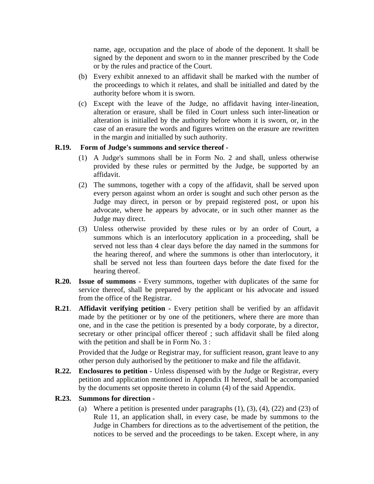name, age, occupation and the place of abode of the deponent. It shall be signed by the deponent and sworn to in the manner prescribed by the Code or by the rules and practice of the Court.

- (b) Every exhibit annexed to an affidavit shall be marked with the number of the proceedings to which it relates, and shall be initialled and dated by the authority before whom it is sworn.
- (c) Except with the leave of the Judge, no affidavit having inter-lineation, alteration or erasure, shall be filed in Court unless such inter-lineation or alteration is initialled by the authority before whom it is sworn, or, in the case of an erasure the words and figures written on the erasure are rewritten in the margin and initialled by such authority.

### **R.19. Form of Judge's summons and service thereof -**

- (1) A Judge's summons shall be in Form No. 2 and shall, unless otherwise provided by these rules or permitted by the Judge, be supported by an affidavit.
- (2) The summons, together with a copy of the affidavit, shall be served upon every person against whom an order is sought and such other person as the Judge may direct, in person or by prepaid registered post, or upon his advocate, where he appears by advocate, or in such other manner as the Judge may direct.
- (3) Unless otherwise provided by these rules or by an order of Court, a summons which is an interlocutory application in a proceeding, shall be served not less than 4 clear days before the day named in the summons for the hearing thereof, and where the summons is other than interlocutory, it shall be served not less than fourteen days before the date fixed for the hearing thereof.
- **R.20. Issue of summons -** Every summons, together with duplicates of the same for service thereof, shall be prepared by the applicant or his advocate and issued from the office of the Registrar.
- **R.21**. **Affidavit verifying petition -** Every petition shall be verified by an affidavit made by the petitioner or by one of the petitioners, where there are more than one, and in the case the petition is presented by a body corporate, by a director, secretary or other principal officer thereof ; such affidavit shall be filed along with the petition and shall be in Form No. 3 :

Provided that the Judge or Registrar may, for sufficient reason, grant leave to any other person duly authorised by the petitioner to make and file the affidavit.

**R.22. Enclosures to petition -** Unless dispensed with by the Judge or Registrar, every petition and application mentioned in Appendix II hereof, shall be accompanied by the documents set opposite thereto in column (4) of the said Appendix.

#### **R.23. Summons for direction -**

(a) Where a petition is presented under paragraphs  $(1)$ ,  $(3)$ ,  $(4)$ ,  $(22)$  and  $(23)$  of Rule 11, an application shall, in every case, be made by summons to the Judge in Chambers for directions as to the advertisement of the petition, the notices to be served and the proceedings to be taken. Except where, in any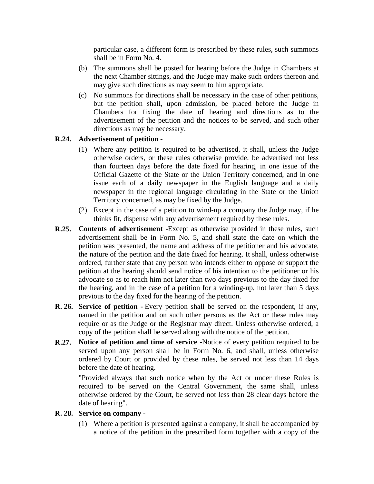particular case, a different form is prescribed by these rules, such summons shall be in Form No. 4.

- (b) The summons shall be posted for hearing before the Judge in Chambers at the next Chamber sittings, and the Judge may make such orders thereon and may give such directions as may seem to him appropriate.
- (c) No summons for directions shall be necessary in the case of other petitions, but the petition shall, upon admission, be placed before the Judge in Chambers for fixing the date of hearing and directions as to the advertisement of the petition and the notices to be served, and such other directions as may be necessary.

#### **R.24. Advertisement of petition -**

- (1) Where any petition is required to be advertised, it shall, unless the Judge otherwise orders, or these rules otherwise provide, be advertised not less than fourteen days before the date fixed for hearing, in one issue of the Official Gazette of the State or the Union Territory concerned, and in one issue each of a daily newspaper in the English language and a daily newspaper in the regional language circulating in the State or the Union Territory concerned, as may be fixed by the Judge.
- (2) Except in the case of a petition to wind-up a company the Judge may, if he thinks fit, dispense with any advertisement required by these rules.
- **R.25. Contents of advertisement -**Except as otherwise provided in these rules, such advertisement shall be in Form No. 5, and shall state the date on which the petition was presented, the name and address of the petitioner and his advocate, the nature of the petition and the date fixed for hearing. It shall, unless otherwise ordered, further state that any person who intends either to oppose or support the petition at the hearing should send notice of his intention to the petitioner or his advocate so as to reach him not later than two days previous to the day fixed for the hearing, and in the case of a petition for a winding-up, not later than 5 days previous to the day fixed for the hearing of the petition.
- **R. 26. Service of petition -** Every petition shall be served on the respondent, if any, named in the petition and on such other persons as the Act or these rules may require or as the Judge or the Registrar may direct. Unless otherwise ordered, a copy of the petition shall be served along with the notice of the petition.
- **R.27. Notice of petition and time of service -**Notice of every petition required to be served upon any person shall be in Form No. 6, and shall, unless otherwise ordered by Court or provided by these rules, be served not less than 14 days before the date of hearing.

"Provided always that such notice when by the Act or under these Rules is required to be served on the Central Government, the same shall, unless otherwise ordered by the Court, be served not less than 28 clear days before the date of hearing".

### **R. 28. Service on company -**

(1) Where a petition is presented against a company, it shall be accompanied by a notice of the petition in the prescribed form together with a copy of the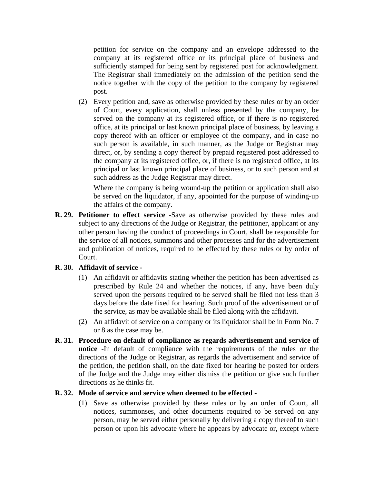petition for service on the company and an envelope addressed to the company at its registered office or its principal place of business and sufficiently stamped for being sent by registered post for acknowledgment. The Registrar shall immediately on the admission of the petition send the notice together with the copy of the petition to the company by registered post.

(2) Every petition and, save as otherwise provided by these rules or by an order of Court, every application, shall unless presented by the company, be served on the company at its registered office, or if there is no registered office, at its principal or last known principal place of business, by leaving a copy thereof with an officer or employee of the company, and in case no such person is available, in such manner, as the Judge or Registrar may direct, or, by sending a copy thereof by prepaid registered post addressed to the company at its registered office, or, if there is no registered office, at its principal or last known principal place of business, or to such person and at such address as the Judge Registrar may direct.

Where the company is being wound-up the petition or application shall also be served on the liquidator, if any, appointed for the purpose of winding-up the affairs of the company.

**R. 29. Petitioner to effect service -**Save as otherwise provided by these rules and subject to any directions of the Judge or Registrar, the petitioner, applicant or any other person having the conduct of proceedings in Court, shall be responsible for the service of all notices, summons and other processes and for the advertisement and publication of notices, required to be effected by these rules or by order of Court.

#### **R. 30. Affidavit of service -**

- (1) An affidavit or affidavits stating whether the petition has been advertised as prescribed by Rule 24 and whether the notices, if any, have been duly served upon the persons required to be served shall be filed not less than 3 days before the date fixed for hearing. Such proof of the advertisement or of the service, as may be available shall be filed along with the affidavit.
- (2) An affidavit of service on a company or its liquidator shall be in Form No. 7 or 8 as the case may be.
- **R. 31. Procedure on default of compliance as regards advertisement and service of notice -**In default of compliance with the requirements of the rules or the directions of the Judge or Registrar, as regards the advertisement and service of the petition, the petition shall, on the date fixed for hearing be posted for orders of the Judge and the Judge may either dismiss the petition or give such further directions as he thinks fit.

#### **R. 32. Mode of service and service when deemed to be effected -**

(1) Save as otherwise provided by these rules or by an order of Court, all notices, summonses, and other documents required to be served on any person, may be served either personally by delivering a copy thereof to such person or upon his advocate where he appears by advocate or, except where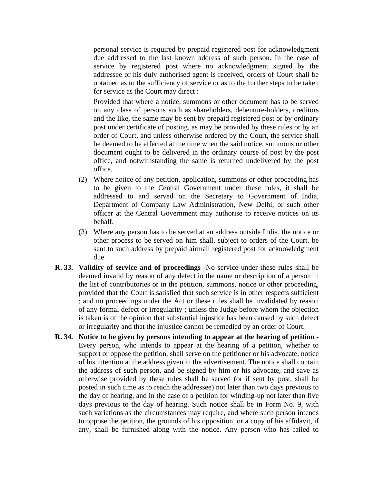personal service is required by prepaid registered post for acknowledgment due addressed to the last known address of such person. In the case of service by registered post where no acknowledgment signed by the addressee or his duly authorised agent is received, orders of Court shall be obtained as to the sufficiency of service or as to the further steps to be taken for service as the Court may direct :

Provided that where a notice, summons or other document has to be served on any class of persons such as shareholders, debenture-holders, creditors and the like, the same may be sent by prepaid registered post or by ordinary post under certificate of posting, as may be provided by these rules or by an order of Court, and unless otherwise ordered by the Court, the service shall be deemed to be effected at the time when the said notice, summons or other document ought to be delivered in the ordinary course of post by the post office, and notwithstanding the same is returned undelivered by the post office.

- (2) Where notice of any petition, application, summons or other proceeding has to be given to the Central Government under these rules, it shall be addressed to and served on the Secretary to Government of India, Department of Company Law Administration, New Delhi, or such other officer at the Central Government may authorise to receive notices on its behalf.
- (3) Where any person has to be served at an address outside India, the notice or other process to be served on him shall, subject to orders of the Court, be sent to such address by prepaid airmail registered post for acknowledgment due.
- **R. 33. Validity of service and of proceedings -**No service under these rules shall be deemed invalid by reason of any defect in the name or description of a person in the list of contributories or in the petition, summons, notice or other proceeding, provided that the Court is satisfied that such service is in other respects sufficient ; and no proceedings under the Act or these rules shall be invalidated by reason of any formal defect or irregularity ; unless the Judge before whom the objection is taken is of the opinion that substantial injustice has been caused by such defect or irregularity and that the injustice cannot be remedied by an order of Court.
- **R. 34. Notice to be given by persons intending to appear at the hearing of petition -** Every person, who intends to appear at the hearing of a petition, whether to support or oppose the petition, shall serve on the petitioner or his advocate, notice of his intention at the address given in the advertisement. The notice shall contain the address of such person, and be signed by him or his advocate, and save as otherwise provided by these rules shall be served (or if sent by post, shall be posted in such time as to reach the addressee) not later than two days previous to the day of hearing, and in the case of a petition for winding-up not later than five days previous to the day of hearing. Such notice shall be in Form No. 9, with such variations as the circumstances may require, and where such person intends to oppose the petition, the grounds of his opposition, or a copy of his affidavit, if any, shall be furnished along with the notice. Any person who has failed to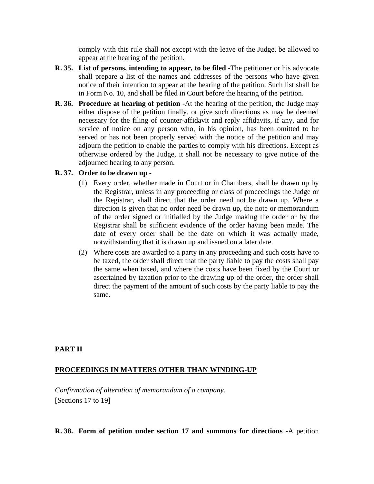comply with this rule shall not except with the leave of the Judge, be allowed to appear at the hearing of the petition.

- **R. 35. List of persons, intending to appear, to be filed -**The petitioner or his advocate shall prepare a list of the names and addresses of the persons who have given notice of their intention to appear at the hearing of the petition. Such list shall be in Form No. 10, and shall be filed in Court before the hearing of the petition.
- **R. 36. Procedure at hearing of petition -**At the hearing of the petition, the Judge may either dispose of the petition finally, or give such directions as may be deemed necessary for the filing of counter-affidavit and reply affidavits, if any, and for service of notice on any person who, in his opinion, has been omitted to be served or has not been properly served with the notice of the petition and may adjourn the petition to enable the parties to comply with his directions. Except as otherwise ordered by the Judge, it shall not be necessary to give notice of the adjourned hearing to any person.

### **R. 37. Order to be drawn up -**

- (1) Every order, whether made in Court or in Chambers, shall be drawn up by the Registrar, unless in any proceeding or class of proceedings the Judge or the Registrar, shall direct that the order need not be drawn up. Where a direction is given that no order need be drawn up, the note or memorandum of the order signed or initialled by the Judge making the order or by the Registrar shall be sufficient evidence of the order having been made. The date of every order shall be the date on which it was actually made, notwithstanding that it is drawn up and issued on a later date.
- (2) Where costs are awarded to a party in any proceeding and such costs have to be taxed, the order shall direct that the party liable to pay the costs shall pay the same when taxed, and where the costs have been fixed by the Court or ascertained by taxation prior to the drawing up of the order, the order shall direct the payment of the amount of such costs by the party liable to pay the same.

## **PART II**

#### **PROCEEDINGS IN MATTERS OTHER THAN WINDING-UP**

*Confirmation of alteration of memorandum of a company.* [Sections 17 to 19]

#### **R. 38. Form of petition under section 17 and summons for directions -**A petition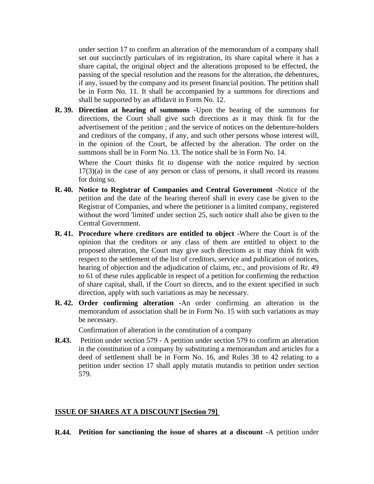under section 17 to confirm an alteration of the memorandum of a company shall set out succinctly particulars of its registration, its share capital where it has a share capital, the original object and the alterations proposed to be effected, the passing of the special resolution and the reasons for the alteration, the debentures, if any, issued by the company and its present financial position. The petition shall be in Form No. 11. It shall be accompanied by a summons for directions and shall be supported by an affidavit in Form No. 12.

**R. 39. Direction at hearing of summons -**Upon the hearing of the summons for directions, the Court shall give such directions as it may think fit for the advertisement of the petition ; and the service of notices on the debenture-holders and creditors of the company, if any, and such other persons whose interest will, in the opinion of the Court, be affected by the alteration. The order on the summons shall be in Form No. 13. The notice shall be in Form No. 14.

Where the Court thinks fit to dispense with the notice required by section 17(3)(a) in the case of any person or class of persons, it shall record its reasons for doing so.

- **R. 40. Notice to Registrar of Companies and Central Government -**Notice of the petition and the date of the hearing thereof shall in every case be given to the Registrar of Companies, and where the petitioner is a limited company, registered without the word 'limited' under section 25, such notice shall also be given to the Central Government.
- **R. 41. Procedure where creditors are entitled to object -**Where the Court is of the opinion that the creditors or any class of them are entitled to object to the proposed alteration, the Court may give such directions as it may think fit with respect to the settlement of the list of creditors, service and publication of notices, hearing of objection and the adjudication of claims, etc., and provisions of Rr. 49 to 61 of these rules applicable in respect of a petition for confirming the reduction of share capital, shall, if the Court so directs, and to the extent specified in such direction, apply with such variations as may be necessary.
- **R. 42. Order confirming alteration -**An order confirming an alteration in the memorandum of association shall be in Form No. 15 with such variations as may be necessary.

Confirmation of alteration in the constitution of a company

**R.43.** Petition under section 579 - A petition under section 579 to confirm an alteration in the constitution of a company by substituting a memorandum and articles for a deed of settlement shall be in Form No. 16, and Rules 38 to 42 relating to a petition under section 17 shall apply mutatis mutandis to petition under section 579.

#### **ISSUE OF SHARES AT A DISCOUNT [Section 79]**

**R.44. Petition for sanctioning the issue of shares at a discount -**A petition under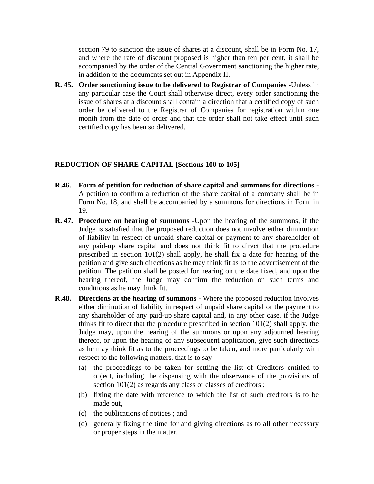section 79 to sanction the issue of shares at a discount, shall be in Form No. 17, and where the rate of discount proposed is higher than ten per cent, it shall be accompanied by the order of the Central Government sanctioning the higher rate, in addition to the documents set out in Appendix II.

**R. 45. Order sanctioning issue to be delivered to Registrar of Companies -**Unless in any particular case the Court shall otherwise direct, every order sanctioning the issue of shares at a discount shall contain a direction that a certified copy of such order be delivered to the Registrar of Companies for registration within one month from the date of order and that the order shall not take effect until such certified copy has been so delivered.

#### **REDUCTION OF SHARE CAPITAL [Sections 100 to 105]**

- **R.46. Form of petition for reduction of share capital and summons for directions -** A petition to confirm a reduction of the share capital of a company shall be in Form No. 18, and shall be accompanied by a summons for directions in Form in 19.
- **R. 47. Procedure on hearing of summons -**Upon the hearing of the summons, if the Judge is satisfied that the proposed reduction does not involve either diminution of liability in respect of unpaid share capital or payment to any shareholder of any paid-up share capital and does not think fit to direct that the procedure prescribed in section 101(2) shall apply, he shall fix a date for hearing of the petition and give such directions as he may think fit as to the advertisement of the petition. The petition shall be posted for hearing on the date fixed, and upon the hearing thereof, the Judge may confirm the reduction on such terms and conditions as he may think fit.
- **R.48. Directions at the hearing of summons -** Where the proposed reduction involves either diminution of liability in respect of unpaid share capital or the payment to any shareholder of any paid-up share capital and, in any other case, if the Judge thinks fit to direct that the procedure prescribed in section 101(2) shall apply, the Judge may, upon the hearing of the summons or upon any adjourned hearing thereof, or upon the hearing of any subsequent application, give such directions as he may think fit as to the proceedings to be taken, and more particularly with respect to the following matters, that is to say -
	- (a) the proceedings to be taken for settling the list of Creditors entitled to object, including the dispensing with the observance of the provisions of section 101(2) as regards any class or classes of creditors;
	- (b) fixing the date with reference to which the list of such creditors is to be made out,
	- (c) the publications of notices ; and
	- (d) generally fixing the time for and giving directions as to all other necessary or proper steps in the matter.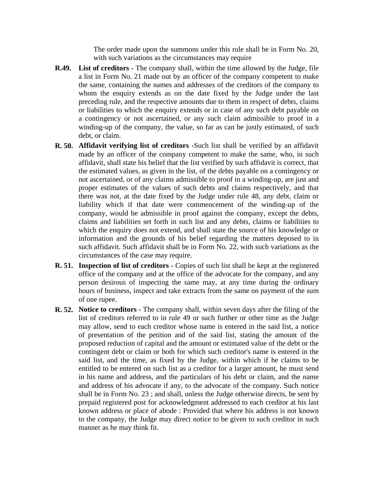The order made upon the summons under this rule shall be in Form No. 20, with such variations as the circumstances may require

- **R.49. List of creditors** The company shall, within the time allowed by the Judge, file a list in Form No. 21 made out by an officer of the company competent to make the same, containing the names and addresses of the creditors of the company to whom the enquiry extends as on the date fixed by the Judge under the last preceding rule, and the respective amounts due to them in respect of debts, claims or liabilities to which the enquiry extends or in case of any such debt payable on a contingency or not ascertained, or any such claim admissible to proof in a winding-up of the company, the value, so far as can be justly estimated, of such debt, or claim.
- **R. 50. Affidavit verifying list of creditors -**Such list shall be verified by an affidavit made by an officer of the company competent to make the same, who, in such affidavit, shall state his belief that the list verified by such affidavit is correct, that the estimated values, as given in the list, of the debts payable on a contingency or not ascertained, or of any claims admissible to proof in a winding-up, are just and proper estimates of the values of such debts and claims respectively, and that there was not, at the date fixed by the Judge under rule 48, any debt, claim or liability which if that date were commencement of the winding-up of the company, would be admissible in proof against the company, except the debts, claims and liabilities set forth in such list and any debts, claims or liabilities to which the enquiry does not extend, and shall state the source of his knowledge or information and the grounds of his belief regarding the matters deposed to in such affidavit. Such affidavit shall be in Form No. 22, with such variations as the circumstances of the case may require.
- **R. 51. Inspection of list of creditors -** Copies of such list shall be kept at the registered office of the company and at the office of the advocate for the company, and any person desirous of inspecting the same may, at any time during the ordinary hours of business, inspect and take extracts from the same on payment of the sum of one rupee.
- **R. 52. Notice to creditors -** The company shall, within seven days after the filing of the list of creditors referred to in rule 49 or such further or other time as the Judge may allow, send to each creditor whose name is entered in the said list, a notice of presentation of the petition and of the said list, stating the amount of the proposed reduction of capital and the amount or estimated value of the debt or the contingent debt or claim or both for which such creditor's name is entered in the said list, and the time, as fixed by the Judge, within which if he claims to be entitled to be entered on such list as a creditor for a larger amount, he must send in his name and address, and the particulars of his debt or claim, and the name and address of his advocate if any, to the advocate of the company. Such notice shall be in Form No. 23 ; and shall, unless the Judge otherwise directs, be sent by prepaid registered post for acknowledgment addressed to each creditor at his last known address or place of abode : Provided that where his address is not known to the company, the Judge may direct notice to be given to such creditor in such manner as he may think fit.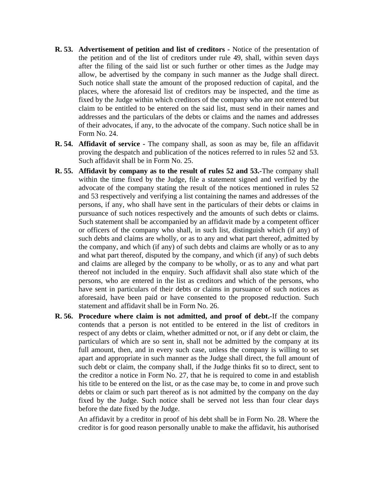- **R. 53. Advertisement of petition and list of creditors -** Notice of the presentation of the petition and of the list of creditors under rule 49, shall, within seven days after the filing of the said list or such further or other times as the Judge may allow, be advertised by the company in such manner as the Judge shall direct. Such notice shall state the amount of the proposed reduction of capital, and the places, where the aforesaid list of creditors may be inspected, and the time as fixed by the Judge within which creditors of the company who are not entered but claim to be entitled to be entered on the said list, must send in their names and addresses and the particulars of the debts or claims and the names and addresses of their advocates, if any, to the advocate of the company. Such notice shall be in Form No. 24.
- **R. 54. Affidavit of service -** The company shall, as soon as may be, file an affidavit proving the despatch and publication of the notices referred to in rules 52 and 53. Such affidavit shall be in Form No. 25.
- **R. 55. Affidavit by company as to the result of rules 52 and 53.-**The company shall within the time fixed by the Judge, file a statement signed and verified by the advocate of the company stating the result of the notices mentioned in rules 52 and 53 respectively and verifying a list containing the names and addresses of the persons, if any, who shall have sent in the particulars of their debts or claims in pursuance of such notices respectively and the amounts of such debts or claims. Such statement shall be accompanied by an affidavit made by a competent officer or officers of the company who shall, in such list, distinguish which (if any) of such debts and claims are wholly, or as to any and what part thereof, admitted by the company, and which (if any) of such debts and claims are wholly or as to any and what part thereof, disputed by the company, and which (if any) of such debts and claims are alleged by the company to be wholly, or as to any and what part thereof not included in the enquiry. Such affidavit shall also state which of the persons, who are entered in the list as creditors and which of the persons, who have sent in particulars of their debts or claims in pursuance of such notices as aforesaid, have been paid or have consented to the proposed reduction. Such statement and affidavit shall be in Form No. 26.
- **R. 56. Procedure where claim is not admitted, and proof of debt.-**If the company contends that a person is not entitled to be entered in the list of creditors in respect of any debts or claim, whether admitted or not, or if any debt or claim, the particulars of which are so sent in, shall not be admitted by the company at its full amount, then, and in every such case, unless the company is willing to set apart and appropriate in such manner as the Judge shall direct, the full amount of such debt or claim, the company shall, if the Judge thinks fit so to direct, sent to the creditor a notice in Form No. 27, that he is required to come in and establish his title to be entered on the list, or as the case may be, to come in and prove such debts or claim or such part thereof as is not admitted by the company on the day fixed by the Judge. Such notice shall be served not less than four clear days before the date fixed by the Judge.

An affidavit by a creditor in proof of his debt shall be in Form No. 28. Where the creditor is for good reason personally unable to make the affidavit, his authorised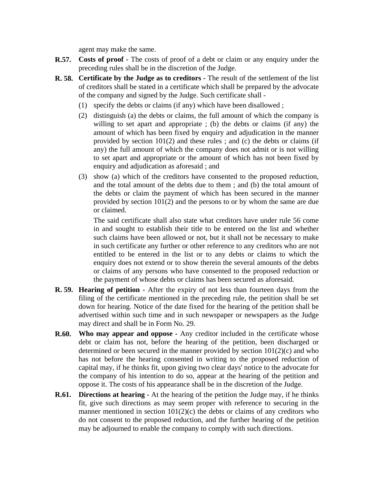agent may make the same.

- **R.57. Costs of proof -** The costs of proof of a debt or claim or any enquiry under the preceding rules shall be in the discretion of the Judge.
- **R. 58. Certificate by the Judge as to creditors -** The result of the settlement of the list of creditors shall be stated in a certificate which shall be prepared by the advocate of the company and signed by the Judge. Such certificate shall -
	- (1) specify the debts or claims (if any) which have been disallowed ;
	- (2) distinguish (a) the debts or claims, the full amount of which the company is willing to set apart and appropriate ; (b) the debts or claims (if any) the amount of which has been fixed by enquiry and adjudication in the manner provided by section 101(2) and these rules ; and (c) the debts or claims (if any) the full amount of which the company does not admit or is not willing to set apart and appropriate or the amount of which has not been fixed by enquiry and adjudication as aforesaid ; and
	- (3) show (a) which of the creditors have consented to the proposed reduction, and the total amount of the debts due to them ; and (b) the total amount of the debts or claim the payment of which has been secured in the manner provided by section 101(2) and the persons to or by whom the same are due or claimed.

The said certificate shall also state what creditors have under rule 56 come in and sought to establish their title to be entered on the list and whether such claims have been allowed or not, but it shall not be necessary to make in such certificate any further or other reference to any creditors who are not entitled to be entered in the list or to any debts or claims to which the enquiry does not extend or to show therein the several amounts of the debts or claims of any persons who have consented to the proposed reduction or the payment of whose debts or claims has been secured as aforesaid.

- **R. 59. Hearing of petition -** After the expiry of not less than fourteen days from the filing of the certificate mentioned in the preceding rule, the petition shall be set down for hearing. Notice of the date fixed for the hearing of the petition shall be advertised within such time and in such newspaper or newspapers as the Judge may direct and shall be in Form No. 29.
- **R.60. Who may appear and oppose -** Any creditor included in the certificate whose debt or claim has not, before the hearing of the petition, been discharged or determined or been secured in the manner provided by section  $101(2)(c)$  and who has not before the hearing consented in writing to the proposed reduction of capital may, if he thinks fit, upon giving two clear days' notice to the advocate for the company of his intention to do so, appear at the hearing of the petition and oppose it. The costs of his appearance shall be in the discretion of the Judge.
- **R.61. Directions at hearing -** At the hearing of the petition the Judge may, if he thinks fit, give such directions as may seem proper with reference to securing in the manner mentioned in section  $101(2)(c)$  the debts or claims of any creditors who do not consent to the proposed reduction, and the further hearing of the petition may be adjourned to enable the company to comply with such directions.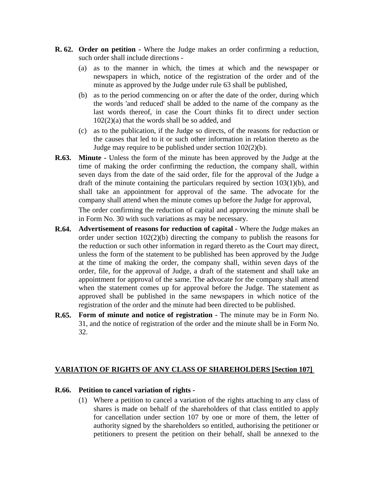- **R. 62. Order on petition -** Where the Judge makes an order confirming a reduction, such order shall include directions -
	- (a) as to the manner in which, the times at which and the newspaper or newspapers in which, notice of the registration of the order and of the minute as approved by the Judge under rule 63 shall be published,
	- (b) as to the period commencing on or after the date of the order, during which the words 'and reduced' shall be added to the name of the company as the last words thereof, in case the Court thinks fit to direct under section 102(2)(a) that the words shall be so added, and
	- (c) as to the publication, if the Judge so directs, of the reasons for reduction or the causes that led to it or such other information in relation thereto as the Judge may require to be published under section 102(2)(b).
- **R.63. Minute -** Unless the form of the minute has been approved by the Judge at the time of making the order confirming the reduction, the company shall, within seven days from the date of the said order, file for the approval of the Judge a draft of the minute containing the particulars required by section 103(1)(b), and shall take an appointment for approval of the same. The advocate for the company shall attend when the minute comes up before the Judge for approval,

The order confirming the reduction of capital and approving the minute shall be in Form No. 30 with such variations as may be necessary.

- **R.64. Advertisement of reasons for reduction of capital -** Where the Judge makes an order under section 102(2)(b) directing the company to publish the reasons for the reduction or such other information in regard thereto as the Court may direct, unless the form of the statement to be published has been approved by the Judge at the time of making the order, the company shall, within seven days of the order, file, for the approval of Judge, a draft of the statement and shall take an appointment for approval of the same. The advocate for the company shall attend when the statement comes up for approval before the Judge. The statement as approved shall be published in the same newspapers in which notice of the registration of the order and the minute had been directed to be published.
- **R.65. Form of minute and notice of registration -** The minute may be in Form No. 31, and the notice of registration of the order and the minute shall be in Form No. 32.

# **VARIATION OF RIGHTS OF ANY CLASS OF SHAREHOLDERS [Section 107]**

#### **R.66. Petition to cancel variation of rights -**

(1) Where a petition to cancel a variation of the rights attaching to any class of shares is made on behalf of the shareholders of that class entitled to apply for cancellation under section 107 by one or more of them, the letter of authority signed by the shareholders so entitled, authorising the petitioner or petitioners to present the petition on their behalf, shall be annexed to the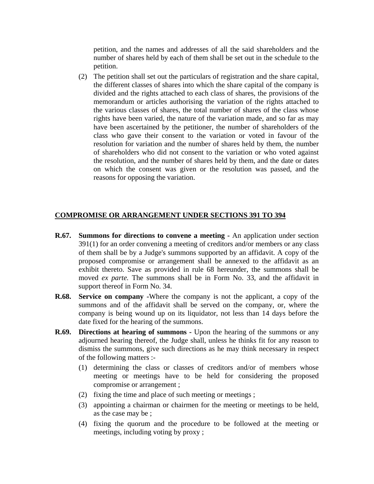petition, and the names and addresses of all the said shareholders and the number of shares held by each of them shall be set out in the schedule to the petition.

(2) The petition shall set out the particulars of registration and the share capital, the different classes of shares into which the share capital of the company is divided and the rights attached to each class of shares, the provisions of the memorandum or articles authorising the variation of the rights attached to the various classes of shares, the total number of shares of the class whose rights have been varied, the nature of the variation made, and so far as may have been ascertained by the petitioner, the number of shareholders of the class who gave their consent to the variation or voted in favour of the resolution for variation and the number of shares held by them, the number of shareholders who did not consent to the variation or who voted against the resolution, and the number of shares held by them, and the date or dates on which the consent was given or the resolution was passed, and the reasons for opposing the variation.

#### **COMPROMISE OR ARRANGEMENT UNDER SECTIONS 391 TO 394**

- **R.67. Summons for directions to convene a meeting -** An application under section 391(1) for an order convening a meeting of creditors and/or members or any class of them shall be by a Judge's summons supported by an affidavit. A copy of the proposed compromise or arrangement shall be annexed to the affidavit as an exhibit thereto. Save as provided in rule 68 hereunder, the summons shall be moved *ex parte*. The summons shall be in Form No. 33, and the affidavit in support thereof in Form No. 34.
- **R.68. Service on company -**Where the company is not the applicant, a copy of the summons and of the affidavit shall be served on the company, or, where the company is being wound up on its liquidator, not less than 14 days before the date fixed for the hearing of the summons.
- **R.69. Directions at hearing of summons -** Upon the hearing of the summons or any adjourned hearing thereof, the Judge shall, unless he thinks fit for any reason to dismiss the summons, give such directions as he may think necessary in respect of the following matters :-
	- (1) determining the class or classes of creditors and/or of members whose meeting or meetings have to be held for considering the proposed compromise or arrangement ;
	- (2) fixing the time and place of such meeting or meetings ;
	- (3) appointing a chairman or chairmen for the meeting or meetings to be held, as the case may be ;
	- (4) fixing the quorum and the procedure to be followed at the meeting or meetings, including voting by proxy ;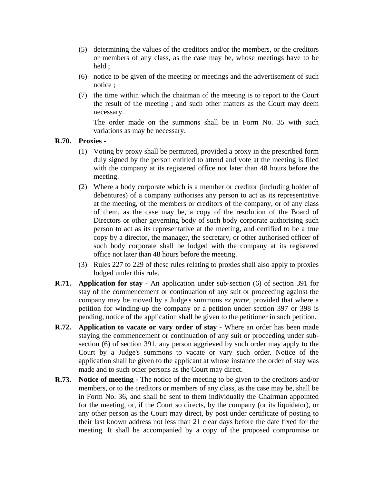- (5) determining the values of the creditors and/or the members, or the creditors or members of any class, as the case may be, whose meetings have to be held ;
- (6) notice to be given of the meeting or meetings and the advertisement of such notice ;
- (7) the time within which the chairman of the meeting is to report to the Court the result of the meeting ; and such other matters as the Court may deem necessary.

The order made on the summons shall be in Form No. 35 with such variations as may be necessary.

### **R.70. Proxies -**

- (1) Voting by proxy shall be permitted, provided a proxy in the prescribed form duly signed by the person entitled to attend and vote at the meeting is filed with the company at its registered office not later than 48 hours before the meeting.
- (2) Where a body corporate which is a member or creditor (including holder of debentures) of a company authorises any person to act as its representative at the meeting, of the members or creditors of the company, or of any class of them, as the case may be, a copy of the resolution of the Board of Directors or other governing body of such body corporate authorising such person to act as its representative at the meeting, and certified to be a true copy by a director, the manager, the secretary, or other authorised officer of such body corporate shall be lodged with the company at its registered office not later than 48 hours before the meeting.
- (3) Rules 227 to 229 of these rules relating to proxies shall also apply to proxies lodged under this rule.
- **R.71. Application for stay -** An application under sub-section (6) of section 391 for stay of the commencement or continuation of any suit or proceeding against the company may be moved by a Judge's summons *ex parte,* provided that where a petition for winding-up the company or a petition under section 397 or 398 is pending, notice of the application shall be given to the petitioner in such petition.
- **R.72. Application to vacate or vary order of stay -** Where an order has been made staying the commencement or continuation of any suit or proceeding under subsection (6) of section 391, any person aggrieved by such order may apply to the Court by a Judge's summons to vacate or vary such order. Notice of the application shall be given to the applicant at whose instance the order of stay was made and to such other persons as the Court may direct.
- **R.73. Notice of meeting -** The notice of the meeting to be given to the creditors and/or members, or to the creditors or members of any class, as the case may be, shall be in Form No. 36, and shall be sent to them individually the Chairman appointed for the meeting, or, if the Court so directs, by the company (or its liquidator), or any other person as the Court may direct, by post under certificate of posting to their last known address not less than 21 clear days before the date fixed for the meeting. It shall be accompanied by a copy of the proposed compromise or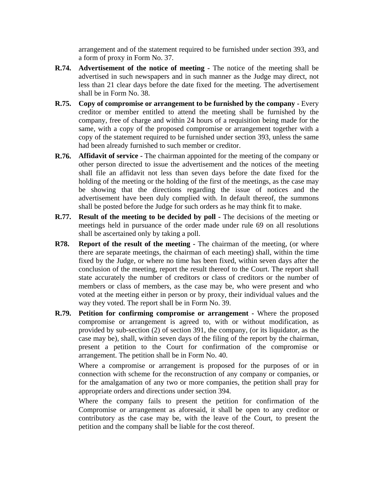arrangement and of the statement required to be furnished under section 393, and a form of proxy in Form No. 37.

- **R.74. Advertisement of the notice of meeting -** The notice of the meeting shall be advertised in such newspapers and in such manner as the Judge may direct, not less than 21 clear days before the date fixed for the meeting. The advertisement shall be in Form No. 38.
- **R.75. Copy of compromise or arrangement to be furnished by the company -** Every creditor or member entitled to attend the meeting shall be furnished by the company, free of charge and within 24 hours of a requisition being made for the same, with a copy of the proposed compromise or arrangement together with a copy of the statement required to be furnished under section 393, unless the same had been already furnished to such member or creditor.
- **R.76. Affidavit of service -** The chairman appointed for the meeting of the company or other person directed to issue the advertisement and the notices of the meeting shall file an affidavit not less than seven days before the date fixed for the holding of the meeting or the holding of the first of the meetings, as the case may be showing that the directions regarding the issue of notices and the advertisement have been duly complied with. In default thereof, the summons shall be posted before the Judge for such orders as he may think fit to make.
- **R.77. Result of the meeting to be decided by poll -** The decisions of the meeting or meetings held in pursuance of the order made under rule 69 on all resolutions shall be ascertained only by taking a poll.
- **R78. Report of the result of the meeting -** The chairman of the meeting, (or where there are separate meetings, the chairman of each meeting) shall, within the time fixed by the Judge, or where no time has been fixed, within seven days after the conclusion of the meeting, report the result thereof to the Court. The report shall state accurately the number of creditors or class of creditors or the number of members or class of members, as the case may be, who were present and who voted at the meeting either in person or by proxy, their individual values and the way they voted. The report shall be in Form No. 39.
- **R.79. Petition for confirming compromise or arrangement -** Where the proposed compromise or arrangement is agreed to, with or without modification, as provided by sub-section (2) of section 391, the company, (or its liquidator, as the case may be), shall, within seven days of the filing of the report by the chairman, present a petition to the Court for confirmation of the compromise or arrangement. The petition shall be in Form No. 40.

Where a compromise or arrangement is proposed for the purposes of or in connection with scheme for the reconstruction of any company or companies, or for the amalgamation of any two or more companies, the petition shall pray for appropriate orders and directions under section 394.

Where the company fails to present the petition for confirmation of the Compromise or arrangement as aforesaid, it shall be open to any creditor or contributory as the case may be, with the leave of the Court, to present the petition and the company shall be liable for the cost thereof.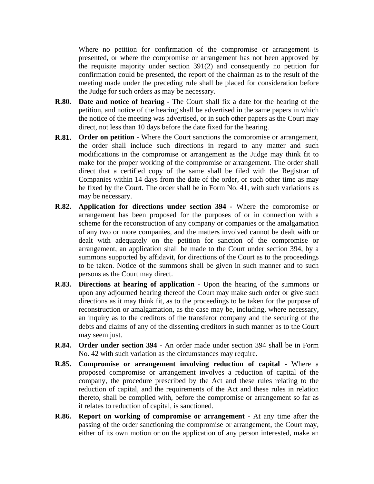Where no petition for confirmation of the compromise or arrangement is presented, or where the compromise or arrangement has not been approved by the requisite majority under section 391(2) and consequently no petition for confirmation could be presented, the report of the chairman as to the result of the meeting made under the preceding rule shall be placed for consideration before the Judge for such orders as may be necessary.

- **R.80. Date and notice of hearing -** The Court shall fix a date for the hearing of the petition, and notice of the hearing shall be advertised in the same papers in which the notice of the meeting was advertised, or in such other papers as the Court may direct, not less than 10 days before the date fixed for the hearing.
- **R.81. Order on petition -** Where the Court sanctions the compromise or arrangement, the order shall include such directions in regard to any matter and such modifications in the compromise or arrangement as the Judge may think fit to make for the proper working of the compromise or arrangement. The order shall direct that a certified copy of the same shall be filed with the Registrar of Companies within 14 days from the date of the order, or such other time as may be fixed by the Court. The order shall be in Form No. 41, with such variations as may be necessary.
- **R.82. Application for directions under section 394 -** Where the compromise or arrangement has been proposed for the purposes of or in connection with a scheme for the reconstruction of any company or companies or the amalgamation of any two or more companies, and the matters involved cannot be dealt with or dealt with adequately on the petition for sanction of the compromise or arrangement, an application shall be made to the Court under section 394, by a summons supported by affidavit, for directions of the Court as to the proceedings to be taken. Notice of the summons shall be given in such manner and to such persons as the Court may direct.
- **R.83. Directions at hearing of application -** Upon the hearing of the summons or upon any adjourned hearing thereof the Court may make such order or give such directions as it may think fit, as to the proceedings to be taken for the purpose of reconstruction or amalgamation, as the case may be, including, where necessary, an inquiry as to the creditors of the transferor company and the securing of the debts and claims of any of the dissenting creditors in such manner as to the Court may seem just.
- **R.84. Order under section 394 -** An order made under section 394 shall be in Form No. 42 with such variation as the circumstances may require.
- **R.85. Compromise or arrangement involving reduction of capital -** Where a proposed compromise or arrangement involves a reduction of capital of the company, the procedure prescribed by the Act and these rules relating to the reduction of capital, and the requirements of the Act and these rules in relation thereto, shall be complied with, before the compromise or arrangement so far as it relates to reduction of capital, is sanctioned.
- **R.86. Report on working of compromise or arrangement -** At any time after the passing of the order sanctioning the compromise or arrangement, the Court may, either of its own motion or on the application of any person interested, make an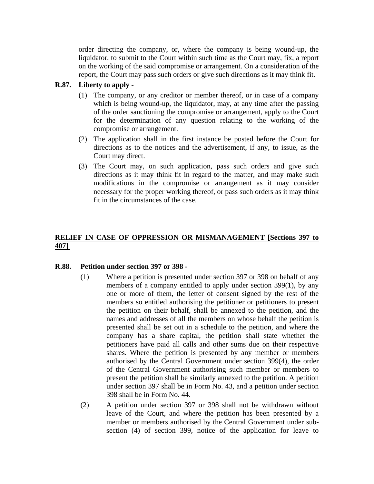order directing the company, or, where the company is being wound-up, the liquidator, to submit to the Court within such time as the Court may, fix, a report on the working of the said compromise or arrangement. On a consideration of the report, the Court may pass such orders or give such directions as it may think fit.

## **R.87. Liberty to apply -**

- (1) The company, or any creditor or member thereof, or in case of a company which is being wound-up, the liquidator, may, at any time after the passing of the order sanctioning the compromise or arrangement, apply to the Court for the determination of any question relating to the working of the compromise or arrangement.
- (2) The application shall in the first instance be posted before the Court for directions as to the notices and the advertisement, if any, to issue, as the Court may direct.
- (3) The Court may, on such application, pass such orders and give such directions as it may think fit in regard to the matter, and may make such modifications in the compromise or arrangement as it may consider necessary for the proper working thereof, or pass such orders as it may think fit in the circumstances of the case.

# **RELIEF IN CASE OF OPPRESSION OR MISMANAGEMENT [Sections 397 to 407]**

### **R.88. Petition under section 397 or 398 -**

- (1) Where a petition is presented under section 397 or 398 on behalf of any members of a company entitled to apply under section 399(1), by any one or more of them, the letter of consent signed by the rest of the members so entitled authorising the petitioner or petitioners to present the petition on their behalf, shall be annexed to the petition, and the names and addresses of all the members on whose behalf the petition is presented shall be set out in a schedule to the petition, and where the company has a share capital, the petition shall state whether the petitioners have paid all calls and other sums due on their respective shares. Where the petition is presented by any member or members authorised by the Central Government under section 399(4), the order of the Central Government authorising such member or members to present the petition shall be similarly annexed to the petition. A petition under section 397 shall be in Form No. 43, and a petition under section 398 shall be in Form No. 44.
- (2) A petition under section 397 or 398 shall not be withdrawn without leave of the Court, and where the petition has been presented by a member or members authorised by the Central Government under subsection (4) of section 399, notice of the application for leave to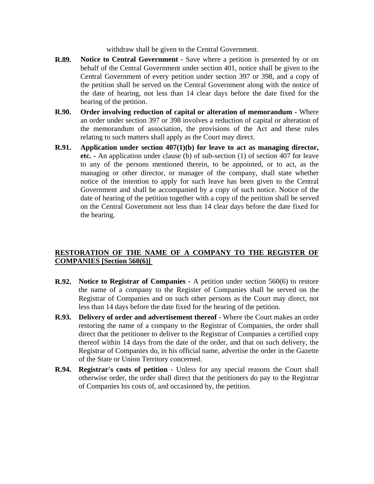withdraw shall be given to the Central Government.

- **R.89. Notice to Central Government** Save where a petition is presented by or on behalf of the Central Government under section 401, notice shall be given to the Central Government of every petition under section 397 or 398, and a copy of the petition shall be served on the Central Government along with the notice of the date of hearing, not less than 14 clear days before the date fixed for the hearing of the petition.
- **R.90. Order involving reduction of capital or alteration of memorandum -** Where an order under section 397 or 398 involves a reduction of capital or alteration of the memorandum of association, the provisions of the Act and these rules relating to such matters shall apply as the Court may direct.
- **R.91. Application under section 407(1)(b) for leave to act as managing director, etc. -** An application under clause (b) of sub-section (1) of section 407 for leave to any of the persons mentioned therein, to be appointed, or to act, as the managing or other director, or manager of the company, shall state whether notice of the intention to apply for such leave has been given to the Central Government and shall be accompanied by a copy of such notice. Notice of the date of hearing of the petition together with a copy of the petition shall be served on the Central Government not less than 14 clear days before the date fixed for the hearing.

# **RESTORATION OF THE NAME OF A COMPANY TO THE REGISTER OF COMPANIES [Section 560(6)]**

- **R.92. Notice to Registrar of Companies -** A petition under section 560(6) to restore the name of a company to the Register of Companies shall be served on the Registrar of Companies and on such other persons as the Court may direct, not less than 14 days before the date fixed for the hearing of the petition.
- **R.93. Delivery of order and advertisement thereof -** Where the Court makes an order restoring the name of a company to the Registrar of Companies, the order shall direct that the petitioner to deliver to the Registrar of Companies a certified copy thereof within 14 days from the date of the order, and that on such delivery, the Registrar of Companies do, in his official name, advertise the order in the Gazette of the State or Union Territory concerned.
- **R.94. Registrar's costs of petition -** Unless for any special reasons the Court shall otherwise order, the order shall direct that the petitioners do pay to the Registrar of Companies his costs of, and occasioned by, the petition.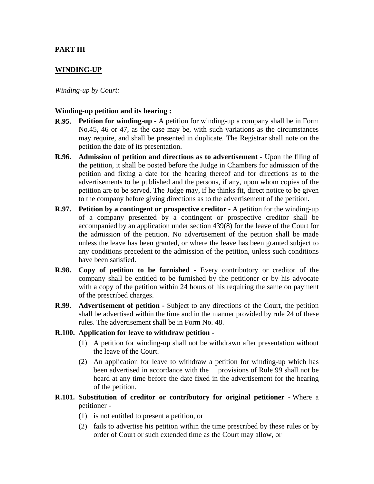## **PART III**

### **WINDING-UP**

*Winding-up by Court:*

#### **Winding-up petition and its hearing :**

- **R.95. Petition for winding-up -** A petition for winding-up a company shall be in Form No.45, 46 or 47, as the case may be, with such variations as the circumstances may require, and shall be presented in duplicate. The Registrar shall note on the petition the date of its presentation.
- **R.96. Admission of petition and directions as to advertisement -** Upon the filing of the petition, it shall be posted before the Judge in Chambers for admission of the petition and fixing a date for the hearing thereof and for directions as to the advertisements to be published and the persons, if any, upon whom copies of the petition are to be served. The Judge may, if he thinks fit, direct notice to be given to the company before giving directions as to the advertisement of the petition.
- **R.97. Petition by a contingent or prospective creditor -** A petition for the winding-up of a company presented by a contingent or prospective creditor shall be accompanied by an application under section 439(8) for the leave of the Court for the admission of the petition. No advertisement of the petition shall be made unless the leave has been granted, or where the leave has been granted subject to any conditions precedent to the admission of the petition, unless such conditions have been satisfied.
- **R.98. Copy of petition to be furnished -** Every contributory or creditor of the company shall be entitled to be furnished by the petitioner or by his advocate with a copy of the petition within 24 hours of his requiring the same on payment of the prescribed charges.
- **R.99. Advertisement of petition -** Subject to any directions of the Court, the petition shall be advertised within the time and in the manner provided by rule 24 of these rules. The advertisement shall be in Form No. 48.
- **R.100. Application for leave to withdraw petition -**
	- (1) A petition for winding-up shall not be withdrawn after presentation without the leave of the Court.
	- (2) An application for leave to withdraw a petition for winding-up which has been advertised in accordance with the provisions of Rule 99 shall not be heard at any time before the date fixed in the advertisement for the hearing of the petition.
- **R.101. Substitution of creditor or contributory for original petitioner** Where a petitioner -
	- (1) is not entitled to present a petition, or
	- (2) fails to advertise his petition within the time prescribed by these rules or by order of Court or such extended time as the Court may allow, or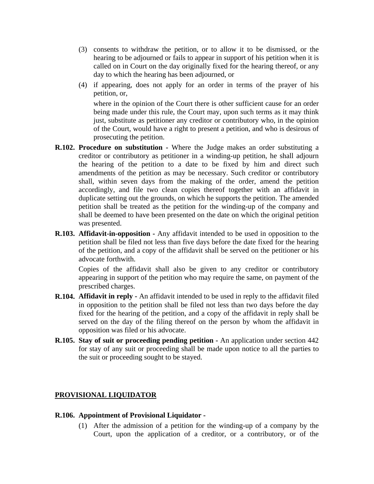- (3) consents to withdraw the petition, or to allow it to be dismissed, or the hearing to be adjourned or fails to appear in support of his petition when it is called on in Court on the day originally fixed for the hearing thereof, or any day to which the hearing has been adjourned, or
- (4) if appearing, does not apply for an order in terms of the prayer of his petition, or,

where in the opinion of the Court there is other sufficient cause for an order being made under this rule, the Court may, upon such terms as it may think just, substitute as petitioner any creditor or contributory who, in the opinion of the Court, would have a right to present a petition, and who is desirous of prosecuting the petition.

- **R.102. Procedure on substitution** Where the Judge makes an order substituting a creditor or contributory as petitioner in a winding-up petition, he shall adjourn the hearing of the petition to a date to be fixed by him and direct such amendments of the petition as may be necessary. Such creditor or contributory shall, within seven days from the making of the order, amend the petition accordingly, and file two clean copies thereof together with an affidavit in duplicate setting out the grounds, on which he supports the petition. The amended petition shall be treated as the petition for the winding-up of the company and shall be deemed to have been presented on the date on which the original petition was presented.
- **R.103. Affidavit-in-opposition -** Any affidavit intended to be used in opposition to the petition shall be filed not less than five days before the date fixed for the hearing of the petition, and a copy of the affidavit shall be served on the petitioner or his advocate forthwith.

Copies of the affidavit shall also be given to any creditor or contributory appearing in support of the petition who may require the same, on payment of the prescribed charges.

- **R.104. Affidavit in reply -** An affidavit intended to be used in reply to the affidavit filed in opposition to the petition shall be filed not less than two days before the day fixed for the hearing of the petition, and a copy of the affidavit in reply shall be served on the day of the filing thereof on the person by whom the affidavit in opposition was filed or his advocate.
- **R.105. Stay of suit or proceeding pending petition -** An application under section 442 for stay of any suit or proceeding shall be made upon notice to all the parties to the suit or proceeding sought to be stayed.

### **PROVISIONAL LIQUIDATOR**

#### **R.106. Appointment of Provisional Liquidator -**

(1) After the admission of a petition for the winding-up of a company by the Court, upon the application of a creditor, or a contributory, or of the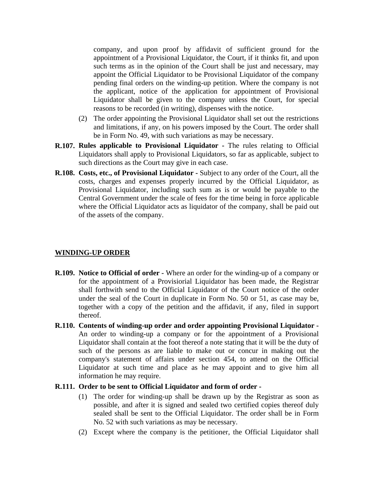company, and upon proof by affidavit of sufficient ground for the appointment of a Provisional Liquidator, the Court, if it thinks fit, and upon such terms as in the opinion of the Court shall be just and necessary, may appoint the Official Liquidator to be Provisional Liquidator of the company pending final orders on the winding-up petition. Where the company is not the applicant, notice of the application for appointment of Provisional Liquidator shall be given to the company unless the Court, for special reasons to be recorded (in writing), dispenses with the notice.

- (2) The order appointing the Provisional Liquidator shall set out the restrictions and limitations, if any, on his powers imposed by the Court. The order shall be in Form No. 49, with such variations as may be necessary.
- **R.107. Rules applicable to Provisional Liquidator -** The rules relating to Official Liquidators shall apply to Provisional Liquidators, so far as applicable, subject to such directions as the Court may give in each case.
- **R.108. Costs, etc., of Provisional Liquidator -** Subject to any order of the Court, all the costs, charges and expenses properly incurred by the Official Liquidator, as Provisional Liquidator, including such sum as is or would be payable to the Central Government under the scale of fees for the time being in force applicable where the Official Liquidator acts as liquidator of the company, shall be paid out of the assets of the company.

#### **WINDING-UP ORDER**

- **R.109. Notice to Official of order -** Where an order for the winding-up of a company or for the appointment of a Provisiorial Liquidator has been made, the Registrar shall forthwith send to the Official Liquidator of the Court notice of the order under the seal of the Court in duplicate in Form No. 50 or 51, as case may be, together with a copy of the petition and the affidavit, if any, filed in support thereof.
- **R.110. Contents of winding-up order and order appointing Provisional Liquidator -** An order to winding-up a company or for the appointment of a Provisional Liquidator shall contain at the foot thereof a note stating that it will be the duty of such of the persons as are liable to make out or concur in making out the company's statement of affairs under section 454, to attend on the Official Liquidator at such time and place as he may appoint and to give him all information he may require.

#### **R.111. Order to be sent to Official Liquidator and form of order -**

- (1) The order for winding-up shall be drawn up by the Registrar as soon as possible, and after it is signed and sealed two certified copies thereof duly sealed shall be sent to the Official Liquidator. The order shall be in Form No. 52 with such variations as may be necessary.
- (2) Except where the company is the petitioner, the Official Liquidator shall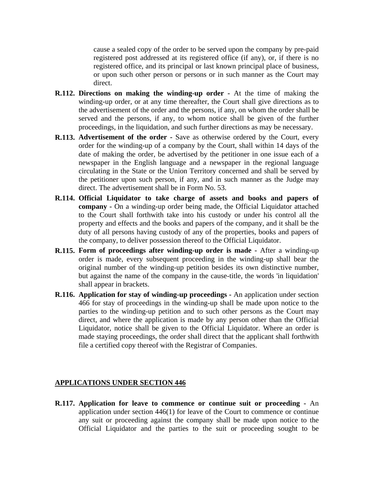cause a sealed copy of the order to be served upon the company by pre-paid registered post addressed at its registered office (if any), or, if there is no registered office, and its principal or last known principal place of business, or upon such other person or persons or in such manner as the Court may direct.

- **R.112. Directions on making the winding-up order -** At the time of making the winding-up order, or at any time thereafter, the Court shall give directions as to the advertisement of the order and the persons, if any, on whom the order shall be served and the persons, if any, to whom notice shall be given of the further proceedings, in the liquidation, and such further directions as may be necessary.
- **R.113. Advertisement of the order -** Save as otherwise ordered by the Court, every order for the winding-up of a company by the Court, shall within 14 days of the date of making the order, be advertised by the petitioner in one issue each of a newspaper in the English language and a newspaper in the regional language circulating in the State or the Union Territory concerned and shall be served by the petitioner upon such person, if any, and in such manner as the Judge may direct. The advertisement shall be in Form No. 53.
- **R.114. Official Liquidator to take charge of assets and books and papers of company -** On a winding-up order being made, the Official Liquidator attached to the Court shall forthwith take into his custody or under his control all the property and effects and the books and papers of the company, and it shall be the duty of all persons having custody of any of the properties, books and papers of the company, to deliver possession thereof to the Official Liquidator.
- **R.115. Form of proceedings after winding-up order is made -** After a winding-up order is made, every subsequent proceeding in the winding-up shall bear the original number of the winding-up petition besides its own distinctive number, but against the name of the company in the cause-title, the words 'in liquidation' shall appear in brackets.
- **R.116. Application for stay of winding-up proceedings -** An application under section 466 for stay of proceedings in the winding-up shall be made upon notice to the parties to the winding-up petition and to such other persons as the Court may direct, and where the application is made by any person other than the Official Liquidator, notice shall be given to the Official Liquidator. Where an order is made staying proceedings, the order shall direct that the applicant shall forthwith file a certified copy thereof with the Registrar of Companies.

### **APPLICATIONS UNDER SECTION 446**

**R.117. Application for leave to commence or continue suit or proceeding -** An application under section 446(1) for leave of the Court to commence or continue any suit or proceeding against the company shall be made upon notice to the Official Liquidator and the parties to the suit or proceeding sought to be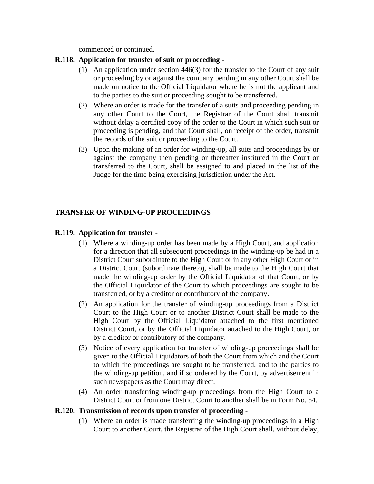commenced or continued.

### **R.118. Application for transfer of suit or proceeding -**

- (1) An application under section 446(3) for the transfer to the Court of any suit or proceeding by or against the company pending in any other Court shall be made on notice to the Official Liquidator where he is not the applicant and to the parties to the suit or proceeding sought to be transferred.
- (2) Where an order is made for the transfer of a suits and proceeding pending in any other Court to the Court, the Registrar of the Court shall transmit without delay a certified copy of the order to the Court in which such suit or proceeding is pending, and that Court shall, on receipt of the order, transmit the records of the suit or proceeding to the Court.
- (3) Upon the making of an order for winding-up, all suits and proceedings by or against the company then pending or thereafter instituted in the Court or transferred to the Court, shall be assigned to and placed in the list of the Judge for the time being exercising jurisdiction under the Act.

# **TRANSFER OF WINDING-UP PROCEEDINGS**

### **R.119. Application for transfer -**

- (1) Where a winding-up order has been made by a High Court, and application for a direction that all subsequent proceedings in the winding-up be had in a District Court subordinate to the High Court or in any other High Court or in a District Court (subordinate thereto), shall be made to the High Court that made the winding-up order by the Official Liquidator of that Court, or by the Official Liquidator of the Court to which proceedings are sought to be transferred, or by a creditor or contributory of the company.
- (2) An application for the transfer of winding-up proceedings from a District Court to the High Court or to another District Court shall be made to the High Court by the Official Liquidator attached to the first mentioned District Court, or by the Official Liquidator attached to the High Court, or by a creditor or contributory of the company.
- (3) Notice of every application for transfer of winding-up proceedings shall be given to the Official Liquidators of both the Court from which and the Court to which the proceedings are sought to be transferred, and to the parties to the winding-up petition, and if so ordered by the Court, by advertisement in such newspapers as the Court may direct.
- (4) An order transferring winding-up proceedings from the High Court to a District Court or from one District Court to another shall be in Form No. 54.

### **R.120. Transmission of records upon transfer of proceeding -**

(1) Where an order is made transferring the winding-up proceedings in a High Court to another Court, the Registrar of the High Court shall, without delay,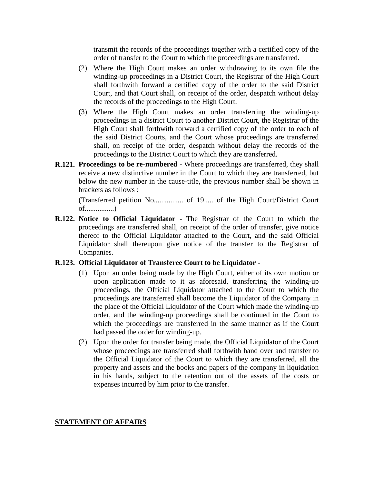transmit the records of the proceedings together with a certified copy of the order of transfer to the Court to which the proceedings are transferred.

- (2) Where the High Court makes an order withdrawing to its own file the winding-up proceedings in a District Court, the Registrar of the High Court shall forthwith forward a certified copy of the order to the said District Court, and that Court shall, on receipt of the order, despatch without delay the records of the proceedings to the High Court.
- (3) Where the High Court makes an order transferring the winding-up proceedings in a district Court to another District Court, the Registrar of the High Court shall forthwith forward a certified copy of the order to each of the said District Courts, and the Court whose proceedings are transferred shall, on receipt of the order, despatch without delay the records of the proceedings to the District Court to which they are transferred.
- **R.121. Proceedings to be re-numbered -** Where proceedings are transferred, they shall receive a new distinctive number in the Court to which they are transferred, but below the new number in the cause-title, the previous number shall be shown in brackets as follows :

(Transferred petition No................ of 19..... of the High Court/District Court of................)

**R.122. Notice to Official Liquidator -** The Registrar of the Court to which the proceedings are transferred shall, on receipt of the order of transfer, give notice thereof to the Official Liquidator attached to the Court, and the said Official Liquidator shall thereupon give notice of the transfer to the Registrar of Companies.

#### **R.123. Official Liquidator of Transferee Court to be Liquidator -**

- (1) Upon an order being made by the High Court, either of its own motion or upon application made to it as aforesaid, transferring the winding-up proceedings, the Official Liquidator attached to the Court to which the proceedings are transferred shall become the Liquidator of the Company in the place of the Official Liquidator of the Court which made the winding-up order, and the winding-up proceedings shall be continued in the Court to which the proceedings are transferred in the same manner as if the Court had passed the order for winding-up.
- (2) Upon the order for transfer being made, the Official Liquidator of the Court whose proceedings are transferred shall forthwith hand over and transfer to the Official Liquidator of the Court to which they are transferred, all the property and assets and the books and papers of the company in liquidation in his hands, subject to the retention out of the assets of the costs or expenses incurred by him prior to the transfer.

#### **STATEMENT OF AFFAIRS**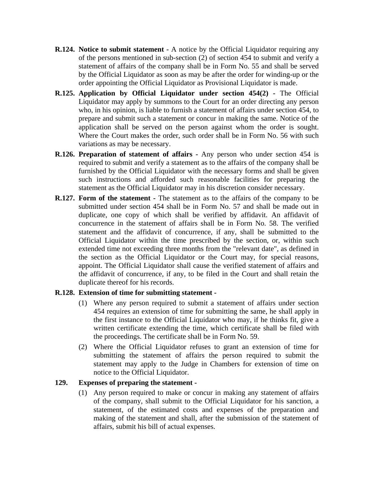- **R.124. Notice to submit statement -** A notice by the Official Liquidator requiring any of the persons mentioned in sub-section (2) of section 454 to submit and verify a statement of affairs of the company shall be in Form No. 55 and shall be served by the Official Liquidator as soon as may be after the order for winding-up or the order appointing the Official Liquidator as Provisional Liquidator is made.
- **R.125. Application by Official Liquidator under section 454(2) -** The Official Liquidator may apply by summons to the Court for an order directing any person who, in his opinion, is liable to furnish a statement of affairs under section 454, to prepare and submit such a statement or concur in making the same. Notice of the application shall be served on the person against whom the order is sought. Where the Court makes the order, such order shall be in Form No. 56 with such variations as may be necessary.
- **R.126. Preparation of statement of affairs -** Any person who under section 454 is required to submit and verify a statement as to the affairs of the company shall be furnished by the Official Liquidator with the necessary forms and shall be given such instructions and afforded such reasonable facilities for preparing the statement as the Official Liquidator may in his discretion consider necessary.
- **R.127. Form of the statement -** The statement as to the affairs of the company to be submitted under section 454 shall be in Form No. 57 and shall be made out in duplicate, one copy of which shall be verified by affidavit. An affidavit of concurrence in the statement of affairs shall be in Form No. 58. The verified statement and the affidavit of concurrence, if any, shall be submitted to the Official Liquidator within the time prescribed by the section, or, within such extended time not exceeding three months from the "relevant date", as defined in the section as the Official Liquidator or the Court may, for special reasons, appoint. The Official Liquidator shall cause the verified statement of affairs and the affidavit of concurrence, if any, to be filed in the Court and shall retain the duplicate thereof for his records.

### **R.128. Extension of time for submitting statement -**

- (1) Where any person required to submit a statement of affairs under section 454 requires an extension of time for submitting the same, he shall apply in the first instance to the Official Liquidator who may, if he thinks fit, give a written certificate extending the time, which certificate shall be filed with the proceedings. The certificate shall be in Form No. 59.
- (2) Where the Official Liquidator refuses to grant an extension of time for submitting the statement of affairs the person required to submit the statement may apply to the Judge in Chambers for extension of time on notice to the Official Liquidator.

### **129. Expenses of preparing the statement -**

(1) Any person required to make or concur in making any statement of affairs of the company, shall submit to the Official Liquidator for his sanction, a statement, of the estimated costs and expenses of the preparation and making of the statement and shall, after the submission of the statement of affairs, submit his bill of actual expenses.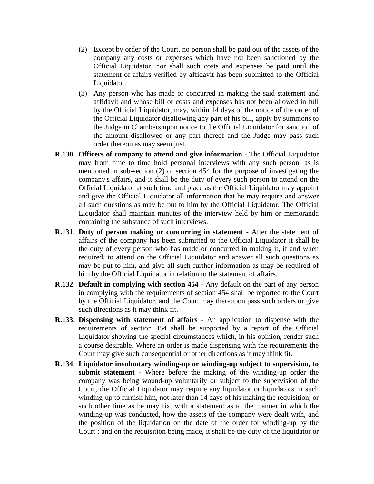- (2) Except by order of the Court, no person shall be paid out of the assets of the company any costs or expenses which have not been sanctioned by the Official Liquidator, nor shall such costs and expenses be paid until the statement of affairs verified by affidavit has been submitted to the Official Liquidator.
- (3) Any person who has made or concurred in making the said statement and affidavit and whose bill or costs and expenses has not been allowed in full by the Official Liquidator, may, within 14 days of the notice of the order of the Official Liquidator disallowing any part of his bill, apply by summons to the Judge in Chambers upon notice to the Official Liquidator for sanction of the amount disallowed or any part thereof and the Judge may pass such order thereon as may seem just.
- **R.130. Officers of company to attend and give information -** The Official Liquidator may from time to time hold personal interviews with any such person, as is mentioned in sub-section (2) of section 454 for the purpose of investigating the company's affairs, and it shall be the duty of every such person to attend on the Official Liquidator at such time and place as the Official Liquidator may appoint and give the Official Liquidator all information that he may require and answer all such questions as may be put to him by the Official Liquidator. The Official Liquidator shall maintain minutes of the interview held by him or memoranda containing the substance of such interviews.
- **R.131. Duty of person making or concurring in statement -** After the statement of affairs of the company has been submitted to the Official Liquidator it shall be the duty of every person who has made or concurred in making it, if and when required, to attend on the Official Liquidator and answer all such questions as may be put to him, and give all such further information as may be required of him by the Official Liquidator in relation to the statement of affairs.
- **R.132. Default in complying with section 454** Any default on the part of any person in complying with the requirements of section 454 shall be reported to the Court by the Official Liquidator, and the Court may thereupon pass such orders or give such directions as it may think fit.
- **R.133. Dispensing with statement of affairs -** An application to dispense with the requirements of section 454 shall be supported by a report of the Official Liquidator showing the special circumstances which, in his opinion, render such a course desirable. Where an order is made dispensing with the requirements the Court may give such consequential or other directions as it may think fit.
- **R.134. Liquidator involuntary winding-up or winding-up subject to supervision, to submit statement -** Where before the making of the winding-up order the company was being wound-up voluntarily or subject to the supervision of the Court, the Official Liquidator may require any liquidator or liquidators in such winding-up to furnish him, not later than 14 days of his making the requisition, or such other time as he may fix, with a statement as to the manner in which the winding-up was conducted, how the assets of the company were dealt with, and the position of the liquidation on the date of the order for winding-up by the Court ; and on the requisition being made, it shall be the duty of the liquidator or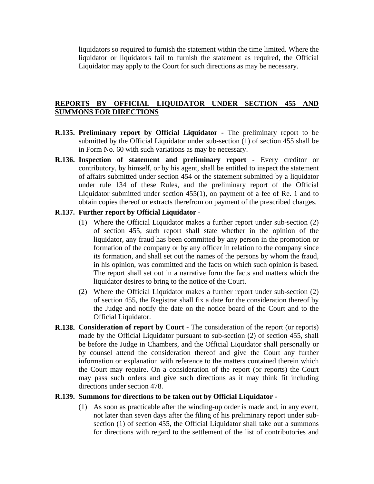liquidators so required to furnish the statement within the time limited. Where the liquidator or liquidators fail to furnish the statement as required, the Official Liquidator may apply to the Court for such directions as may be necessary.

### **REPORTS BY OFFICIAL LIQUIDATOR UNDER SECTION 455 AND SUMMONS FOR DIRECTIONS**

- **R.135. Preliminary report by Official Liquidator -** The preliminary report to be submitted by the Official Liquidator under sub-section (1) of section 455 shall be in Form No. 60 with such variations as may be necessary.
- **R.136. Inspection of statement and preliminary report -** Every creditor or contributory, by himself, or by his agent, shall be entitled to inspect the statement of affairs submitted under section 454 or the statement submitted by a liquidator under rule 134 of these Rules, and the preliminary report of the Official Liquidator submitted under section 455(1), on payment of a fee of Re. 1 and to obtain copies thereof or extracts therefrom on payment of the prescribed charges.

### **R.137. Further report by Official Liquidator -**

- (1) Where the Official Liquidator makes a further report under sub-section (2) of section 455, such report shall state whether in the opinion of the liquidator, any fraud has been committed by any person in the promotion or formation of the company or by any officer in relation to the company since its formation, and shall set out the names of the persons by whom the fraud, in his opinion, was committed and the facts on which such opinion is based. The report shall set out in a narrative form the facts and matters which the liquidator desires to bring to the notice of the Court.
- (2) Where the Official Liquidator makes a further report under sub-section (2) of section 455, the Registrar shall fix a date for the consideration thereof by the Judge and notify the date on the notice board of the Court and to the Official Liquidator.
- **R.138. Consideration of report by Court -** The consideration of the report (or reports) made by the Official Liquidator pursuant to sub-section (2) of section 455, shall be before the Judge in Chambers, and the Official Liquidator shall personally or by counsel attend the consideration thereof and give the Court any further information or explanation with reference to the matters contained therein which the Court may require. On a consideration of the report (or reports) the Court may pass such orders and give such directions as it may think fit including directions under section 478.

#### **R.139. Summons for directions to be taken out by Official Liquidator -**

(1) As soon as practicable after the winding-up order is made and, in any event, not later than seven days after the filing of his preliminary report under subsection (1) of section 455, the Official Liquidator shall take out a summons for directions with regard to the settlement of the list of contributories and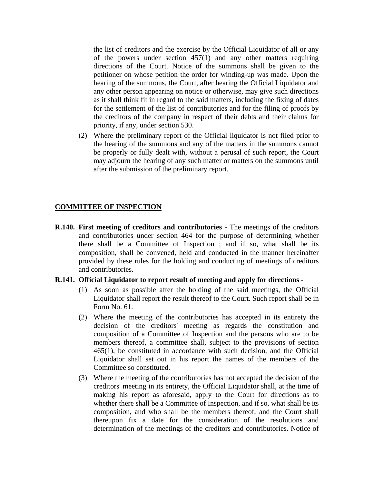the list of creditors and the exercise by the Official Liquidator of all or any of the powers under section  $457(1)$  and any other matters requiring directions of the Court. Notice of the summons shall be given to the petitioner on whose petition the order for winding-up was made. Upon the hearing of the summons, the Court, after hearing the Official Liquidator and any other person appearing on notice or otherwise, may give such directions as it shall think fit in regard to the said matters, including the fixing of dates for the settlement of the list of contributories and for the filing of proofs by the creditors of the company in respect of their debts and their claims for priority, if any, under section 530.

(2) Where the preliminary report of the Official liquidator is not filed prior to the hearing of the summons and any of the matters in the summons cannot be properly or fully dealt with, without a perusal of such report, the Court may adjourn the hearing of any such matter or matters on the summons until after the submission of the preliminary report.

### **COMMITTEE OF INSPECTION**

**R.140. First meeting of creditors and contributories -** The meetings of the creditors and contributories under section 464 for the purpose of determining whether there shall be a Committee of Inspection ; and if so, what shall be its composition, shall be convened, held and conducted in the manner hereinafter provided by these rules for the holding and conducting of meetings of creditors and contributories.

#### **R.141. Official Liquidator to report result of meeting and apply for directions -**

- (1) As soon as possible after the holding of the said meetings, the Official Liquidator shall report the result thereof to the Court. Such report shall be in Form No. 61.
- (2) Where the meeting of the contributories has accepted in its entirety the decision of the creditors' meeting as regards the constitution and composition of a Committee of Inspection and the persons who are to be members thereof, a committee shall, subject to the provisions of section 465(1), be constituted in accordance with such decision, and the Official Liquidator shall set out in his report the names of the members of the Committee so constituted.
- (3) Where the meeting of the contributories has not accepted the decision of the creditors' meeting in its entirety, the Official Liquidator shall, at the time of making his report as aforesaid, apply to the Court for directions as to whether there shall be a Committee of Inspection, and if so, what shall be its composition, and who shall be the members thereof, and the Court shall thereupon fix a date for the consideration of the resolutions and determination of the meetings of the creditors and contributories. Notice of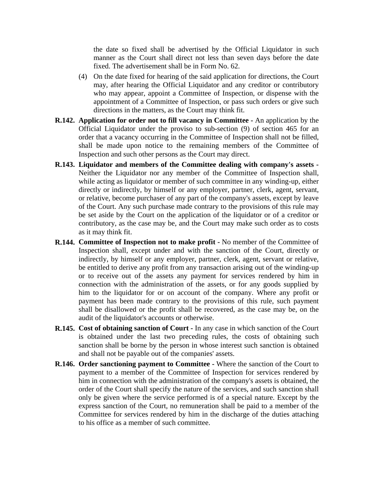the date so fixed shall be advertised by the Official Liquidator in such manner as the Court shall direct not less than seven days before the date fixed. The advertisement shall be in Form No. 62.

- (4) On the date fixed for hearing of the said application for directions, the Court may, after hearing the Official Liquidator and any creditor or contributory who may appear, appoint a Committee of Inspection, or dispense with the appointment of a Committee of Inspection, or pass such orders or give such directions in the matters, as the Court may think fit.
- **R.142. Application for order not to fill vacancy in Committee -** An application by the Official Liquidator under the proviso to sub-section (9) of section 465 for an order that a vacancy occurring in the Committee of Inspection shall not be filled, shall be made upon notice to the remaining members of the Committee of Inspection and such other persons as the Court may direct.
- **R.143. Liquidator and members of the Committee dealing with company's assets -** Neither the Liquidator nor any member of the Committee of Inspection shall, while acting as liquidator or member of such committee in any winding-up, either directly or indirectly, by himself or any employer, partner, clerk, agent, servant, or relative, become purchaser of any part of the company's assets, except by leave of the Court. Any such purchase made contrary to the provisions of this rule may be set aside by the Court on the application of the liquidator or of a creditor or contributory, as the case may be, and the Court may make such order as to costs as it may think fit.
- **R.144. Committee of Inspection not to make profit -** No member of the Committee of Inspection shall, except under and with the sanction of the Court, directly or indirectly, by himself or any employer, partner, clerk, agent, servant or relative, be entitled to derive any profit from any transaction arising out of the winding-up or to receive out of the assets any payment for services rendered by him in connection with the administration of the assets, or for any goods supplied by him to the liquidator for or on account of the company. Where any profit or payment has been made contrary to the provisions of this rule, such payment shall be disallowed or the profit shall be recovered, as the case may be, on the audit of the liquidator's accounts or otherwise.
- **R.145. Cost of obtaining sanction of Court -** In any case in which sanction of the Court is obtained under the last two preceding rules, the costs of obtaining such sanction shall be borne by the person in whose interest such sanction is obtained and shall not be payable out of the companies' assets.
- **R.146. Order sanctioning payment to Committee -** Where the sanction of the Court to payment to a member of the Committee of Inspection for services rendered by him in connection with the administration of the company's assets is obtained, the order of the Court shall specify the nature of the services, and such sanction shall only be given where the service performed is of a special nature. Except by the express sanction of the Court, no remuneration shall be paid to a member of the Committee for services rendered by him in the discharge of the duties attaching to his office as a member of such committee.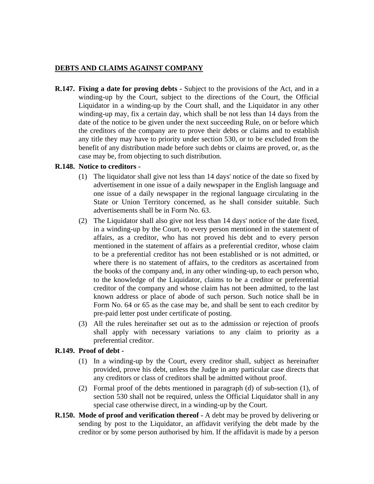## **DEBTS AND CLAIMS AGAINST COMPANY**

**R.147. Fixing a date for proving debts -** Subject to the provisions of the Act, and in a winding-up by the Court, subject to the directions of the Court, the Official Liquidator in a winding-up by the Court shall, and the Liquidator in any other winding-up may, fix a certain day, which shall be not less than 14 days from the date of the notice to be given under the next succeeding Rule, on or before which the creditors of the company are to prove their debts or claims and to establish any title they may have to priority under section 530, or to be excluded from the benefit of any distribution made before such debts or claims are proved, or, as the case may be, from objecting to such distribution.

## **R.148. Notice to creditors -**

- (1) The liquidator shall give not less than 14 days' notice of the date so fixed by advertisement in one issue of a daily newspaper in the English language and one issue of a daily newspaper in the regional language circulating in the State or Union Territory concerned, as he shall consider suitable. Such advertisements shall be in Form No. 63.
- (2) The Liquidator shall also give not less than 14 days' notice of the date fixed, in a winding-up by the Court, to every person mentioned in the statement of affairs, as a creditor, who has not proved his debt and to every person mentioned in the statement of affairs as a preferential creditor, whose claim to be a preferential creditor has not been established or is not admitted, or where there is no statement of affairs, to the creditors as ascertained from the books of the company and, in any other winding-up, to each person who, to the knowledge of the Liquidator, claims to be a creditor or preferential creditor of the company and whose claim has not been admitted, to the last known address or place of abode of such person. Such notice shall be in Form No. 64 or 65 as the case may be, and shall be sent to each creditor by pre-paid letter post under certificate of posting.
- (3) All the rules hereinafter set out as to the admission or rejection of proofs shall apply with necessary variations to any claim to priority as a preferential creditor.

# **R.149. Proof of debt -**

- (1) In a winding-up by the Court, every creditor shall, subject as hereinafter provided, prove his debt, unless the Judge in any particular case directs that any creditors or class of creditors shall be admitted without proof.
- (2) Formal proof of the debts mentioned in paragraph (d) of sub-section (1), of section 530 shall not be required, unless the Official Liquidator shall in any special case otherwise direct, in a winding-up by the Court.
- **R.150. Mode of proof and verification thereof -** A debt may be proved by delivering or sending by post to the Liquidator, an affidavit verifying the debt made by the creditor or by some person authorised by him. If the affidavit is made by a person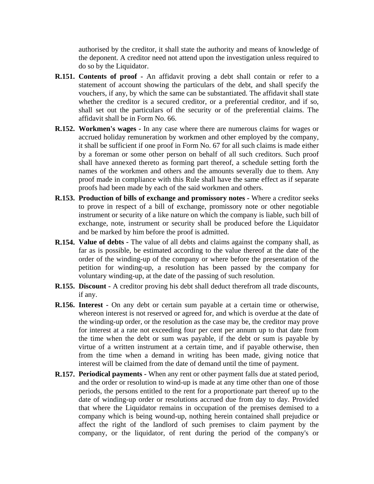authorised by the creditor, it shall state the authority and means of knowledge of the deponent. A creditor need not attend upon the investigation unless required to do so by the Liquidator.

- **R.151. Contents of proof -** An affidavit proving a debt shall contain or refer to a statement of account showing the particulars of the debt, and shall specify the vouchers, if any, by which the same can be substantiated. The affidavit shall state whether the creditor is a secured creditor, or a preferential creditor, and if so, shall set out the particulars of the security or of the preferential claims. The affidavit shall be in Form No. 66.
- **R.152. Workmen's wages -** In any case where there are numerous claims for wages or accrued holiday remuneration by workmen and other employed by the company, it shall be sufficient if one proof in Form No. 67 for all such claims is made either by a foreman or some other person on behalf of all such creditors. Such proof shall have annexed thereto as forming part thereof, a schedule setting forth the names of the workmen and others and the amounts severally due to them. Any proof made in compliance with this Rule shall have the same effect as if separate proofs had been made by each of the said workmen and others.
- **R.153. Production of bills of exchange and promissory notes -** Where a creditor seeks to prove in respect of a bill of exchange, promissory note or other negotiable instrument or security of a like nature on which the company is liable, such bill of exchange, note, instrument or security shall be produced before the Liquidator and be marked by him before the proof is admitted.
- **R.154. Value of debts -** The value of all debts and claims against the company shall, as far as is possible, be estimated according to the value thereof at the date of the order of the winding-up of the company or where before the presentation of the petition for winding-up, a resolution has been passed by the company for voluntary winding-up, at the date of the passing of such resolution.
- **R.155. Discount -** A creditor proving his debt shall deduct therefrom all trade discounts, if any.
- **R.156. Interest -** On any debt or certain sum payable at a certain time or otherwise, whereon interest is not reserved or agreed for, and which is overdue at the date of the winding-up order, or the resolution as the case may be, the creditor may prove for interest at a rate not exceeding four per cent per annum up to that date from the time when the debt or sum was payable, if the debt or sum is payable by virtue of a written instrument at a certain time, and if payable otherwise, then from the time when a demand in writing has been made, giving notice that interest will be claimed from the date of demand until the time of payment.
- **R.157. Periodical payments -** When any rent or other payment falls due at stated period, and the order or resolution to wind-up is made at any time other than one of those periods, the persons entitled to the rent for a proportionate part thereof up to the date of winding-up order or resolutions accrued due from day to day. Provided that where the Liquidator remains in occupation of the premises demised to a company which is being wound-up, nothing herein contained shall prejudice or affect the right of the landlord of such premises to claim payment by the company, or the liquidator, of rent during the period of the company's or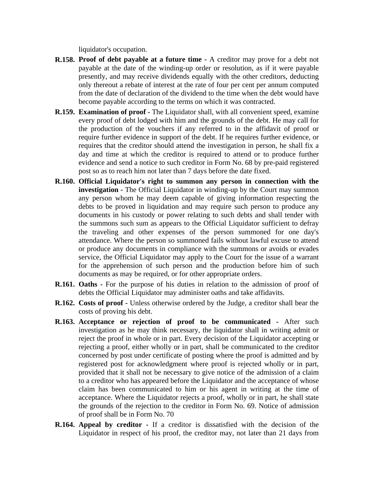liquidator's occupation.

- **R.158. Proof of debt payable at a future time -** A creditor may prove for a debt not payable at the date of the winding-up order or resolution, as if it were payable presently, and may receive dividends equally with the other creditors, deducting only thereout a rebate of interest at the rate of four per cent per annum computed from the date of declaration of the dividend to the time when the debt would have become payable according to the terms on which it was contracted.
- **R.159. Examination of proof -** The Liquidator shall, with all convenient speed, examine every proof of debt lodged with him and the grounds of the debt. He may call for the production of the vouchers if any referred to in the affidavit of proof or require further evidence in support of the debt. If he requires further evidence, or requires that the creditor should attend the investigation in person, he shall fix a day and time at which the creditor is required to attend or to produce further evidence and send a notice to such creditor in Form No. 68 by pre-paid registered post so as to reach him not later than 7 days before the date fixed.
- **R.160. Official Liquidator's right to summon any person in connection with the investigation -** The Official Liquidator in winding-up by the Court may summon any person whom he may deem capable of giving information respecting the debts to be proved in liquidation and may require such person to produce any documents in his custody or power relating to such debts and shall tender with the summons such sum as appears to the Official Liquidator sufficient to defray the traveling and other expenses of the person summoned for one day's attendance. Where the person so summoned fails without lawful excuse to attend or produce any documents in compliance with the summons or avoids or evades service, the Official Liquidator may apply to the Court for the issue of a warrant for the apprehension of such person and the production before him of such documents as may be required, or for other appropriate orders.
- **R.161. Oaths -** For the purpose of his duties in relation to the admission of proof of debts the Official Liquidator may administer oaths and take affidavits.
- **R.162. Costs of proof -** Unless otherwise ordered by the Judge, a creditor shall bear the costs of proving his debt.
- **R.163. Acceptance or rejection of proof to be communicated -** After such investigation as he may think necessary, the liquidator shall in writing admit or reject the proof in whole or in part. Every decision of the Liquidator accepting or rejecting a proof, either wholly or in part, shall be communicated to the creditor concerned by post under certificate of posting where the proof is admitted and by registered post for acknowledgment where proof is rejected wholly or in part, provided that it shall not be necessary to give notice of the admission of a claim to a creditor who has appeared before the Liquidator and the acceptance of whose claim has been communicated to him or his agent in writing at the time of acceptance. Where the Liquidator rejects a proof, wholly or in part, he shall state the grounds of the rejection to the creditor in Form No. 69. Notice of admission of proof shall be in Form No. 70
- **R.164. Appeal by creditor -** If a creditor is dissatisfied with the decision of the Liquidator in respect of his proof, the creditor may, not later than 21 days from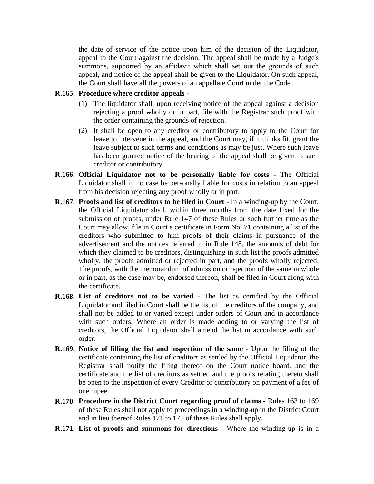the date of service of the notice upon him of the decision of the Liquidator, appeal to the Court against the decision. The appeal shall be made by a Judge's summons, supported by an affidavit which shall set out the grounds of such appeal, and notice of the appeal shall be given to the Liquidator. On such appeal, the Court shall have all the powers of an appellate Court under the Code.

#### **R.165. Procedure where creditor appeals -**

- (1) The liquidator shall, upon receiving notice of the appeal against a decision rejecting a proof wholly or in part, file with the Registrar such proof with the order containing the grounds of rejection.
- (2) It shall be open to any creditor or contributory to apply to the Court for leave to intervene in the appeal, and the Court may, if it thinks fit, grant the leave subject to such terms and conditions as may be just. Where such leave has been granted notice of the hearing of the appeal shall be given to such creditor or contributory.
- **R.166. Official Liquidator not to be personally liable for costs -** The Official Liquidator shall in no case be personally liable for costs in relation to an appeal from his decision rejecting any proof wholly or in part.
- **R.167. Proofs and list of creditors to be filed in Court -** In a winding-up by the Court, the Official Liquidator shall, within three months from the date fixed for the submission of proofs, under Rule 147 of these Rules or such further time as the Court may allow, file in Court a certificate in Form No. 71 containing a list of the creditors who submitted to him proofs of their claims in pursuance of the advertisement and the notices referred to in Rule 148, the amounts of debt for which they claimed to be creditors, distinguishing in such list the proofs admitted wholly, the proofs admitted or rejected in part, and the proofs wholly rejected. The proofs, with the memorandum of admission or rejection of the same in whole or in part, as the case may be, endorsed thereon, shall be filed in Court along with the certificate.
- **R.168. List of creditors not to be varied -** The list as certified by the Official Liquidator and filed in Court shall be the list of the creditors of the company, and shall not be added to or varied except under orders of Court and in accordance with such orders. Where an order is made adding to or varying the list of creditors, the Official Liquidator shall amend the list in accordance with such order.
- **R.169. Notice of filling the list and inspection of the same -** Upon the filing of the certificate containing the list of creditors as settled by the Official Liquidator, the Registrar shall notify the filing thereof on the Court notice board, and the certificate and the list of creditors as settled and the proofs relating thereto shall be open to the inspection of every Creditor or contributory on payment of a fee of one rupee.
- **R.170. Procedure in the District Court regarding proof of claims -** Rules 163 to 169 of these Rules shall not apply to proceedings in a winding-up in the District Court and in lieu thereof Rules 171 to 175 of these Rules shall apply.
- **R.171. List of proofs and summons for directions -** Where the winding-up is in a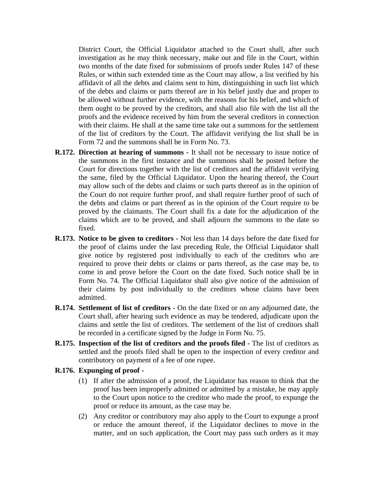District Court, the Official Liquidator attached to the Court shall, after such investigation as he may think necessary, make out and file in the Court, within two months of the date fixed for submissions of proofs under Rules 147 of these Rules, or within such extended time as the Court may allow, a list verified by his affidavit of all the debts and claims sent to him, distinguishing in such list which of the debts and claims or parts thereof are in his belief justly due and proper to be allowed without further evidence, with the reasons for his belief, and which of them ought to be proved by the creditors, and shall also file with the list all the proofs and the evidence received by him from the several creditors in connection with their claims. He shall at the same time take out a summons for the settlement of the list of creditors by the Court. The affidavit verifying the list shall be in Form 72 and the summons shall be in Form No. 73.

- **R.172. Direction at hearing of summons -** It shall not be necessary to issue notice of the summons in the first instance and the summons shall be posted before the Court for directions together with the list of creditors and the affidavit verifying the same, filed by the Official Liquidator. Upon the hearing thereof, the Court may allow such of the debts and claims or such parts thereof as in the opinion of the Court do not require further proof, and shall require further proof of such of the debts and claims or part thereof as in the opinion of the Court require to be proved by the claimants. The Court shall fix a date for the adjudication of the claims which are to be proved, and shall adjourn the summons to the date so fixed.
- **R.173. Notice to be given to creditors -** Not less than 14 days before the date fixed for the proof of claims under the last preceding Rule, the Official Liquidator shall give notice by registered post individually to each of the creditors who are required to prove their debts or claims or parts thereof, as the case may be, to come in and prove before the Court on the date fixed. Such notice shall be in Form No. 74. The Official Liquidator shall also give notice of the admission of their claims by post individually to the creditors whose claims have been admitted.
- **R.174. Settlement of list of creditors -** On the date fixed or on any adjourned date, the Court shall, after hearing such evidence as may be tendered, adjudicate upon the claims and settle the list of creditors. The settlement of the list of creditors shall be recorded in a certificate signed by the Judge in Form No. 75.
- **R.175. Inspection of the list of creditors and the proofs filed -** The list of creditors as settled and the proofs filed shall be open to the inspection of every creditor and contributory on payment of a fee of one rupee.
- **R.176. Expunging of proof -**
	- (1) If after the admission of a proof, the Liquidator has reason to think that the proof has been improperly admitted or admitted by a mistake, he may apply to the Court upon notice to the creditor who made the proof, to expunge the proof or reduce its amount, as the case may be.
	- (2) Any creditor or contributory may also apply to the Court to expunge a proof or reduce the amount thereof, if the Liquidator declines to move in the matter, and on such application, the Court may pass such orders as it may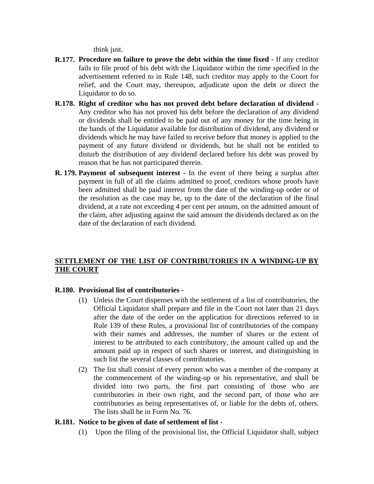think just.

- **R.177. Procedure on failure to prove the debt within the time fixed -** If any creditor fails to file proof of his debt with the Liquidator within the time specified in the advertisement referred to in Rule 148, such creditor may apply to the Court for relief, and the Court may, thereupon, adjudicate upon the debt or direct the Liquidator to do so.
- **R.178. Right of creditor who has not proved debt before declaration of dividend -** Any creditor who has not proved his debt before the declaration of any dividend or dividends shall be entitled to be paid out of any money for the time being in the hands of the Liquidator available for distribution of dividend, any dividend or dividends which he may have failed to receive before that money is applied to the payment of any future dividend or dividends, but he shall not be entitled to disturb the distribution of any dividend declared before his debt was proved by reason that he has not participated therein.
- **R. 179. Payment of subsequent interest -** In the event of there being a surplus after payment in full of all the claims admitted to proof, creditors whose proofs have been admitted shall be paid interest from the date of the winding-up order or of the resolution as the case may be, up to the date of the declaration of the final dividend, at a rate not exceeding 4 per cent per annum, on the admitted amount of the claim, after adjusting against the said amount the dividends declared as on the date of the declaration of each dividend.

## **SETTLEMENT OF THE LIST OF CONTRIBUTORIES IN A WINDING-UP BY THE COURT**

## **R.180. Provisional list of contributories -**

- (1) Unless the Court dispenses with the settlement of a list of contributories, the Official Liquidator shall prepare and file in the Court not later than 21 days after the date of the order on the application for directions referred to in Rule 139 of these Rules, a provisional list of contributories of the company with their names and addresses, the number of shares or the extent of interest to be attributed to each contributory, the amount called up and the amount paid up in respect of such shares or interest, and distinguishing in such list the several classes of contributories.
- (2) The list shall consist of every person who was a member of the company at the commencement of the winding-up or his representative, and shall be divided into two parts, the first part consisting of those who are contributories in their own right, and the second part, of those who are contributories as being representatives of, or liable for the debts of, others. The lists shall be in Form No. 76.

## **R.181. Notice to be given of date of settlement of list -**

(1) Upon the filing of the provisional list, the Official Liquidator shall, subject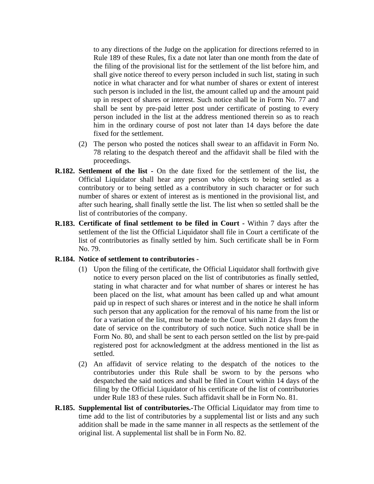to any directions of the Judge on the application for directions referred to in Rule 189 of these Rules, fix a date not later than one month from the date of the filing of the provisional list for the settlement of the list before him, and shall give notice thereof to every person included in such list, stating in such notice in what character and for what number of shares or extent of interest such person is included in the list, the amount called up and the amount paid up in respect of shares or interest. Such notice shall be in Form No. 77 and shall be sent by pre-paid letter post under certificate of posting to every person included in the list at the address mentioned therein so as to reach him in the ordinary course of post not later than 14 days before the date fixed for the settlement.

- (2) The person who posted the notices shall swear to an affidavit in Form No. 78 relating to the despatch thereof and the affidavit shall be filed with the proceedings.
- **R.182. Settlement of the list -** On the date fixed for the settlement of the list, the Official Liquidator shall hear any person who objects to being settled as a contributory or to being settled as a contributory in such character or for such number of shares or extent of interest as is mentioned in the provisional list, and after such hearing, shall finally settle the list. The list when so settled shall be the list of contributories of the company.
- **R.183. Certificate of final settlement to be filed in Court -** Within 7 days after the settlement of the list the Official Liquidator shall file in Court a certificate of the list of contributories as finally settled by him. Such certificate shall be in Form No. 79.

## **R.184. Notice of settlement to contributories -**

- (1) Upon the filing of the certificate, the Official Liquidator shall forthwith give notice to every person placed on the list of contributories as finally settled, stating in what character and for what number of shares or interest he has been placed on the list, what amount has been called up and what amount paid up in respect of such shares or interest and in the notice he shall inform such person that any application for the removal of his name from the list or for a variation of the list, must be made to the Court within 21 days from the date of service on the contributory of such notice. Such notice shall be in Form No. 80, and shall be sent to each person settled on the list by pre-paid registered post for acknowledgment at the address mentioned in the list as settled.
- (2) An affidavit of service relating to the despatch of the notices to the contributories under this Rule shall be sworn to by the persons who despatched the said notices and shall be filed in Court within 14 days of the filing by the Official Liquidator of his certificate of the list of contributories under Rule 183 of these rules. Such affidavit shall be in Form No. 81.
- **R.185. Supplemental list of contributories.-**The Official Liquidator may from time to time add to the list of contributories by a supplemental list or lists and any such addition shall be made in the same manner in all respects as the settlement of the original list. A supplemental list shall be in Form No. 82.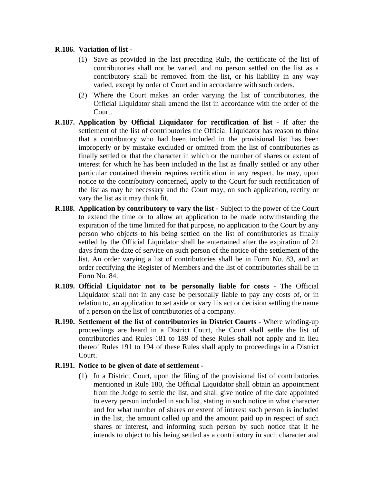## **R.186. Variation of list -**

- (1) Save as provided in the last preceding Rule, the certificate of the list of contributories shall not be varied, and no person settled on the list as a contributory shall be removed from the list, or his liability in any way varied, except by order of Court and in accordance with such orders.
- (2) Where the Court makes an order varying the list of contributories, the Official Liquidator shall amend the list in accordance with the order of the Court.
- **R.187. Application by Official Liquidator for rectification of list -** If after the settlement of the list of contributories the Official Liquidator has reason to think that a contributory who had been included in the provisional list has been improperly or by mistake excluded or omitted from the list of contributories as finally settled or that the character in which or the number of shares or extent of interest for which he has been included in the list as finally settled or any other particular contained therein requires rectification in any respect, he may, upon notice to the contributory concerned, apply to the Court for such rectification of the list as may be necessary and the Court may, on such application, rectify or vary the list as it may think fit.
- **R.188. Application by contributory to vary the list -** Subject to the power of the Court to extend the time or to allow an application to be made notwithstanding the expiration of the time limited for that purpose, no application to the Court by any person who objects to his being settled on the list of contributories as finally settled by the Official Liquidator shall be entertained after the expiration of 21 days from the date of service on such person of the notice of the settlement of the list. An order varying a list of contributories shall be in Form No. 83, and an order rectifying the Register of Members and the list of contributories shall be in Form No. 84.
- **R.189. Official Liquidator not to be personally liable for costs -** The Official Liquidator shall not in any case be personally liable to pay any costs of, or in relation to, an application to set aside or vary his act or decision settling the name of a person on the list of contributories of a company.
- **R.190. Settlement of the list of contributories in District Courts -** Where winding-up proceedings are heard in a District Court, the Court shall settle the list of contributories and Rules 181 to 189 of these Rules shall not apply and in lieu thereof Rules 191 to 194 of these Rules shall apply to proceedings in a District Court.

## **R.191. Notice to be given of date of settlement -**

(1) In a District Court, upon the filing of the provisional list of contributories mentioned in Rule 180, the Official Liquidator shall obtain an appointment from the Judge to settle the list, and shall give notice of the date appointed to every person included in such list, stating in such notice in what character and for what number of shares or extent of interest such person is included in the list, the amount called up and the amount paid up in respect of such shares or interest, and informing such person by such notice that if he intends to object to his being settled as a contributory in such character and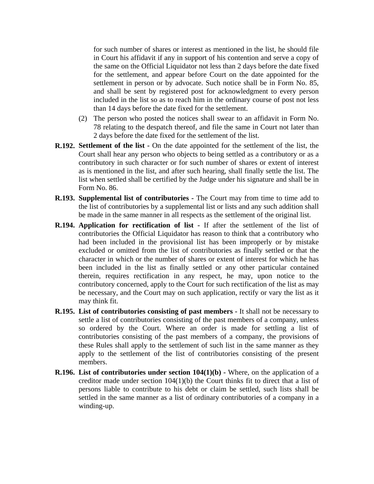for such number of shares or interest as mentioned in the list, he should file in Court his affidavit if any in support of his contention and serve a copy of the same on the Official Liquidator not less than 2 days before the date fixed for the settlement, and appear before Court on the date appointed for the settlement in person or by advocate. Such notice shall be in Form No. 85, and shall be sent by registered post for acknowledgment to every person included in the list so as to reach him in the ordinary course of post not less than 14 days before the date fixed for the settlement.

- (2) The person who posted the notices shall swear to an affidavit in Form No. 78 relating to the despatch thereof, and file the same in Court not later than 2 days before the date fixed for the settlement of the list.
- **R.192. Settlement of the list -** On the date appointed for the settlement of the list, the Court shall hear any person who objects to being settled as a contributory or as a contributory in such character or for such number of shares or extent of interest as is mentioned in the list, and after such hearing, shall finally settle the list. The list when settled shall be certified by the Judge under his signature and shall be in Form No. 86.
- **R.193. Supplemental list of contributories -** The Court may from time to time add to the list of contributories by a supplemental list or lists and any such addition shall be made in the same manner in all respects as the settlement of the original list.
- **R.194. Application for rectification of list -** If after the settlement of the list of contributories the Official Liquidator has reason to think that a contributory who had been included in the provisional list has been improperly or by mistake excluded or omitted from the list of contributories as finally settled or that the character in which or the number of shares or extent of interest for which he has been included in the list as finally settled or any other particular contained therein, requires rectification in any respect, he may, upon notice to the contributory concerned, apply to the Court for such rectification of the list as may be necessary, and the Court may on such application, rectify or vary the list as it may think fit.
- **R.195. List of contributories consisting of past members -** It shall not be necessary to settle a list of contributories consisting of the past members of a company, unless so ordered by the Court. Where an order is made for settling a list of contributories consisting of the past members of a company, the provisions of these Rules shall apply to the settlement of such list in the same manner as they apply to the settlement of the list of contributories consisting of the present members.
- **R.196. List of contributories under section 104(1)(b) -** Where, on the application of a creditor made under section 104(1)(b) the Court thinks fit to direct that a list of persons liable to contribute to his debt or claim be settled, such lists shall be settled in the same manner as a list of ordinary contributories of a company in a winding-up.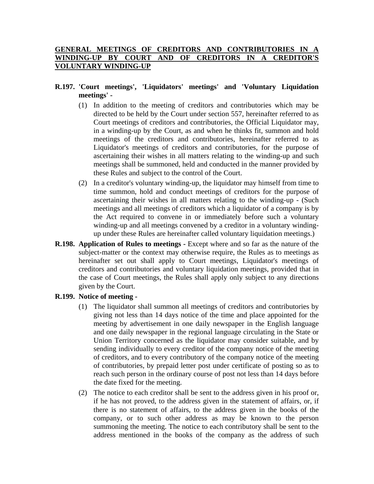## GENERAL MEETINGS OF CREDITORS AND CONTRIBUTORIES IN **WINDING-UP BY COURT AND OF CREDITORS IN A CREDITOR'S VOLUNTARY WINDING-UP**

## **R.197. 'Court meetings', 'Liquidators' meetings' and 'Voluntary Liquidation meetings' -**

- (1) In addition to the meeting of creditors and contributories which may be directed to be held by the Court under section 557, hereinafter referred to as Court meetings of creditors and contributories, the Official Liquidator may, in a winding-up by the Court, as and when he thinks fit, summon and hold meetings of the creditors and contributories, hereinafter referred to as Liquidator's meetings of creditors and contributories, for the purpose of ascertaining their wishes in all matters relating to the winding-up and such meetings shall be summoned, held and conducted in the manner provided by these Rules and subject to the control of the Court.
- (2) In a creditor's voluntary winding-up, the liquidator may himself from time to time summon, hold and conduct meetings of creditors for the purpose of ascertaining their wishes in all matters relating to the winding-up - (Such meetings and all meetings of creditors which a liquidator of a company is by the Act required to convene in or immediately before such a voluntary winding-up and all meetings convened by a creditor in a voluntary windingup under these Rules are hereinafter called voluntary liquidation meetings.)
- **R.198. Application of Rules to meetings -** Except where and so far as the nature of the subject-matter or the context may otherwise require, the Rules as to meetings as hereinafter set out shall apply to Court meetings, Liquidator's meetings of creditors and contributories and voluntary liquidation meetings, provided that in the case of Court meetings, the Rules shall apply only subject to any directions given by the Court.

## **R.199. Notice of meeting -**

- (1) The liquidator shall summon all meetings of creditors and contributories by giving not less than 14 days notice of the time and place appointed for the meeting by advertisement in one daily newspaper in the English language and one daily newspaper in the regional language circulating in the State or Union Territory concerned as the liquidator may consider suitable, and by sending individually to every creditor of the company notice of the meeting of creditors, and to every contributory of the company notice of the meeting of contributories, by prepaid letter post under certificate of posting so as to reach such person in the ordinary course of post not less than 14 days before the date fixed for the meeting.
- (2) The notice to each creditor shall be sent to the address given in his proof or, if he has not proved, to the address given in the statement of affairs, or, if there is no statement of affairs, to the address given in the books of the company, or to such other address as may be known to the person summoning the meeting. The notice to each contributory shall be sent to the address mentioned in the books of the company as the address of such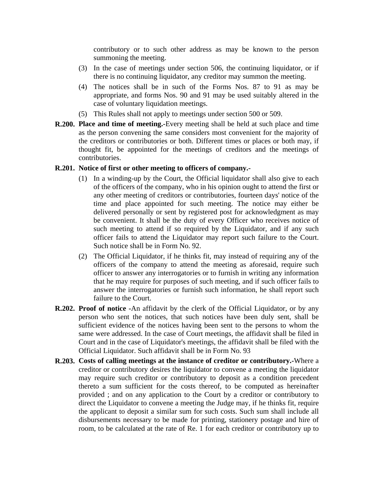contributory or to such other address as may be known to the person summoning the meeting.

- (3) In the case of meetings under section 506, the continuing liquidator, or if there is no continuing liquidator, any creditor may summon the meeting.
- (4) The notices shall be in such of the Forms Nos. 87 to 91 as may be appropriate, and forms Nos. 90 and 91 may be used suitably altered in the case of voluntary liquidation meetings.
- (5) This Rules shall not apply to meetings under section 500 or 509.
- **R.200. Place and time of meeting.-**Every meeting shall be held at such place and time as the person convening the same considers most convenient for the majority of the creditors or contributories or both. Different times or places or both may, if thought fit, be appointed for the meetings of creditors and the meetings of contributories.

### **R.201. Notice of first or other meeting to officers of company.-**

- (1) In a winding-up by the Court, the Official liquidator shall also give to each of the officers of the company, who in his opinion ought to attend the first or any other meeting of creditors or contributories, fourteen days' notice of the time and place appointed for such meeting. The notice may either be delivered personally or sent by registered post for acknowledgment as may be convenient. It shall be the duty of every Officer who receives notice of such meeting to attend if so required by the Liquidator, and if any such officer fails to attend the Liquidator may report such failure to the Court. Such notice shall be in Form No. 92.
- (2) The Official Liquidator, if he thinks fit, may instead of requiring any of the officers of the company to attend the meeting as aforesaid, require such officer to answer any interrogatories or to furnish in writing any information that he may require for purposes of such meeting, and if such officer fails to answer the interrogatories or furnish such information, he shall report such failure to the Court.
- **R.202. Proof of notice -**An affidavit by the clerk of the Official Liquidator, or by any person who sent the notices, that such notices have been duly sent, shall be sufficient evidence of the notices having been sent to the persons to whom the same were addressed. In the case of Court meetings, the affidavit shall be filed in Court and in the case of Liquidator's meetings, the affidavit shall be filed with the Official Liquidator. Such affidavit shall be in Form No. 93
- **R.203. Costs of calling meetings at the instance of creditor or contributory.-**Where a creditor or contributory desires the liquidator to convene a meeting the liquidator may require such creditor or contributory to deposit as a condition precedent thereto a sum sufficient for the costs thereof, to be computed as hereinafter provided ; and on any application to the Court by a creditor or contributory to direct the Liquidator to convene a meeting the Judge may, if he thinks fit, require the applicant to deposit a similar sum for such costs. Such sum shall include all disbursements necessary to be made for printing, stationery postage and hire of room, to be calculated at the rate of Re. 1 for each creditor or contributory up to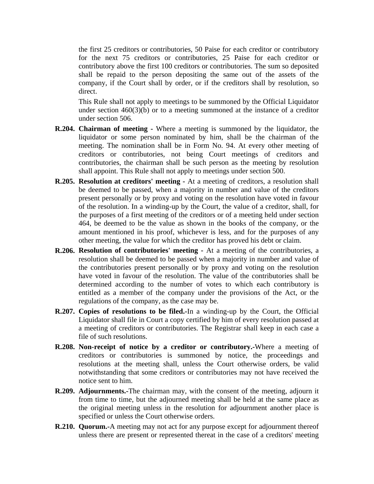the first 25 creditors or contributories, 50 Paise for each creditor or contributory for the next 75 creditors or contributories, 25 Paise for each creditor or contributory above the first 100 creditors or contributories. The sum so deposited shall be repaid to the person depositing the same out of the assets of the company, if the Court shall by order, or if the creditors shall by resolution, so direct.

This Rule shall not apply to meetings to be summoned by the Official Liquidator under section 460(3)(b) or to a meeting summoned at the instance of a creditor under section 506.

- **R.204. Chairman of meeting -** Where a meeting is summoned by the liquidator, the liquidator or some person nominated by him, shall be the chairman of the meeting. The nomination shall be in Form No. 94. At every other meeting of creditors or contributories, not being Court meetings of creditors and contributories, the chairman shall be such person as the meeting by resolution shall appoint. This Rule shall not apply to meetings under section 500.
- **R.205. Resolution at creditors' meeting -** At a meeting of creditors, a resolution shall be deemed to be passed, when a majority in number and value of the creditors present personally or by proxy and voting on the resolution have voted in favour of the resolution. In a winding-up by the Court, the value of a creditor, shall, for the purposes of a first meeting of the creditors or of a meeting held under section 464, be deemed to be the value as shown in the books of the company, or the amount mentioned in his proof, whichever is less, and for the purposes of any other meeting, the value for which the creditor has proved his debt or claim.
- **R.206. Resolution of contributories' meeting -** At a meeting of the contributories, a resolution shall be deemed to be passed when a majority in number and value of the contributories present personally or by proxy and voting on the resolution have voted in favour of the resolution. The value of the contributories shall be determined according to the number of votes to which each contributory is entitled as a member of the company under the provisions of the Act, or the regulations of the company, as the case may be.
- **R.207. Copies of resolutions to be filed.-**In a winding-up by the Court, the Official Liquidator shall file in Court a copy certified by him of every resolution passed at a meeting of creditors or contributories. The Registrar shall keep in each case a file of such resolutions.
- **R.208. Non-receipt of notice by a creditor or contributory.-**Where a meeting of creditors or contributories is summoned by notice, the proceedings and resolutions at the meeting shall, unless the Court otherwise orders, be valid notwithstanding that some creditors or contributories may not have received the notice sent to him.
- **R.209. Adjournments.-**The chairman may, with the consent of the meeting, adjourn it from time to time, but the adjourned meeting shall be held at the same place as the original meeting unless in the resolution for adjournment another place is specified or unless the Court otherwise orders.
- **R.210. Quorum.-**A meeting may not act for any purpose except for adjournment thereof unless there are present or represented thereat in the case of a creditors' meeting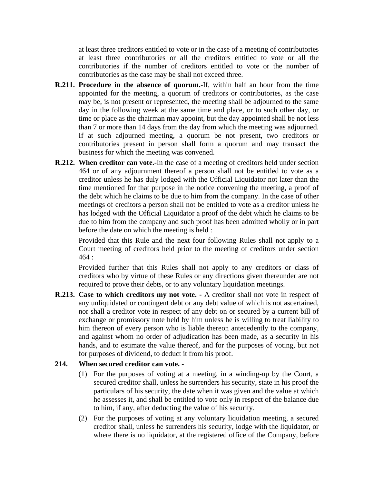at least three creditors entitled to vote or in the case of a meeting of contributories at least three contributories or all the creditors entitled to vote or all the contributories if the number of creditors entitled to vote or the number of contributories as the case may be shall not exceed three.

- **R.211. Procedure in the absence of quorum.-**If, within half an hour from the time appointed for the meeting, a quorum of creditors or contributories, as the case may be, is not present or represented, the meeting shall be adjourned to the same day in the following week at the same time and place, or to such other day, or time or place as the chairman may appoint, but the day appointed shall be not less than 7 or more than 14 days from the day from which the meeting was adjourned. If at such adjourned meeting, a quorum be not present, two creditors or contributories present in person shall form a quorum and may transact the business for which the meeting was convened.
- **R.212. When creditor can vote.-**In the case of a meeting of creditors held under section 464 or of any adjournment thereof a person shall not be entitled to vote as a creditor unless he has duly lodged with the Official Liquidator not later than the time mentioned for that purpose in the notice convening the meeting, a proof of the debt which he claims to be due to him from the company. In the case of other meetings of creditors a person shall not be entitled to vote as a creditor unless he has lodged with the Official Liquidator a proof of the debt which he claims to be due to him from the company and such proof has been admitted wholly or in part before the date on which the meeting is held :

Provided that this Rule and the next four following Rules shall not apply to a Court meeting of creditors held prior to the meeting of creditors under section 464 :

Provided further that this Rules shall not apply to any creditors or class of creditors who by virtue of these Rules or any directions given thereunder are not required to prove their debts, or to any voluntary liquidation meetings.

**R.213. Case to which creditors my not vote. -** A creditor shall not vote in respect of any unliquidated or contingent debt or any debt value of which is not ascertained, nor shall a creditor vote in respect of any debt on or secured by a current bill of exchange or promissory note held by him unless he is willing to treat liability to him thereon of every person who is liable thereon antecedently to the company, and against whom no order of adjudication has been made, as a security in his hands, and to estimate the value thereof, and for the purposes of voting, but not for purposes of dividend, to deduct it from his proof.

### **214. When secured creditor can vote. -**

- (1) For the purposes of voting at a meeting, in a winding-up by the Court, a secured creditor shall, unless he surrenders his security, state in his proof the particulars of his security, the date when it was given and the value at which he assesses it, and shall be entitled to vote only in respect of the balance due to him, if any, after deducting the value of his security.
- (2) For the purposes of voting at any voluntary liquidation meeting, a secured creditor shall, unless he surrenders his security, lodge with the liquidator, or where there is no liquidator, at the registered office of the Company, before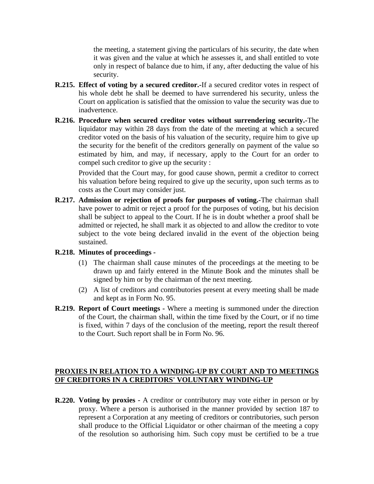the meeting, a statement giving the particulars of his security, the date when it was given and the value at which he assesses it, and shall entitled to vote only in respect of balance due to him, if any, after deducting the value of his security.

- **R.215. Effect of voting by a secured creditor.-**If a secured creditor votes in respect of his whole debt he shall be deemed to have surrendered his security, unless the Court on application is satisfied that the omission to value the security was due to inadvertence.
- **R.216. Procedure when secured creditor votes without surrendering security.-**The liquidator may within 28 days from the date of the meeting at which a secured creditor voted on the basis of his valuation of the security, require him to give up the security for the benefit of the creditors generally on payment of the value so estimated by him, and may, if necessary, apply to the Court for an order to compel such creditor to give up the security :

Provided that the Court may, for good cause shown, permit a creditor to correct his valuation before being required to give up the security, upon such terms as to costs as the Court may consider just.

**R.217. Admission or rejection of proofs for purposes of voting.-**The chairman shall have power to admit or reject a proof for the purposes of voting, but his decision shall be subject to appeal to the Court. If he is in doubt whether a proof shall be admitted or rejected, he shall mark it as objected to and allow the creditor to vote subject to the vote being declared invalid in the event of the objection being sustained.

## **R.218. Minutes of proceedings -**

- (1) The chairman shall cause minutes of the proceedings at the meeting to be drawn up and fairly entered in the Minute Book and the minutes shall be signed by him or by the chairman of the next meeting.
- (2) A list of creditors and contributories present at every meeting shall be made and kept as in Form No. 95.
- **R.219. Report of Court meetings -** Where a meeting is summoned under the direction of the Court, the chairman shall, within the time fixed by the Court, or if no time is fixed, within 7 days of the conclusion of the meeting, report the result thereof to the Court. Such report shall be in Form No. 96.

## **PROXIES IN RELATION TO A WINDING-UP BY COURT AND TO MEETINGS OF CREDITORS IN A CREDITORS' VOLUNTARY WINDING-UP**

**R.220. Voting by proxies -** A creditor or contributory may vote either in person or by proxy. Where a person is authorised in the manner provided by section 187 to represent a Corporation at any meeting of creditors or contributories, such person shall produce to the Official Liquidator or other chairman of the meeting a copy of the resolution so authorising him. Such copy must be certified to be a true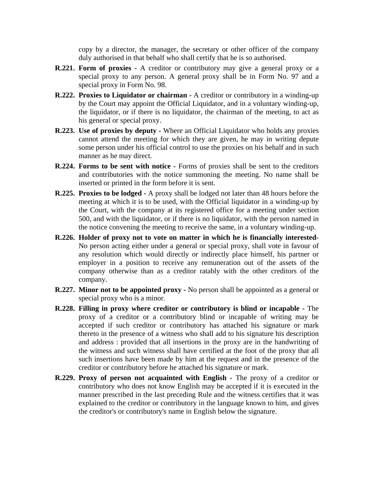copy by a director, the manager, the secretary or other officer of the company duly authorised in that behalf who shall certify that he is so authorised.

- **R.221. Form of proxies -** A creditor or contributory may give a general proxy or a special proxy to any person. A general proxy shall be in Form No. 97 and a special proxy in Form No. 98.
- **R.222. Proxies to Liquidator or chairman -** A creditor or contributory in a winding-up by the Court may appoint the Official Liquidator, and in a voluntary winding-up, the liquidator, or if there is no liquidator, the chairman of the meeting, to act as his general or special proxy.
- **R.223. Use of proxies by deputy -** Where an Official Liquidator who holds any proxies cannot attend the meeting for which they are given, he may in writing depute some person under his official control to use the proxies on his behalf and in such manner as he may direct.
- **R.224. Forms to be sent with notice -** Forms of proxies shall be sent to the creditors and contributories with the notice summoning the meeting. No name shall be inserted or printed in the form before it is sent.
- **R.225. Proxies to be lodged -** A proxy shall be lodged not later than 48 hours before the meeting at which it is to be used, with the Official liquidator in a winding-up by the Court, with the company at its registered office for a meeting under section 500, and with the liquidator, or if there is no liquidator, with the person named in the notice convening the meeting to receive the same, in a voluntary winding-up.
- **R.226. Holder of proxy not to vote on matter in which he is financially interested**-No person acting either under a general or special proxy, shall vote in favour of any resolution which would directly or indirectly place himself, his partner or employer in a position to receive any remuneration out of the assets of the company otherwise than as a creditor ratably with the other creditors of the company.
- **R.227. Minor not to be appointed proxy -** No person shall be appointed as a general or special proxy who is a minor.
- **R.228. Filling in proxy where creditor or contributory is blind or incapable -** The proxy of a creditor or a contributory blind or incapable of writing may be accepted if such creditor or contributory has attached his signature or mark thereto in the presence of a witness who shall add to his signature his description and address : provided that all insertions in the proxy are in the handwriting of the witness and such witness shall have certified at the foot of the proxy that all such insertions have been made by him at the request and in the presence of the creditor or contributory before he attached his signature or mark.
- **R.229. Proxy of person not acquainted with English -** The proxy of a creditor or contributory who does not know English may be accepted if it is executed in the manner prescribed in the last preceding Rule and the witness certifies that it was explained to the creditor or contributory in the language known to him, and gives the creditor's or contributory's name in English below the signature.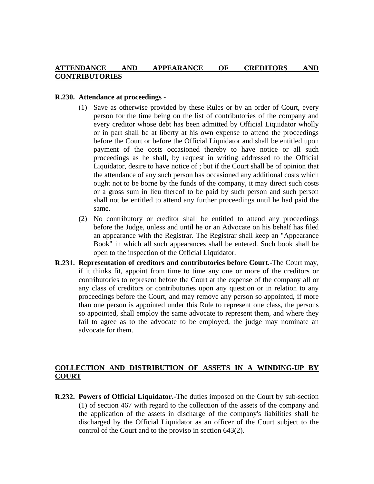## **ATTENDANCE AND APPEARANCE OF CREDITORS AND CONTRIBUTORIES**

### **R.230. Attendance at proceedings -**

- (1) Save as otherwise provided by these Rules or by an order of Court, every person for the time being on the list of contributories of the company and every creditor whose debt has been admitted by Official Liquidator wholly or in part shall be at liberty at his own expense to attend the proceedings before the Court or before the Official Liquidator and shall be entitled upon payment of the costs occasioned thereby to have notice or all such proceedings as he shall, by request in writing addressed to the Official Liquidator, desire to have notice of ; but if the Court shall be of opinion that the attendance of any such person has occasioned any additional costs which ought not to be borne by the funds of the company, it may direct such costs or a gross sum in lieu thereof to be paid by such person and such person shall not be entitled to attend any further proceedings until he had paid the same.
- (2) No contributory or creditor shall be entitled to attend any proceedings before the Judge, unless and until he or an Advocate on his behalf has filed an appearance with the Registrar. The Registrar shall keep an "Appearance Book" in which all such appearances shall be entered. Such book shall be open to the inspection of the Official Liquidator.
- **R.231. Representation of creditors and contributories before Court.-**The Court may, if it thinks fit, appoint from time to time any one or more of the creditors or contributories to represent before the Court at the expense of the company all or any class of creditors or contributories upon any question or in relation to any proceedings before the Court, and may remove any person so appointed, if more than one person is appointed under this Rule to represent one class, the persons so appointed, shall employ the same advocate to represent them, and where they fail to agree as to the advocate to be employed, the judge may nominate an advocate for them.

# **COLLECTION AND DISTRIBUTION OF ASSETS IN A WINDING-UP BY COURT**

**R.232. Powers of Official Liquidator.-**The duties imposed on the Court by sub-section (1) of section 467 with regard to the collection of the assets of the company and the application of the assets in discharge of the company's liabilities shall be discharged by the Official Liquidator as an officer of the Court subject to the control of the Court and to the proviso in section 643(2).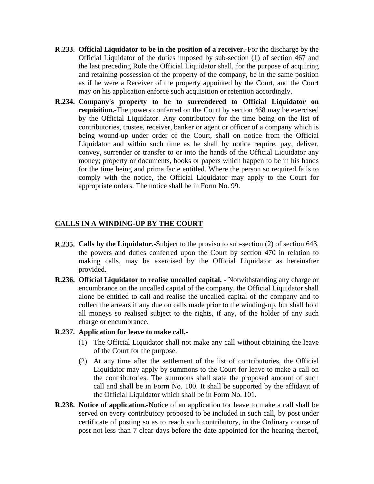- **R.233. Official Liquidator to be in the position of a receiver.-**For the discharge by the Official Liquidator of the duties imposed by sub-section (1) of section 467 and the last preceding Rule the Official Liquidator shall, for the purpose of acquiring and retaining possession of the property of the company, be in the same position as if he were a Receiver of the property appointed by the Court, and the Court may on his application enforce such acquisition or retention accordingly.
- **R.234. Company's property to be to surrendered to Official Liquidator on requisition.-**The powers conferred on the Court by section 468 may be exercised by the Official Liquidator. Any contributory for the time being on the list of contributories, trustee, receiver, banker or agent or officer of a company which is being wound-up under order of the Court, shall on notice from the Official Liquidator and within such time as he shall by notice require, pay, deliver, convey, surrender or transfer to or into the hands of the Official Liquidator any money; property or documents, books or papers which happen to be in his hands for the time being and prima facie entitled. Where the person so required fails to comply with the notice, the Official Liquidator may apply to the Court for appropriate orders. The notice shall be in Form No. 99.

### **CALLS IN A WINDING-UP BY THE COURT**

- **R.235. Calls by the Liquidator.-**Subject to the proviso to sub-section (2) of section 643, the powers and duties conferred upon the Court by section 470 in relation to making calls, may be exercised by the Official Liquidator as hereinafter provided.
- **R.236. Official Liquidator to realise uncalled capital. -** Notwithstanding any charge or encumbrance on the uncalled capital of the company, the Official Liquidator shall alone be entitled to call and realise the uncalled capital of the company and to collect the arrears if any due on calls made prior to the winding-up, but shall hold all moneys so realised subject to the rights, if any, of the holder of any such charge or encumbrance.

### **R.237. Application for leave to make call.-**

- (1) The Official Liquidator shall not make any call without obtaining the leave of the Court for the purpose.
- (2) At any time after the settlement of the list of contributories, the Official Liquidator may apply by summons to the Court for leave to make a call on the contributories. The summons shall state the proposed amount of such call and shall be in Form No. 100. It shall be supported by the affidavit of the Official Liquidator which shall be in Form No. 101.
- **R.238. Notice of application.-**Notice of an application for leave to make a call shall be served on every contributory proposed to be included in such call, by post under certificate of posting so as to reach such contributory, in the Ordinary course of post not less than 7 clear days before the date appointed for the hearing thereof,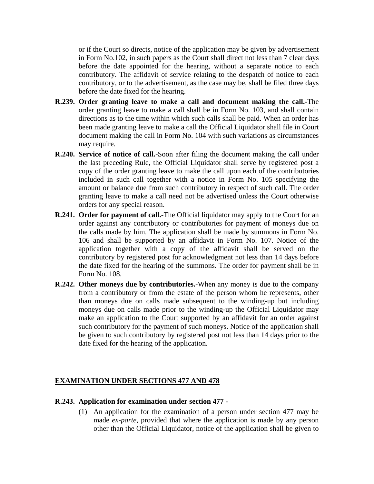or if the Court so directs, notice of the application may be given by advertisement in Form No.102, in such papers as the Court shall direct not less than 7 clear days before the date appointed for the hearing, without a separate notice to each contributory. The affidavit of service relating to the despatch of notice to each contributory, or to the advertisement, as the case may be, shall be filed three days before the date fixed for the hearing.

- **R.239. Order granting leave to make a call and document making the call.-**The order granting leave to make a call shall be in Form No. 103, and shall contain directions as to the time within which such calls shall be paid. When an order has been made granting leave to make a call the Official Liquidator shall file in Court document making the call in Form No. 104 with such variations as circumstances may require.
- **R.240. Service of notice of call.-**Soon after filing the document making the call under the last preceding Rule, the Official Liquidator shall serve by registered post a copy of the order granting leave to make the call upon each of the contributories included in such call together with a notice in Form No. 105 specifying the amount or balance due from such contributory in respect of such call. The order granting leave to make a call need not be advertised unless the Court otherwise orders for any special reason.
- **R.241. Order for payment of call.-**The Official liquidator may apply to the Court for an order against any contributory or contributories for payment of moneys due on the calls made by him. The application shall be made by summons in Form No. 106 and shall be supported by an affidavit in Form No. 107. Notice of the application together with a copy of the affidavit shall be served on the contributory by registered post for acknowledgment not less than 14 days before the date fixed for the hearing of the summons. The order for payment shall be in Form No. 108.
- **R.242. Other moneys due by contributories.-**When any money is due to the company from a contributory or from the estate of the person whom he represents, other than moneys due on calls made subsequent to the winding-up but including moneys due on calls made prior to the winding-up the Official Liquidator may make an application to the Court supported by an affidavit for an order against such contributory for the payment of such moneys. Notice of the application shall be given to such contributory by registered post not less than 14 days prior to the date fixed for the hearing of the application.

## **EXAMINATION UNDER SECTIONS 477 AND 478**

#### **R.243. Application for examination under section 477 -**

(1) An application for the examination of a person under section 477 may be made *ex-parte*, provided that where the application is made by any person other than the Official Liquidator, notice of the application shall be given to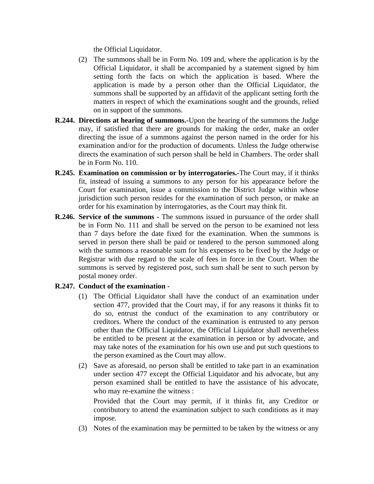the Official Liquidator.

- (2) The summons shall be in Form No. 109 and, where the application is by the Official Liquidator, it shall be accompanied by a statement signed by him setting forth the facts on which the application is based. Where the application is made by a person other than the Official Liquidator, the summons shall be supported by an affidavit of the applicant setting forth the matters in respect of which the examinations sought and the grounds, relied on in support of the summons.
- **R.244. Directions at hearing of summons.-**Upon the hearing of the summons the Judge may, if satisfied that there are grounds for making the order, make an order directing the issue of a summons against the person named in the order for his examination and/or for the production of documents. Unless the Judge otherwise directs the examination of such person shall be held in Chambers. The order shall be in Form No. 110.
- **R.245. Examination on commission or by interrogatories.-**The Court may, if it thinks fit, instead of issuing a summons to any person for his appearance before the Court for examination, issue a commission to the District Judge within whose jurisdiction such person resides for the examination of such person, or make an order for his examination by interrogatories, as the Court may think fit.
- **R.246. Service of the summons -** The summons issued in pursuance of the order shall be in Form No. 111 and shall be served on the person to be examined not less than 7 days before the date fixed for the examination. When the summons is served in person there shall be paid or tendered to the person summoned along with the summons a reasonable sum for his expenses to be fixed by the Judge or Registrar with due regard to the scale of fees in force in the Court. When the summons is served by registered post, such sum shall be sent to such person by postal money order.

## **R.247. Conduct of the examination -**

- (1) The Official Liquidator shall have the conduct of an examination under section 477, provided that the Court may, if for any reasons it thinks fit to do so, entrust the conduct of the examination to any contributory or creditors. Where the conduct of the examination is entrusted to any person other than the Official Liquidator, the Official Liquidator shall nevertheless be entitled to be present at the examination in person or by advocate, and may take notes of the examination for his own use and put such questions to the person examined as the Court may allow.
- (2) Save as aforesaid, no person shall be entitled to take part in an examination under section 477 except the Official Liquidator and his advocate, but any person examined shall be entitled to have the assistance of his advocate, who may re-examine the witness :

Provided that the Court may permit, if it thinks fit, any Creditor or contributory to attend the examination subject to such conditions as it may impose.

(3) Notes of the examination may be permitted to be taken by the witness or any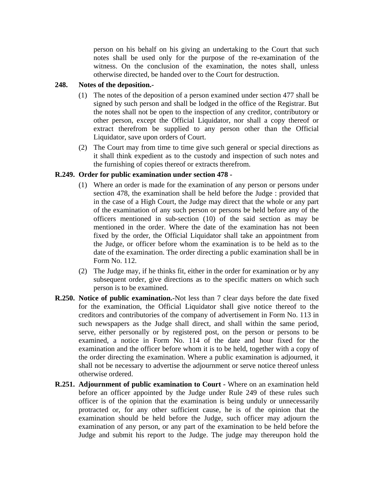person on his behalf on his giving an undertaking to the Court that such notes shall be used only for the purpose of the re-examination of the witness. On the conclusion of the examination, the notes shall, unless otherwise directed, be handed over to the Court for destruction.

## **248. Notes of the deposition.-**

- (1) The notes of the deposition of a person examined under section 477 shall be signed by such person and shall be lodged in the office of the Registrar. But the notes shall not be open to the inspection of any creditor, contributory or other person, except the Official Liquidator, nor shall a copy thereof or extract therefrom be supplied to any person other than the Official Liquidator, save upon orders of Court.
- (2) The Court may from time to time give such general or special directions as it shall think expedient as to the custody and inspection of such notes and the furnishing of copies thereof or extracts therefrom.

### **R.249. Order for public examination under section 478 -**

- (1) Where an order is made for the examination of any person or persons under section 478, the examination shall be held before the Judge : provided that in the case of a High Court, the Judge may direct that the whole or any part of the examination of any such person or persons be held before any of the officers mentioned in sub-section (10) of the said section as may be mentioned in the order. Where the date of the examination has not been fixed by the order, the Official Liquidator shall take an appointment from the Judge, or officer before whom the examination is to be held as to the date of the examination. The order directing a public examination shall be in Form No. 112.
- (2) The Judge may, if he thinks fit, either in the order for examination or by any subsequent order, give directions as to the specific matters on which such person is to be examined.
- **R.250. Notice of public examination.-**Not less than 7 clear days before the date fixed for the examination, the Official Liquidator shall give notice thereof to the creditors and contributories of the company of advertisement in Form No. 113 in such newspapers as the Judge shall direct, and shall within the same period, serve, either personally or by registered post, on the person or persons to be examined, a notice in Form No. 114 of the date and hour fixed for the examination and the officer before whom it is to be held, together with a copy of the order directing the examination. Where a public examination is adjourned, it shall not be necessary to advertise the adjournment or serve notice thereof unless otherwise ordered.
- **R.251. Adjournment of public examination to Court -** Where on an examination held before an officer appointed by the Judge under Rule 249 of these rules such officer is of the opinion that the examination is being unduly or unnecessarily protracted or, for any other sufficient cause, he is of the opinion that the examination should be held before the Judge, such officer may adjourn the examination of any person, or any part of the examination to be held before the Judge and submit his report to the Judge. The judge may thereupon hold the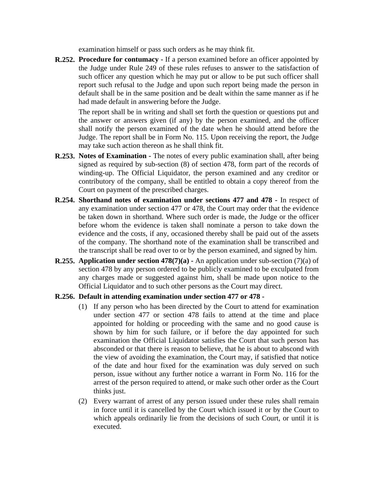examination himself or pass such orders as he may think fit.

**R.252. Procedure for contumacy -** If a person examined before an officer appointed by the Judge under Rule 249 of these rules refuses to answer to the satisfaction of such officer any question which he may put or allow to be put such officer shall report such refusal to the Judge and upon such report being made the person in default shall be in the same position and be dealt within the same manner as if he had made default in answering before the Judge.

The report shall be in writing and shall set forth the question or questions put and the answer or answers given (if any) by the person examined, and the officer shall notify the person examined of the date when he should attend before the Judge. The report shall be in Form No. 115. Upon receiving the report, the Judge may take such action thereon as he shall think fit.

- **R.253. Notes of Examination -** The notes of every public examination shall, after being signed as required by sub-section (8) of section 478, form part of the records of winding-up. The Official Liquidator, the person examined and any creditor or contributory of the company, shall be entitled to obtain a copy thereof from the Court on payment of the prescribed charges.
- **R.254. Shorthand notes of examination under sections 477 and 478 -** In respect of any examination under section 477 or 478, the Court may order that the evidence be taken down in shorthand. Where such order is made, the Judge or the officer before whom the evidence is taken shall nominate a person to take down the evidence and the costs, if any, occasioned thereby shall be paid out of the assets of the company. The shorthand note of the examination shall be transcribed and the transcript shall be read over to or by the person examined, and signed by him.
- **R.255. Application under section 478(7)(a) -** An application under sub-section (7)(a) of section 478 by any person ordered to be publicly examined to be exculpated from any charges made or suggested against him, shall be made upon notice to the Official Liquidator and to such other persons as the Court may direct.

## **R.256. Default in attending examination under section 477 or 478 -**

- (1) If any person who has been directed by the Court to attend for examination under section 477 or section 478 fails to attend at the time and place appointed for holding or proceeding with the same and no good cause is shown by him for such failure, or if before the day appointed for such examination the Official Liquidator satisfies the Court that such person has absconded or that there is reason to believe, that he is about to abscond with the view of avoiding the examination, the Court may, if satisfied that notice of the date and hour fixed for the examination was duly served on such person, issue without any further notice a warrant in Form No. 116 for the arrest of the person required to attend, or make such other order as the Court thinks just.
- (2) Every warrant of arrest of any person issued under these rules shall remain in force until it is cancelled by the Court which issued it or by the Court to which appeals ordinarily lie from the decisions of such Court, or until it is executed.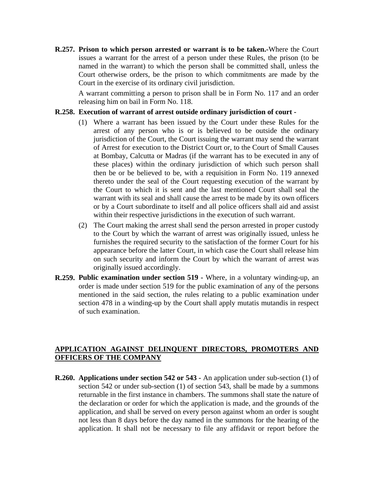**R.257. Prison to which person arrested or warrant is to be taken.-**Where the Court issues a warrant for the arrest of a person under these Rules, the prison (to be named in the warrant) to which the person shall be committed shall, unless the Court otherwise orders, be the prison to which commitments are made by the Court in the exercise of its ordinary civil jurisdiction.

A warrant committing a person to prison shall be in Form No. 117 and an order releasing him on bail in Form No. 118.

#### **R.258. Execution of warrant of arrest outside ordinary jurisdiction of court -**

- (1) Where a warrant has been issued by the Court under these Rules for the arrest of any person who is or is believed to be outside the ordinary jurisdiction of the Court, the Court issuing the warrant may send the warrant of Arrest for execution to the District Court or, to the Court of Small Causes at Bombay, Calcutta or Madras (if the warrant has to be executed in any of these places) within the ordinary jurisdiction of which such person shall then be or be believed to be, with a requisition in Form No. 119 annexed thereto under the seal of the Court requesting execution of the warrant by the Court to which it is sent and the last mentioned Court shall seal the warrant with its seal and shall cause the arrest to be made by its own officers or by a Court subordinate to itself and all police officers shall aid and assist within their respective jurisdictions in the execution of such warrant.
- (2) The Court making the arrest shall send the person arrested in proper custody to the Court by which the warrant of arrest was originally issued, unless he furnishes the required security to the satisfaction of the former Court for his appearance before the latter Court, in which case the Court shall release him on such security and inform the Court by which the warrant of arrest was originally issued accordingly.
- **R.259. Public examination under section 519 -** Where, in a voluntary winding-up, an order is made under section 519 for the public examination of any of the persons mentioned in the said section, the rules relating to a public examination under section 478 in a winding-up by the Court shall apply mutatis mutandis in respect of such examination.

## **APPLICATION AGAINST DELINQUENT DIRECTORS, PROMOTERS AND OFFICERS OF THE COMPANY**

**R.260. Applications under section 542 or 543 -** An application under sub-section (1) of section 542 or under sub-section (1) of section 543, shall be made by a summons returnable in the first instance in chambers. The summons shall state the nature of the declaration or order for which the application is made, and the grounds of the application, and shall be served on every person against whom an order is sought not less than 8 days before the day named in the summons for the hearing of the application. It shall not be necessary to file any affidavit or report before the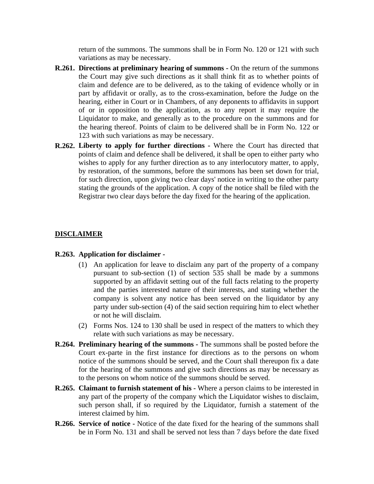return of the summons. The summons shall be in Form No. 120 or 121 with such variations as may be necessary.

- **R.261. Directions at preliminary hearing of summons -** On the return of the summons the Court may give such directions as it shall think fit as to whether points of claim and defence are to be delivered, as to the taking of evidence wholly or in part by affidavit or orally, as to the cross-examination, before the Judge on the hearing, either in Court or in Chambers, of any deponents to affidavits in support of or in opposition to the application, as to any report it may require the Liquidator to make, and generally as to the procedure on the summons and for the hearing thereof. Points of claim to be delivered shall be in Form No. 122 or 123 with such variations as may be necessary.
- **R.262. Liberty to apply for further directions -** Where the Court has directed that points of claim and defence shall be delivered, it shall be open to either party who wishes to apply for any further direction as to any interlocutory matter, to apply, by restoration, of the summons, before the summons has been set down for trial, for such direction, upon giving two clear days' notice in writing to the other party stating the grounds of the application. A copy of the notice shall be filed with the Registrar two clear days before the day fixed for the hearing of the application.

#### **DISCLAIMER**

#### **R.263. Application for disclaimer -**

- (1) An application for leave to disclaim any part of the property of a company pursuant to sub-section (1) of section 535 shall be made by a summons supported by an affidavit setting out of the full facts relating to the property and the parties interested nature of their interests, and stating whether the company is solvent any notice has been served on the liquidator by any party under sub-section (4) of the said section requiring him to elect whether or not he will disclaim.
- (2) Forms Nos. 124 to 130 shall be used in respect of the matters to which they relate with such variations as may be necessary.
- **R.264. Preliminary hearing of the summons -** The summons shall be posted before the Court ex-parte in the first instance for directions as to the persons on whom notice of the summons should be served, and the Court shall thereupon fix a date for the hearing of the summons and give such directions as may be necessary as to the persons on whom notice of the summons should be served.
- **R.265. Claimant to furnish statement of his -** Where a person claims to be interested in any part of the property of the company which the Liquidator wishes to disclaim, such person shall, if so required by the Liquidator, furnish a statement of the interest claimed by him.
- **R.266. Service of notice -** Notice of the date fixed for the hearing of the summons shall be in Form No. 131 and shall be served not less than 7 days before the date fixed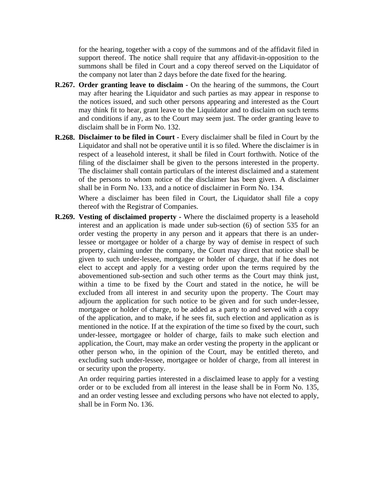for the hearing, together with a copy of the summons and of the affidavit filed in support thereof. The notice shall require that any affidavit-in-opposition to the summons shall be filed in Court and a copy thereof served on the Liquidator of the company not later than 2 days before the date fixed for the hearing.

- **R.267. Order granting leave to disclaim -** On the hearing of the summons, the Court may after hearing the Liquidator and such parties as may appear in response to the notices issued, and such other persons appearing and interested as the Court may think fit to hear, grant leave to the Liquidator and to disclaim on such terms and conditions if any, as to the Court may seem just. The order granting leave to disclaim shall be in Form No. 132.
- **R.268. Disclaimer to be filed in Court -** Every disclaimer shall be filed in Court by the Liquidator and shall not be operative until it is so filed. Where the disclaimer is in respect of a leasehold interest, it shall be filed in Court forthwith. Notice of the filing of the disclaimer shall be given to the persons interested in the property. The disclaimer shall contain particulars of the interest disclaimed and a statement of the persons to whom notice of the disclaimer has been given. A disclaimer shall be in Form No. 133, and a notice of disclaimer in Form No. 134.

Where a disclaimer has been filed in Court, the Liquidator shall file a copy thereof with the Registrar of Companies.

**R.269. Vesting of disclaimed property -** Where the disclaimed property is a leasehold interest and an application is made under sub-section (6) of section 535 for an order vesting the property in any person and it appears that there is an underlessee or mortgagee or holder of a charge by way of demise in respect of such property, claiming under the company, the Court may direct that notice shall be given to such under-lessee, mortgagee or holder of charge, that if he does not elect to accept and apply for a vesting order upon the terms required by the abovementioned sub-section and such other terms as the Court may think just, within a time to be fixed by the Court and stated in the notice, he will be excluded from all interest in and security upon the property. The Court may adjourn the application for such notice to be given and for such under-lessee, mortgagee or holder of charge, to be added as a party to and served with a copy of the application, and to make, if he sees fit, such election and application as is mentioned in the notice. If at the expiration of the time so fixed by the court, such under-lessee, mortgagee or holder of charge, fails to make such election and application, the Court, may make an order vesting the property in the applicant or other person who, in the opinion of the Court, may be entitled thereto, and excluding such under-lessee, mortgagee or holder of charge, from all interest in or security upon the property.

An order requiring parties interested in a disclaimed lease to apply for a vesting order or to be excluded from all interest in the lease shall be in Form No. 135, and an order vesting lessee and excluding persons who have not elected to apply, shall be in Form No. 136.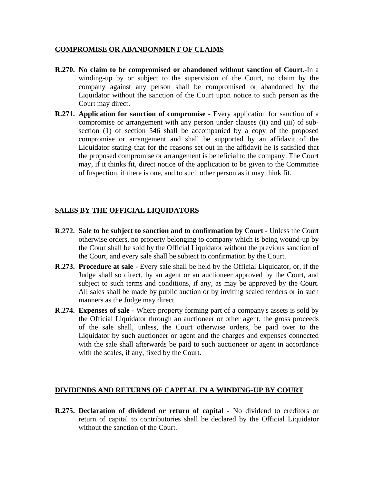## **COMPROMISE OR ABANDONMENT OF CLAIMS**

- **R.270. No claim to be compromised or abandoned without sanction of Court.-**In a winding-up by or subject to the supervision of the Court, no claim by the company against any person shall be compromised or abandoned by the Liquidator without the sanction of the Court upon notice to such person as the Court may direct.
- **R.271. Application for sanction of compromise -** Every application for sanction of a compromise or arrangement with any person under clauses (ii) and (iii) of subsection (1) of section 546 shall be accompanied by a copy of the proposed compromise or arrangement and shall be supported by an affidavit of the Liquidator stating that for the reasons set out in the affidavit he is satisfied that the proposed compromise or arrangement is beneficial to the company. The Court may, if it thinks fit, direct notice of the application to be given to the Committee of Inspection, if there is one, and to such other person as it may think fit.

## **SALES BY THE OFFICIAL LIQUIDATORS**

- **R.272. Sale to be subject to sanction and to confirmation by Court -** Unless the Court otherwise orders, no property belonging to company which is being wound-up by the Court shall be sold by the Official Liquidator without the previous sanction of the Court, and every sale shall be subject to confirmation by the Court.
- **R.273. Procedure at sale -** Every sale shall be held by the Official Liquidator, or, if the Judge shall so direct, by an agent or an auctioneer approved by the Court, and subject to such terms and conditions, if any, as may be approved by the Court. All sales shall be made by public auction or by inviting sealed tenders or in such manners as the Judge may direct.
- **R.274. Expenses of sale -** Where property forming part of a company's assets is sold by the Official Liquidator through an auctioneer or other agent, the gross proceeds of the sale shall, unless, the Court otherwise orders, be paid over to the Liquidator by such auctioneer or agent and the charges and expenses connected with the sale shall afterwards be paid to such auctioneer or agent in accordance with the scales, if any, fixed by the Court.

## **DIVIDENDS AND RETURNS OF CAPITAL IN A WINDING-UP BY COURT**

**R.275. Declaration of dividend or return of capital -** No dividend to creditors or return of capital to contributories shall be declared by the Official Liquidator without the sanction of the Court.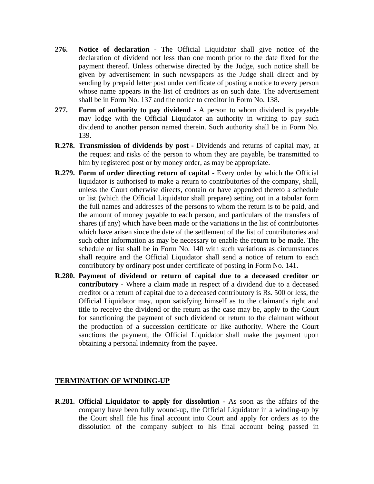- **276. Notice of declaration -** The Official Liquidator shall give notice of the declaration of dividend not less than one month prior to the date fixed for the payment thereof. Unless otherwise directed by the Judge, such notice shall be given by advertisement in such newspapers as the Judge shall direct and by sending by prepaid letter post under certificate of posting a notice to every person whose name appears in the list of creditors as on such date. The advertisement shall be in Form No. 137 and the notice to creditor in Form No. 138.
- **277. Form of authority to pay dividend -** A person to whom dividend is payable may lodge with the Official Liquidator an authority in writing to pay such dividend to another person named therein. Such authority shall be in Form No. 139.
- **R.278. Transmission of dividends by post -** Dividends and returns of capital may, at the request and risks of the person to whom they are payable, be transmitted to him by registered post or by money order, as may be appropriate.
- **R.279. Form of order directing return of capital -** Every order by which the Official liquidator is authorised to make a return to contributories of the company, shall, unless the Court otherwise directs, contain or have appended thereto a schedule or list (which the Official Liquidator shall prepare) setting out in a tabular form the full names and addresses of the persons to whom the return is to be paid, and the amount of money payable to each person, and particulars of the transfers of shares (if any) which have been made or the variations in the list of contributories which have arisen since the date of the settlement of the list of contributories and such other information as may be necessary to enable the return to be made. The schedule or list shall be in Form No. 140 with such variations as circumstances shall require and the Official Liquidator shall send a notice of return to each contributory by ordinary post under certificate of posting in Form No. 141.
- **R.280. Payment of dividend or return of capital due to a deceased creditor or contributory -** Where a claim made in respect of a dividend due to a deceased creditor or a return of capital due to a deceased contributory is Rs. 500 or less, the Official Liquidator may, upon satisfying himself as to the claimant's right and title to receive the dividend or the return as the case may be, apply to the Court for sanctioning the payment of such dividend or return to the claimant without the production of a succession certificate or like authority. Where the Court sanctions the payment, the Official Liquidator shall make the payment upon obtaining a personal indemnity from the payee.

#### **TERMINATION OF WINDING-UP**

**R.281. Official Liquidator to apply for dissolution -** As soon as the affairs of the company have been fully wound-up, the Official Liquidator in a winding-up by the Court shall file his final account into Court and apply for orders as to the dissolution of the company subject to his final account being passed in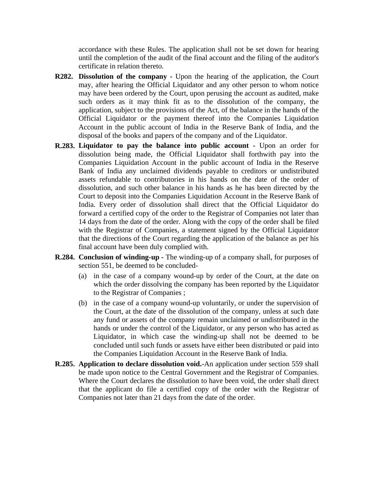accordance with these Rules. The application shall not be set down for hearing until the completion of the audit of the final account and the filing of the auditor's certificate in relation thereto.

- **R282. Dissolution of the company -** Upon the hearing of the application, the Court may, after hearing the Official Liquidator and any other person to whom notice may have been ordered by the Court, upon perusing the account as audited, make such orders as it may think fit as to the dissolution of the company, the application, subject to the provisions of the Act, of the balance in the hands of the Official Liquidator or the payment thereof into the Companies Liquidation Account in the public account of India in the Reserve Bank of India, and the disposal of the books and papers of the company and of the Liquidator.
- **R.283. Liquidator to pay the balance into public account -** Upon an order for dissolution being made, the Official Liquidator shall forthwith pay into the Companies Liquidation Account in the public account of India in the Reserve Bank of India any unclaimed dividends payable to creditors or undistributed assets refundable to contributories in his hands on the date of the order of dissolution, and such other balance in his hands as he has been directed by the Court to deposit into the Companies Liquidation Account in the Reserve Bank of India. Every order of dissolution shall direct that the Official Liquidator do forward a certified copy of the order to the Registrar of Companies not later than 14 days from the date of the order. Along with the copy of the order shall be filed with the Registrar of Companies, a statement signed by the Official Liquidator that the directions of the Court regarding the application of the balance as per his final account have been duly complied with.
- **R.284. Conclusion of winding-up -** The winding-up of a company shall, for purposes of section 551, be deemed to be concluded-
	- (a) in the case of a company wound-up by order of the Court, at the date on which the order dissolving the company has been reported by the Liquidator to the Registrar of Companies ;
	- (b) in the case of a company wound-up voluntarily, or under the supervision of the Court, at the date of the dissolution of the company, unless at such date any fund or assets of the company remain unclaimed or undistributed in the hands or under the control of the Liquidator, or any person who has acted as Liquidator, in which case the winding-up shall not be deemed to be concluded until such funds or assets have either been distributed or paid into the Companies Liquidation Account in the Reserve Bank of India.
- **R.285. Application to declare dissolution void.-**An application under section 559 shall be made upon notice to the Central Government and the Registrar of Companies. Where the Court declares the dissolution to have been void, the order shall direct that the applicant do file a certified copy of the order with the Registrar of Companies not later than 21 days from the date of the order.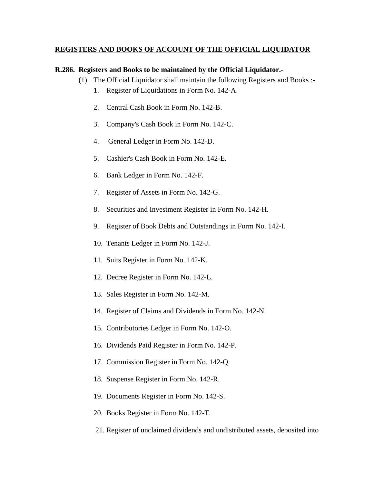## **REGISTERS AND BOOKS OF ACCOUNT OF THE OFFICIAL LIQUIDATOR**

### **R.286. Registers and Books to be maintained by the Official Liquidator.-**

- (1) The Official Liquidator shall maintain the following Registers and Books :-
	- 1. Register of Liquidations in Form No. 142-A.
	- $2<sub>1</sub>$ Central Cash Book in Form No. 142-B.
	- 3. Company's Cash Book in Form No. 142-C.
	- 4. General Ledger in Form No. 142-D.
	- 5. Cashier's Cash Book in Form No. 142-E.
	- 6. Bank Ledger in Form No. 142-F.
	- 7. Register of Assets in Form No. 142-G.
	- 8. Securities and Investment Register in Form No. 142-H.
	- 9. Register of Book Debts and Outstandings in Form No. 142-I.
	- 10. Tenants Ledger in Form No. 142-J.
	- 11. Suits Register in Form No. 142-K.
	- 12. Decree Register in Form No. 142-L.
	- 13. Sales Register in Form No. 142-M.
	- 14. Register of Claims and Dividends in Form No. 142-N.
	- 15. Contributories Ledger in Form No. 142-O.
	- 16. Dividends Paid Register in Form No. 142-P.
	- 17. Commission Register in Form No. 142-Q.
	- 18. Suspense Register in Form No. 142-R.
	- 19. Documents Register in Form No. 142-S.
	- 20. Books Register in Form No. 142-T.
	- 21. Register of unclaimed dividends and undistributed assets, deposited into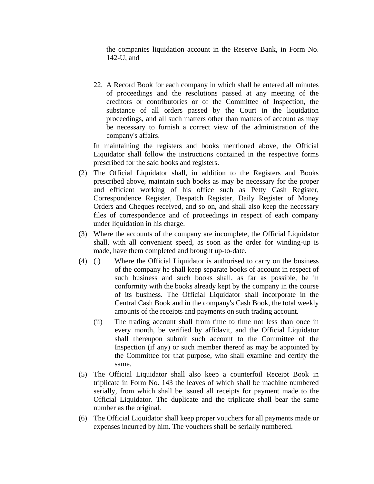the companies liquidation account in the Reserve Bank, in Form No. 142-U, and

22. A Record Book for each company in which shall be entered all minutes of proceedings and the resolutions passed at any meeting of the creditors or contributories or of the Committee of Inspection, the substance of all orders passed by the Court in the liquidation proceedings, and all such matters other than matters of account as may be necessary to furnish a correct view of the administration of the company's affairs.

In maintaining the registers and books mentioned above, the Official Liquidator shall follow the instructions contained in the respective forms prescribed for the said books and registers.

- (2) The Official Liquidator shall, in addition to the Registers and Books prescribed above, maintain such books as may be necessary for the proper and efficient working of his office such as Petty Cash Register, Correspondence Register, Despatch Register, Daily Register of Money Orders and Cheques received, and so on, and shall also keep the necessary files of correspondence and of proceedings in respect of each company under liquidation in his charge.
- (3) Where the accounts of the company are incomplete, the Official Liquidator shall, with all convenient speed, as soon as the order for winding-up is made, have them completed and brought up-to-date.
- (4) (i) Where the Official Liquidator is authorised to carry on the business of the company he shall keep separate books of account in respect of such business and such books shall, as far as possible, be in conformity with the books already kept by the company in the course of its business. The Official Liquidator shall incorporate in the Central Cash Book and in the company's Cash Book, the total weekly amounts of the receipts and payments on such trading account.
	- (ii) The trading account shall from time to time not less than once in every month, be verified by affidavit, and the Official Liquidator shall thereupon submit such account to the Committee of the Inspection (if any) or such member thereof as may be appointed by the Committee for that purpose, who shall examine and certify the same.
- (5) The Official Liquidator shall also keep a counterfoil Receipt Book in triplicate in Form No. 143 the leaves of which shall be machine numbered serially, from which shall be issued all receipts for payment made to the Official Liquidator. The duplicate and the triplicate shall bear the same number as the original.
- (6) The Official Liquidator shall keep proper vouchers for all payments made or expenses incurred by him. The vouchers shall be serially numbered.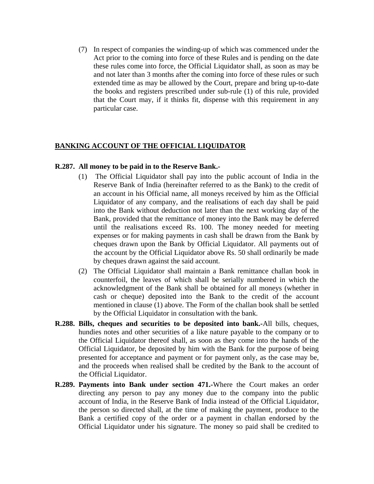(7) In respect of companies the winding-up of which was commenced under the Act prior to the coming into force of these Rules and is pending on the date these rules come into force, the Official Liquidator shall, as soon as may be and not later than 3 months after the coming into force of these rules or such extended time as may be allowed by the Court, prepare and bring up-to-date the books and registers prescribed under sub-rule (1) of this rule, provided that the Court may, if it thinks fit, dispense with this requirement in any particular case.

# **BANKING ACCOUNT OF THE OFFICIAL LIQUIDATOR**

## **R.287. All money to be paid in to the Reserve Bank.-**

- (1) The Official Liquidator shall pay into the public account of India in the Reserve Bank of India (hereinafter referred to as the Bank) to the credit of an account in his Official name, all moneys received by him as the Official Liquidator of any company, and the realisations of each day shall be paid into the Bank without deduction not later than the next working day of the Bank, provided that the remittance of money into the Bank may be deferred until the realisations exceed Rs. 100. The money needed for meeting expenses or for making payments in cash shall be drawn from the Bank by cheques drawn upon the Bank by Official Liquidator. All payments out of the account by the Official Liquidator above Rs. 50 shall ordinarily be made by cheques drawn against the said account.
- (2) The Official Liquidator shall maintain a Bank remittance challan book in counterfoil, the leaves of which shall be serially numbered in which the acknowledgment of the Bank shall be obtained for all moneys (whether in cash or cheque) deposited into the Bank to the credit of the account mentioned in clause (1) above. The Form of the challan book shall be settled by the Official Liquidator in consultation with the bank.
- **R.288. Bills, cheques and securities to be deposited into bank.-**All bills, cheques, hundies notes and other securities of a like nature payable to the company or to the Official Liquidator thereof shall, as soon as they come into the hands of the Official Liquidator, be deposited by him with the Bank for the purpose of being presented for acceptance and payment or for payment only, as the case may be, and the proceeds when realised shall be credited by the Bank to the account of the Official Liquidator.
- **R.289. Payments into Bank under section 471.-**Where the Court makes an order directing any person to pay any money due to the company into the public account of India, in the Reserve Bank of India instead of the Official Liquidator, the person so directed shall, at the time of making the payment, produce to the Bank a certified copy of the order or a payment in challan endorsed by the Official Liquidator under his signature. The money so paid shall be credited to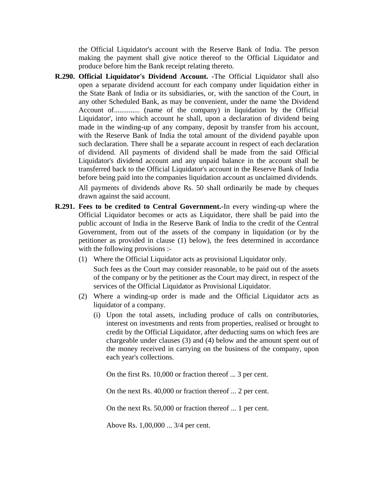the Official Liquidator's account with the Reserve Bank of India. The person making the payment shall give notice thereof to the Official Liquidator and produce before him the Bank receipt relating thereto.

**R.290. Official Liquidator's Dividend Account. -**The Official Liquidator shall also open a separate dividend account for each company under liquidation either in the State Bank of India or its subsidiaries, or, with the sanction of the Court, in any other Scheduled Bank, as may be convenient, under the name 'the Dividend Account of.............. (name of the company) in liquidation by the Official Liquidator', into which account he shall, upon a declaration of dividend being made in the winding-up of any company, deposit by transfer from his account, with the Reserve Bank of India the total amount of the dividend payable upon such declaration. There shall be a separate account in respect of each declaration of dividend. All payments of dividend shall be made from the said Official Liquidator's dividend account and any unpaid balance in the account shall be transferred back to the Official Liquidator's account in the Reserve Bank of India before being paid into the companies liquidation account as unclaimed dividends.

All payments of dividends above Rs. 50 shall ordinarily be made by cheques drawn against the said account.

- **R.291. Fees to be credited to Central Government.-**In every winding-up where the Official Liquidator becomes or acts as Liquidator, there shall be paid into the public account of India in the Reserve Bank of India to the credit of the Central Government, from out of the assets of the company in liquidation (or by the petitioner as provided in clause (1) below), the fees determined in accordance with the following provisions :-
	- (1) Where the Official Liquidator acts as provisional Liquidator only.

Such fees as the Court may consider reasonable, to be paid out of the assets of the company or by the petitioner as the Court may direct, in respect of the services of the Official Liquidator as Provisional Liquidator.

- (2) Where a winding-up order is made and the Official Liquidator acts as liquidator of a company.
	- (i) Upon the total assets, including produce of calls on contributories, interest on investments and rents from properties, realised or brought to credit by the Official Liquidator, after deducting sums on which fees are chargeable under clauses (3) and (4) below and the amount spent out of the money received in carrying on the business of the company, upon each year's collections.

On the first Rs. 10,000 or fraction thereof ... 3 per cent.

On the next Rs. 40,000 or fraction thereof ... 2 per cent.

On the next Rs. 50,000 or fraction thereof ... 1 per cent.

Above Rs. 1,00,000 ... 3/4 per cent.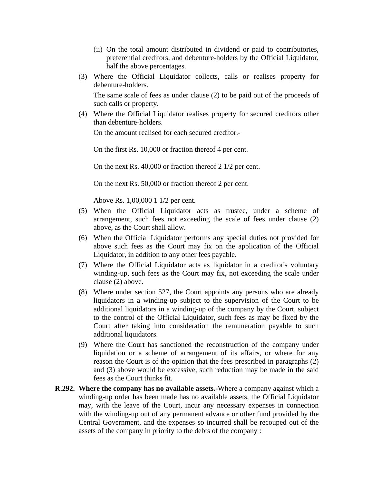- (ii) On the total amount distributed in dividend or paid to contributories, preferential creditors, and debenture-holders by the Official Liquidator, half the above percentages.
- (3) Where the Official Liquidator collects, calls or realises property for debenture-holders.

The same scale of fees as under clause (2) to be paid out of the proceeds of such calls or property.

(4) Where the Official Liquidator realises property for secured creditors other than debenture-holders.

On the amount realised for each secured creditor.-

On the first Rs. 10,000 or fraction thereof 4 per cent.

On the next Rs. 40,000 or fraction thereof 2 1/2 per cent.

On the next Rs. 50,000 or fraction thereof 2 per cent.

Above Rs. 1,00,000 1 1/2 per cent.

- (5) When the Official Liquidator acts as trustee, under a scheme of arrangement, such fees not exceeding the scale of fees under clause (2) above, as the Court shall allow.
- (6) When the Official Liquidator performs any special duties not provided for above such fees as the Court may fix on the application of the Official Liquidator, in addition to any other fees payable.
- (7) Where the Official Liquidator acts as liquidator in a creditor's voluntary winding-up, such fees as the Court may fix, not exceeding the scale under clause (2) above.
- (8) Where under section 527, the Court appoints any persons who are already liquidators in a winding-up subject to the supervision of the Court to be additional liquidators in a winding-up of the company by the Court, subject to the control of the Official Liquidator, such fees as may be fixed by the Court after taking into consideration the remuneration payable to such additional liquidators.
- (9) Where the Court has sanctioned the reconstruction of the company under liquidation or a scheme of arrangement of its affairs, or where for any reason the Court is of the opinion that the fees prescribed in paragraphs (2) and (3) above would be excessive, such reduction may be made in the said fees as the Court thinks fit.
- **R.292. Where the company has no available assets.-**Where a company against which a winding-up order has been made has no available assets, the Official Liquidator may, with the leave of the Court, incur any necessary expenses in connection with the winding-up out of any permanent advance or other fund provided by the Central Government, and the expenses so incurred shall be recouped out of the assets of the company in priority to the debts of the company :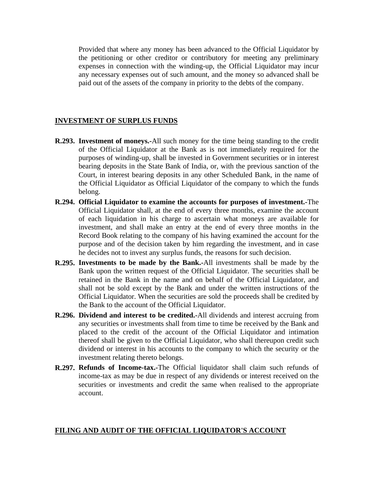Provided that where any money has been advanced to the Official Liquidator by the petitioning or other creditor or contributory for meeting any preliminary expenses in connection with the winding-up, the Official Liquidator may incur any necessary expenses out of such amount, and the money so advanced shall be paid out of the assets of the company in priority to the debts of the company.

### **INVESTMENT OF SURPLUS FUNDS**

- **R.293. Investment of moneys.-**All such money for the time being standing to the credit of the Official Liquidator at the Bank as is not immediately required for the purposes of winding-up, shall be invested in Government securities or in interest bearing deposits in the State Bank of India, or, with the previous sanction of the Court, in interest bearing deposits in any other Scheduled Bank, in the name of the Official Liquidator as Official Liquidator of the company to which the funds belong.
- **R.294. Official Liquidator to examine the accounts for purposes of investment.-**The Official Liquidator shall, at the end of every three months, examine the account of each liquidation in his charge to ascertain what moneys are available for investment, and shall make an entry at the end of every three months in the Record Book relating to the company of his having examined the account for the purpose and of the decision taken by him regarding the investment, and in case he decides not to invest any surplus funds, the reasons for such decision.
- **R.295. Investments to be made by the Bank.-**All investments shall be made by the Bank upon the written request of the Official Liquidator. The securities shall be retained in the Bank in the name and on behalf of the Official Liquidator, and shall not be sold except by the Bank and under the written instructions of the Official Liquidator. When the securities are sold the proceeds shall be credited by the Bank to the account of the Official Liquidator.
- **R.296. Dividend and interest to be credited.-**All dividends and interest accruing from any securities or investments shall from time to time be received by the Bank and placed to the credit of the account of the Official Liquidator and intimation thereof shall be given to the Official Liquidator, who shall thereupon credit such dividend or interest in his accounts to the company to which the security or the investment relating thereto belongs.
- **R.297. Refunds of Income-tax.-**The Official liquidator shall claim such refunds of income-tax as may be due in respect of any dividends or interest received on the securities or investments and credit the same when realised to the appropriate account.

### **FILING AND AUDIT OF THE OFFICIAL LIQUIDATOR'S ACCOUNT**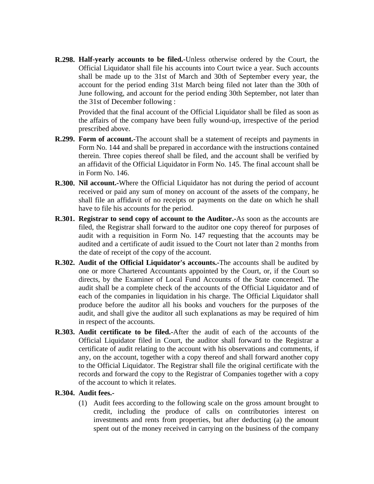**R.298. Half-yearly accounts to be filed.-**Unless otherwise ordered by the Court, the Official Liquidator shall file his accounts into Court twice a year. Such accounts shall be made up to the 31st of March and 30th of September every year, the account for the period ending 31st March being filed not later than the 30th of June following, and account for the period ending 30th September, not later than the 31st of December following :

Provided that the final account of the Official Liquidator shall be filed as soon as the affairs of the company have been fully wound-up, irrespective of the period prescribed above.

- **R.299. Form of account.-**The account shall be a statement of receipts and payments in Form No. 144 and shall be prepared in accordance with the instructions contained therein. Three copies thereof shall be filed, and the account shall be verified by an affidavit of the Official Liquidator in Form No. 145. The final account shall be in Form No. 146.
- **R.300. Nil account.-**Where the Official Liquidator has not during the period of account received or paid any sum of money on account of the assets of the company, he shall file an affidavit of no receipts or payments on the date on which he shall have to file his accounts for the period.
- **R.301. Registrar to send copy of account to the Auditor.-**As soon as the accounts are filed, the Registrar shall forward to the auditor one copy thereof for purposes of audit with a requisition in Form No. 147 requesting that the accounts may be audited and a certificate of audit issued to the Court not later than 2 months from the date of receipt of the copy of the account.
- **R.302. Audit of the Official Liquidator's accounts.-**The accounts shall be audited by one or more Chartered Accountants appointed by the Court, or, if the Court so directs, by the Examiner of Local Fund Accounts of the State concerned. The audit shall be a complete check of the accounts of the Official Liquidator and of each of the companies in liquidation in his charge. The Official Liquidator shall produce before the auditor all his books and vouchers for the purposes of the audit, and shall give the auditor all such explanations as may be required of him in respect of the accounts.
- **R.303. Audit certificate to be filed.-**After the audit of each of the accounts of the Official Liquidator filed in Court, the auditor shall forward to the Registrar a certificate of audit relating to the account with his observations and comments, if any, on the account, together with a copy thereof and shall forward another copy to the Official Liquidator. The Registrar shall file the original certificate with the records and forward the copy to the Registrar of Companies together with a copy of the account to which it relates.

## **R.304. Audit fees.-**

(1) Audit fees according to the following scale on the gross amount brought to credit, including the produce of calls on contributories interest on investments and rents from properties, but after deducting (a) the amount spent out of the money received in carrying on the business of the company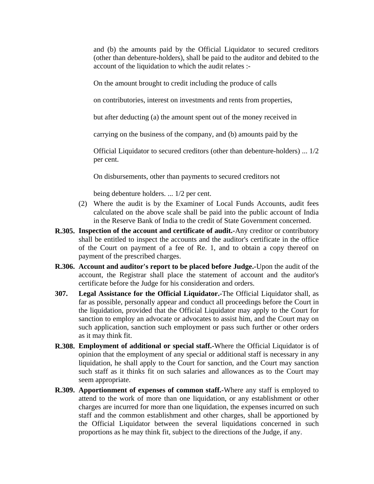and (b) the amounts paid by the Official Liquidator to secured creditors (other than debenture-holders), shall be paid to the auditor and debited to the account of the liquidation to which the audit relates :-

On the amount brought to credit including the produce of calls

on contributories, interest on investments and rents from properties,

but after deducting (a) the amount spent out of the money received in

carrying on the business of the company, and (b) amounts paid by the

Official Liquidator to secured creditors (other than debenture-holders) ... 1/2 per cent.

On disbursements, other than payments to secured creditors not

being debenture holders. ... 1/2 per cent.

- (2) Where the audit is by the Examiner of Local Funds Accounts, audit fees calculated on the above scale shall be paid into the public account of India in the Reserve Bank of India to the credit of State Government concerned.
- **R.305. Inspection of the account and certificate of audit.-**Any creditor or contributory shall be entitled to inspect the accounts and the auditor's certificate in the office of the Court on payment of a fee of Re. 1, and to obtain a copy thereof on payment of the prescribed charges.
- **R.306. Account and auditor's report to be placed before Judge.-**Upon the audit of the account, the Registrar shall place the statement of account and the auditor's certificate before the Judge for his consideration and orders.
- **307. Legal Assistance for the Official Liquidator.-**The Official Liquidator shall, as far as possible, personally appear and conduct all proceedings before the Court in the liquidation, provided that the Official Liquidator may apply to the Court for sanction to employ an advocate or advocates to assist him, and the Court may on such application, sanction such employment or pass such further or other orders as it may think fit.
- **R.308. Employment of additional or special staff.-**Where the Official Liquidator is of opinion that the employment of any special or additional staff is necessary in any liquidation, he shall apply to the Court for sanction, and the Court may sanction such staff as it thinks fit on such salaries and allowances as to the Court may seem appropriate.
- **R.309. Apportionment of expenses of common staff.-**Where any staff is employed to attend to the work of more than one liquidation, or any establishment or other charges are incurred for more than one liquidation, the expenses incurred on such staff and the common establishment and other charges, shall be apportioned by the Official Liquidator between the several liquidations concerned in such proportions as he may think fit, subject to the directions of the Judge, if any.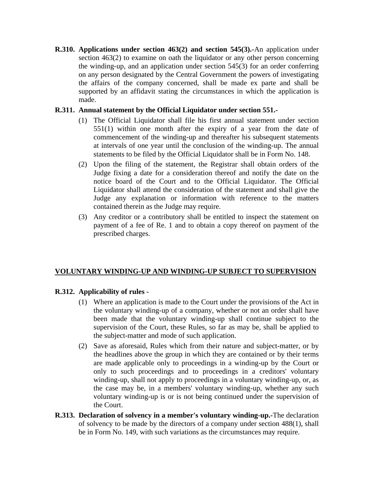**R.310. Applications under section 463(2) and section 545(3).-**An application under section 463(2) to examine on oath the liquidator or any other person concerning the winding-up, and an application under section 545(3) for an order conferring on any person designated by the Central Government the powers of investigating the affairs of the company concerned, shall be made ex parte and shall be supported by an affidavit stating the circumstances in which the application is made.

## **R.311. Annual statement by the Official Liquidator under section 551.-**

- (1) The Official Liquidator shall file his first annual statement under section 551(1) within one month after the expiry of a year from the date of commencement of the winding-up and thereafter his subsequent statements at intervals of one year until the conclusion of the winding-up. The annual statements to be filed by the Official Liquidator shall be in Form No. 148.
- (2) Upon the filing of the statement, the Registrar shall obtain orders of the Judge fixing a date for a consideration thereof and notify the date on the notice board of the Court and to the Official Liquidator. The Official Liquidator shall attend the consideration of the statement and shall give the Judge any explanation or information with reference to the matters contained therein as the Judge may require.
- (3) Any creditor or a contributory shall be entitled to inspect the statement on payment of a fee of Re. 1 and to obtain a copy thereof on payment of the prescribed charges.

## **VOLUNTARY WINDING-UP AND WINDING-UP SUBJECT TO SUPERVISION**

## **R.312. Applicability of rules -**

- (1) Where an application is made to the Court under the provisions of the Act in the voluntary winding-up of a company, whether or not an order shall have been made that the voluntary winding-up shall continue subject to the supervision of the Court, these Rules, so far as may be, shall be applied to the subject-matter and mode of such application.
- (2) Save as aforesaid, Rules which from their nature and subject-matter, or by the headlines above the group in which they are contained or by their terms are made applicable only to proceedings in a winding-up by the Court or only to such proceedings and to proceedings in a creditors' voluntary winding-up, shall not apply to proceedings in a voluntary winding-up, or, as the case may be, in a members' voluntary winding-up, whether any such voluntary winding-up is or is not being continued under the supervision of the Court.
- **R.313. Declaration of solvency in a member's voluntary winding-up.-**The declaration of solvency to be made by the directors of a company under section 488(1), shall be in Form No. 149, with such variations as the circumstances may require.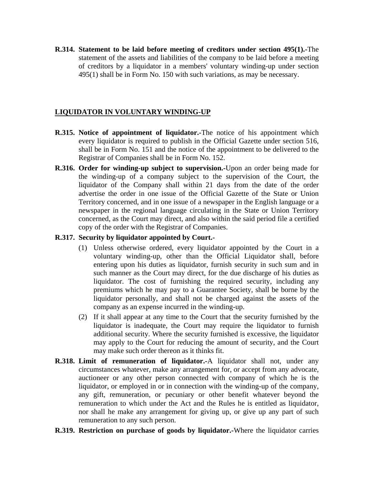**R.314. Statement to be laid before meeting of creditors under section 495(1).-**The statement of the assets and liabilities of the company to be laid before a meeting of creditors by a liquidator in a members' voluntary winding-up under section 495(1) shall be in Form No. 150 with such variations, as may be necessary.

## **LIQUIDATOR IN VOLUNTARY WINDING-UP**

- **R.315. Notice of appointment of liquidator.-**The notice of his appointment which every liquidator is required to publish in the Official Gazette under section 516, shall be in Form No. 151 and the notice of the appointment to be delivered to the Registrar of Companies shall be in Form No. 152.
- **R.316. Order for winding-up subject to supervision.-**Upon an order being made for the winding-up of a company subject to the supervision of the Court, the liquidator of the Company shall within 21 days from the date of the order advertise the order in one issue of the Official Gazette of the State or Union Territory concerned, and in one issue of a newspaper in the English language or a newspaper in the regional language circulating in the State or Union Territory concerned, as the Court may direct, and also within the said period file a certified copy of the order with the Registrar of Companies.

## **R.317. Security by liquidator appointed by Court.-**

- (1) Unless otherwise ordered, every liquidator appointed by the Court in a voluntary winding-up, other than the Official Liquidator shall, before entering upon his duties as liquidator, furnish security in such sum and in such manner as the Court may direct, for the due discharge of his duties as liquidator. The cost of furnishing the required security, including any premiums which he may pay to a Guarantee Society, shall be borne by the liquidator personally, and shall not be charged against the assets of the company as an expense incurred in the winding-up.
- (2) If it shall appear at any time to the Court that the security furnished by the liquidator is inadequate, the Court may require the liquidator to furnish additional security. Where the security furnished is excessive, the liquidator may apply to the Court for reducing the amount of security, and the Court may make such order thereon as it thinks fit.
- **R.318. Limit of remuneration of liquidator.-**A liquidator shall not, under any circumstances whatever, make any arrangement for, or accept from any advocate, auctioneer or any other person connected with company of which he is the liquidator, or employed in or in connection with the winding-up of the company, any gift, remuneration, or pecuniary or other benefit whatever beyond the remuneration to which under the Act and the Rules he is entitled as liquidator, nor shall he make any arrangement for giving up, or give up any part of such remuneration to any such person.
- **R.319. Restriction on purchase of goods by liquidator.-**Where the liquidator carries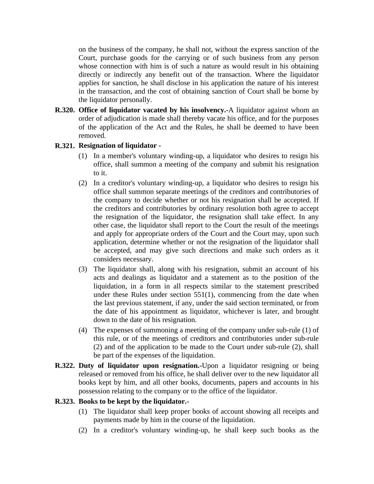on the business of the company, he shall not, without the express sanction of the Court, purchase goods for the carrying or of such business from any person whose connection with him is of such a nature as would result in his obtaining directly or indirectly any benefit out of the transaction. Where the liquidator applies for sanction, he shall disclose in his application the nature of his interest in the transaction, and the cost of obtaining sanction of Court shall be borne by the liquidator personally.

**R.320. Office of liquidator vacated by his insolvency.-**A liquidator against whom an order of adjudication is made shall thereby vacate his office, and for the purposes of the application of the Act and the Rules, he shall be deemed to have been removed.

### **R.321. Resignation of liquidator -**

- (1) In a member's voluntary winding-up, a liquidator who desires to resign his office, shall summon a meeting of the company and submit his resignation to it.
- (2) In a creditor's voluntary winding-up, a liquidator who desires to resign his office shall summon separate meetings of the creditors and contributories of the company to decide whether or not his resignation shall be accepted. If the creditors and contributories by ordinary resolution both agree to accept the resignation of the liquidator, the resignation shall take effect. In any other case, the liquidator shall report to the Court the result of the meetings and apply for appropriate orders of the Court and the Court may, upon such application, determine whether or not the resignation of the liquidator shall be accepted, and may give such directions and make such orders as it considers necessary.
- (3) The liquidator shall, along with his resignation, submit an account of his acts and dealings as liquidator and a statement as to the position of the liquidation, in a form in all respects similar to the statement prescribed under these Rules under section 551(1), commencing from the date when the last previous statement, if any, under the said section terminated, or from the date of his appointment as liquidator, whichever is later, and brought down to the date of his resignation.
- (4) The expenses of summoning a meeting of the company under sub-rule (1) of this rule, or of the meetings of creditors and contributories under sub-rule (2) and of the application to be made to the Court under sub-rule (2), shall be part of the expenses of the liquidation.
- **R.322. Duty of liquidator upon resignation.-**Upon a liquidator resigning or being released or removed from his office, he shall deliver over to the new liquidator all books kept by him, and all other books, documents, papers and accounts in his possession relating to the company or to the office of the liquidator.

#### **R.323. Books to be kept by the liquidator.-**

- (1) The liquidator shall keep proper books of account showing all receipts and payments made by him in the course of the liquidation.
- (2) In a creditor's voluntary winding-up, he shall keep such books as the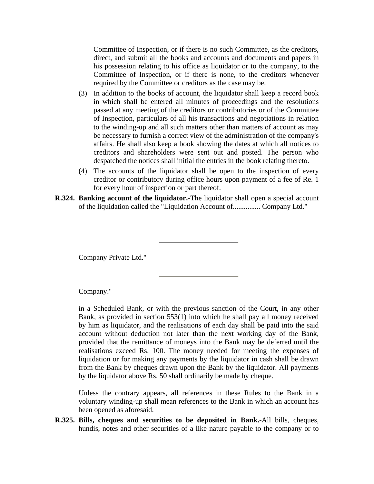Committee of Inspection, or if there is no such Committee, as the creditors, direct, and submit all the books and accounts and documents and papers in his possession relating to his office as liquidator or to the company, to the Committee of Inspection, or if there is none, to the creditors whenever required by the Committee or creditors as the case may be.

- (3) In addition to the books of account, the liquidator shall keep a record book in which shall be entered all minutes of proceedings and the resolutions passed at any meeting of the creditors or contributories or of the Committee of Inspection, particulars of all his transactions and negotiations in relation to the winding-up and all such matters other than matters of account as may be necessary to furnish a correct view of the administration of the company's affairs. He shall also keep a book showing the dates at which all notices to creditors and shareholders were sent out and posted. The person who despatched the notices shall initial the entries in the book relating thereto.
- (4) The accounts of the liquidator shall be open to the inspection of every creditor or contributory during office hours upon payment of a fee of Re. 1 for every hour of inspection or part thereof.
- **R.324. Banking account of the liquidator.-**The liquidator shall open a special account of the liquidation called the "Liquidation Account of............... Company Ltd."

Company Private Ltd."

Company."

in a Scheduled Bank, or with the previous sanction of the Court, in any other Bank, as provided in section 553(1) into which he shall pay all money received by him as liquidator, and the realisations of each day shall be paid into the said account without deduction not later than the next working day of the Bank, provided that the remittance of moneys into the Bank may be deferred until the realisations exceed Rs. 100. The money needed for meeting the expenses of liquidation or for making any payments by the liquidator in cash shall be drawn from the Bank by cheques drawn upon the Bank by the liquidator. All payments by the liquidator above Rs. 50 shall ordinarily be made by cheque.

Unless the contrary appears, all references in these Rules to the Bank in a voluntary winding-up shall mean references to the Bank in which an account has been opened as aforesaid.

**R.325. Bills, cheques and securities to be deposited in Bank.-**All bills, cheques, hundis, notes and other securities of a like nature payable to the company or to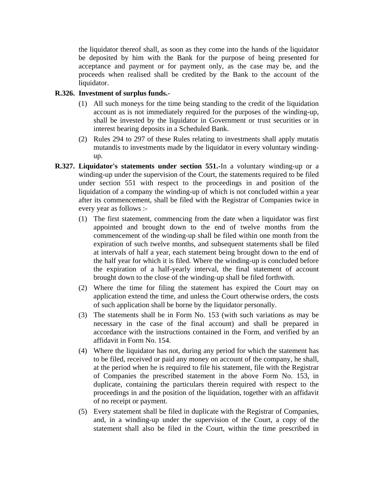the liquidator thereof shall, as soon as they come into the hands of the liquidator be deposited by him with the Bank for the purpose of being presented for acceptance and payment or for payment only, as the case may be, and the proceeds when realised shall be credited by the Bank to the account of the liquidator.

#### **R.326. Investment of surplus funds.-**

- (1) All such moneys for the time being standing to the credit of the liquidation account as is not immediately required for the purposes of the winding-up, shall be invested by the liquidator in Government or trust securities or in interest bearing deposits in a Scheduled Bank.
- (2) Rules 294 to 297 of these Rules relating to investments shall apply mutatis mutandis to investments made by the liquidator in every voluntary windingup.
- **R.327. Liquidator's statements under section 551.-**In a voluntary winding-up or a winding-up under the supervision of the Court, the statements required to be filed under section 551 with respect to the proceedings in and position of the liquidation of a company the winding-up of which is not concluded within a year after its commencement, shall be filed with the Registrar of Companies twice in every year as follows :-
	- (1) The first statement, commencing from the date when a liquidator was first appointed and brought down to the end of twelve months from the commencement of the winding-up shall be filed within one month from the expiration of such twelve months, and subsequent statements shall be filed at intervals of half a year, each statement being brought down to the end of the half year for which it is filed. Where the winding-up is concluded before the expiration of a half-yearly interval, the final statement of account brought down to the close of the winding-up shall be filed forthwith.
	- (2) Where the time for filing the statement has expired the Court may on application extend the time, and unless the Court otherwise orders, the costs of such application shall be borne by the liquidator personally.
	- (3) The statements shall be in Form No. 153 (with such variations as may be necessary in the case of the final account) and shall be prepared in accordance with the instructions contained in the Form, and verified by an affidavit in Form No. 154.
	- (4) Where the liquidator has not, during any period for which the statement has to be filed, received or paid any money on account of the company, he shall, at the period when he is required to file his statement, file with the Registrar of Companies the prescribed statement in the above Form No. 153, in duplicate, containing the particulars therein required with respect to the proceedings in and the position of the liquidation, together with an affidavit of no receipt or payment.
	- (5) Every statement shall be filed in duplicate with the Registrar of Companies, and, in a winding-up under the supervision of the Court, a copy of the statement shall also be filed in the Court, within the time prescribed in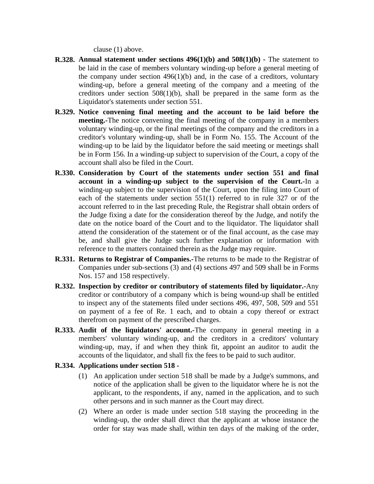clause (1) above.

- **R.328. Annual statement under sections 496(1)(b) and 508(1)(b)** The statement to be laid in the case of members voluntary winding-up before a general meeting of the company under section  $496(1)(b)$  and, in the case of a creditors, voluntary winding-up, before a general meeting of the company and a meeting of the creditors under section 508(1)(b), shall be prepared in the same form as the Liquidator's statements under section 551.
- **R.329. Notice convening final meeting and the account to be laid before the meeting.-**The notice convening the final meeting of the company in a members voluntary winding-up, or the final meetings of the company and the creditors in a creditor's voluntary winding-up, shall be in Form No. 155. The Account of the winding-up to be laid by the liquidator before the said meeting or meetings shall be in Form 156. In a winding-up subject to supervision of the Court, a copy of the account shall also be filed in the Court.
- **R.330. Consideration by Court of the statements under section 551 and final account in a winding-up subject to the supervision of the Court.-**In a winding-up subject to the supervision of the Court, upon the filing into Court of each of the statements under section 551(1) referred to in rule 327 or of the account referred to in the last preceding Rule, the Registrar shall obtain orders of the Judge fixing a date for the consideration thereof by the Judge, and notify the date on the notice board of the Court and to the liquidator. The liquidator shall attend the consideration of the statement or of the final account, as the case may be, and shall give the Judge such further explanation or information with reference to the matters contained therein as the Judge may require.
- **R.331. Returns to Registrar of Companies.-**The returns to be made to the Registrar of Companies under sub-sections (3) and (4) sections 497 and 509 shall be in Forms Nos. 157 and 158 respectively.
- **R.332. Inspection by creditor or contributory of statements filed by liquidator.-**Any creditor or contributory of a company which is being wound-up shall be entitled to inspect any of the statements filed under sections 496, 497, 508, 509 and 551 on payment of a fee of Re. 1 each, and to obtain a copy thereof or extract therefrom on payment of the prescribed charges.
- **R.333. Audit of the liquidators' account.-**The company in general meeting in a members' voluntary winding-up, and the creditors in a creditors' voluntary winding-up, may, if and when they think fit, appoint an auditor to audit the accounts of the liquidator, and shall fix the fees to be paid to such auditor.
- **R.334. Applications under section 518 -**
	- (1) An application under section 518 shall be made by a Judge's summons, and notice of the application shall be given to the liquidator where he is not the applicant, to the respondents, if any, named in the application, and to such other persons and in such manner as the Court may direct.
	- (2) Where an order is made under section 518 staying the proceeding in the winding-up, the order shall direct that the applicant at whose instance the order for stay was made shall, within ten days of the making of the order,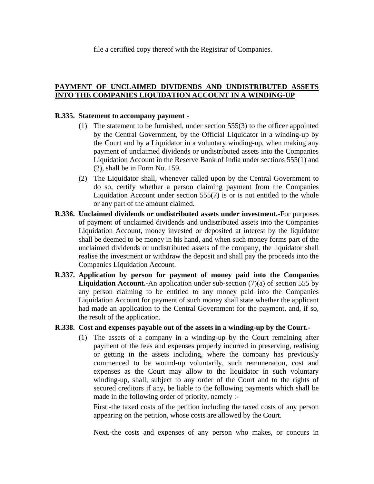file a certified copy thereof with the Registrar of Companies.

# **PAYMENT OF UNCLAIMED DIVIDENDS AND UNDISTRIBUTED ASSETS INTO THE COMPANIES LIQUIDATION ACCOUNT IN A WINDING-UP**

### **R.335. Statement to accompany payment -**

- (1) The statement to be furnished, under section 555(3) to the officer appointed by the Central Government, by the Official Liquidator in a winding-up by the Court and by a Liquidator in a voluntary winding-up, when making any payment of unclaimed dividends or undistributed assets into the Companies Liquidation Account in the Reserve Bank of India under sections 555(1) and (2), shall be in Form No. 159.
- (2) The Liquidator shall, whenever called upon by the Central Government to do so, certify whether a person claiming payment from the Companies Liquidation Account under section  $555(7)$  is or is not entitled to the whole or any part of the amount claimed.
- **R.336. Unclaimed dividends or undistributed assets under investment.-**For purposes of payment of unclaimed dividends and undistributed assets into the Companies Liquidation Account, money invested or deposited at interest by the liquidator shall be deemed to be money in his hand, and when such money forms part of the unclaimed dividends or undistributed assets of the company, the liquidator shall realise the investment or withdraw the deposit and shall pay the proceeds into the Companies Liquidation Account.
- **R.337. Application by person for payment of money paid into the Companies Liquidation Account.-**An application under sub-section (7)(a) of section 555 by any person claiming to be entitled to any money paid into the Companies Liquidation Account for payment of such money shall state whether the applicant had made an application to the Central Government for the payment, and, if so, the result of the application.

## **R.338. Cost and expenses payable out of the assets in a winding-up by the Court.-**

(1) The assets of a company in a winding-up by the Court remaining after payment of the fees and expenses properly incurred in preserving, realising or getting in the assets including, where the company has previously commenced to be wound-up voluntarily, such remuneration, cost and expenses as the Court may allow to the liquidator in such voluntary winding-up, shall, subject to any order of the Court and to the rights of secured creditors if any, be liable to the following payments which shall be made in the following order of priority, namely :-

First.-the taxed costs of the petition including the taxed costs of any person appearing on the petition, whose costs are allowed by the Court.

Next.-the costs and expenses of any person who makes, or concurs in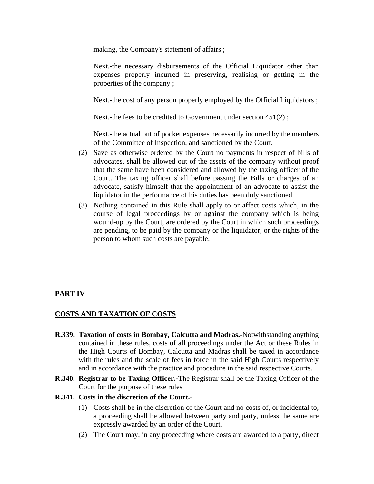making, the Company's statement of affairs ;

Next.-the necessary disbursements of the Official Liquidator other than expenses properly incurred in preserving, realising or getting in the properties of the company ;

Next.-the cost of any person properly employed by the Official Liquidators ;

Next.-the fees to be credited to Government under section 451(2) ;

Next.-the actual out of pocket expenses necessarily incurred by the members of the Committee of Inspection, and sanctioned by the Court.

- (2) Save as otherwise ordered by the Court no payments in respect of bills of advocates, shall be allowed out of the assets of the company without proof that the same have been considered and allowed by the taxing officer of the Court. The taxing officer shall before passing the Bills or charges of an advocate, satisfy himself that the appointment of an advocate to assist the liquidator in the performance of his duties has been duly sanctioned.
- (3) Nothing contained in this Rule shall apply to or affect costs which, in the course of legal proceedings by or against the company which is being wound-up by the Court, are ordered by the Court in which such proceedings are pending, to be paid by the company or the liquidator, or the rights of the person to whom such costs are payable.

# **PART IV**

## **COSTS AND TAXATION OF COSTS**

- **R.339. Taxation of costs in Bombay, Calcutta and Madras.-**Notwithstanding anything contained in these rules, costs of all proceedings under the Act or these Rules in the High Courts of Bombay, Calcutta and Madras shall be taxed in accordance with the rules and the scale of fees in force in the said High Courts respectively and in accordance with the practice and procedure in the said respective Courts.
- **R.340. Registrar to be Taxing Officer.-**The Registrar shall be the Taxing Officer of the Court for the purpose of these rules

#### **R.341. Costs in the discretion of the Court.-**

- (1) Costs shall be in the discretion of the Court and no costs of, or incidental to, a proceeding shall be allowed between party and party, unless the same are expressly awarded by an order of the Court.
- (2) The Court may, in any proceeding where costs are awarded to a party, direct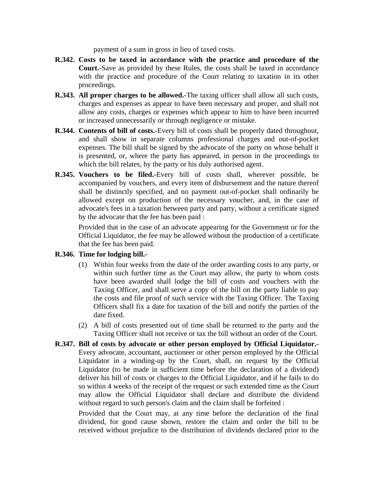payment of a sum in gross in lieu of taxed costs.

- **R.342. Costs to be taxed in accordance with the practice and procedure of the Court.-**Save as provided by these Rules, the costs shall be taxed in accordance with the practice and procedure of the Court relating to taxation in its other proceedings.
- **R.343. All proper charges to be allowed.-**The taxing officer shall allow all such costs, charges and expenses as appear to have been necessary and proper, and shall not allow any costs, charges or expenses which appear to him to have been incurred or increased unnecessarily or through negligence or mistake.
- **R.344. Contents of bill of costs.-**Every bill of costs shall be properly dated throughout, and shall show in separate columns professional charges and out-of-pocket expenses. The bill shall be signed by the advocate of the party on whose behalf it is presented, or, where the party has appeared, in person in the proceedings to which the bill relates, by the party or his duly authorised agent.
- **R.345. Vouchers to be filed.-**Every bill of costs shall, wherever possible, be accompanied by vouchers, and every item of disbursement and the nature thereof shall be distinctly specified, and no payment out-of-pocket shall ordinarily be allowed except on production of the necessary voucher, and, in the case of advocate's fees in a taxation between party and party, without a certificate signed by the advocate that the fee has been paid :

Provided that in the case of an advocate appearing for the Government or for the Official Liquidator, the fee may be allowed without the production of a certificate that the fee has been paid.

## **R.346. Time for lodging bill.-**

- (1) Within four weeks from the date of the order awarding costs to any party, or within such further time as the Court may allow, the party to whom costs have been awarded shall lodge the bill of costs and vouchers with the Taxing Officer, and shall serve a copy of the bill on the party liable to pay the costs and file proof of such service with the Taxing Officer. The Taxing Officers shall fix a date for taxation of the bill and notify the parties of the date fixed.
- (2) A bill of costs presented out of time shall be returned to the party and the Taxing Officer shall not receive or tax the bill without an order of the Court.
- **R.347. Bill of costs by advocate or other person employed by Official Liquidator.-** Every advocate, accountant, auctioneer or other person employed by the Official Liquidator in a winding-up by the Court, shall, on request by the Official Liquidator (to be made in sufficient time before the declaration of a dividend) deliver his bill of costs or charges to the Official Liquidator, and if he fails to do so within 4 weeks of the receipt of the request or such extended time as the Court may allow the Official Liquidator shall declare and distribute the dividend without regard to such person's claim and the claim shall be forfeited :

Provided that the Court may, at any time before the declaration of the final dividend, for good cause shown, restore the claim and order the bill to be received without prejudice to the distribution of dividends declared prior to the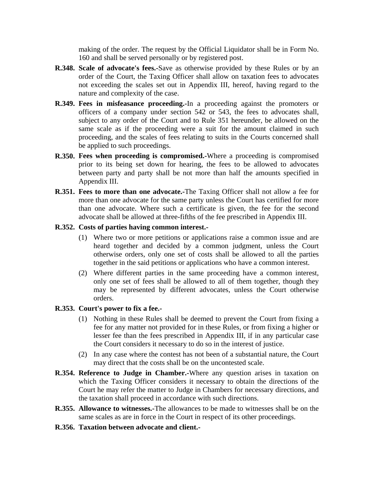making of the order. The request by the Official Liquidator shall be in Form No. 160 and shall be served personally or by registered post.

- **R.348. Scale of advocate's fees.-**Save as otherwise provided by these Rules or by an order of the Court, the Taxing Officer shall allow on taxation fees to advocates not exceeding the scales set out in Appendix III, hereof, having regard to the nature and complexity of the case.
- **R.349. Fees in misfeasance proceeding.-**In a proceeding against the promoters or officers of a company under section 542 or 543, the fees to advocates shall, subject to any order of the Court and to Rule 351 hereunder, be allowed on the same scale as if the proceeding were a suit for the amount claimed in such proceeding, and the scales of fees relating to suits in the Courts concerned shall be applied to such proceedings.
- **R.350. Fees when proceeding is compromised.-**Where a proceeding is compromised prior to its being set down for hearing, the fees to be allowed to advocates between party and party shall be not more than half the amounts specified in Appendix III.
- **R.351. Fees to more than one advocate.-**The Taxing Officer shall not allow a fee for more than one advocate for the same party unless the Court has certified for more than one advocate. Where such a certificate is given, the fee for the second advocate shall be allowed at three-fifths of the fee prescribed in Appendix III.

#### **R.352. Costs of parties having common interest.-**

- (1) Where two or more petitions or applications raise a common issue and are heard together and decided by a common judgment, unless the Court otherwise orders, only one set of costs shall be allowed to all the parties together in the said petitions or applications who have a common interest.
- (2) Where different parties in the same proceeding have a common interest, only one set of fees shall be allowed to all of them together, though they may be represented by different advocates, unless the Court otherwise orders.

## **R.353. Court's power to fix a fee.-**

- (1) Nothing in these Rules shall be deemed to prevent the Court from fixing a fee for any matter not provided for in these Rules, or from fixing a higher or lesser fee than the fees prescribed in Appendix III, if in any particular case the Court considers it necessary to do so in the interest of justice.
- (2) In any case where the contest has not been of a substantial nature, the Court may direct that the costs shall be on the uncontested scale.
- **R.354. Reference to Judge in Chamber.-**Where any question arises in taxation on which the Taxing Officer considers it necessary to obtain the directions of the Court he may refer the matter to Judge in Chambers for necessary directions, and the taxation shall proceed in accordance with such directions.
- **R.355. Allowance to witnesses.-**The allowances to be made to witnesses shall be on the same scales as are in force in the Court in respect of its other proceedings.
- **R.356. Taxation between advocate and client.-**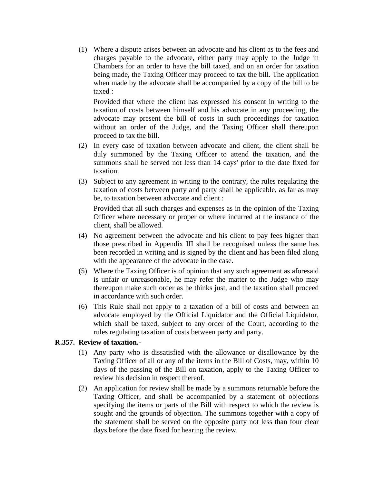(1) Where a dispute arises between an advocate and his client as to the fees and charges payable to the advocate, either party may apply to the Judge in Chambers for an order to have the bill taxed, and on an order for taxation being made, the Taxing Officer may proceed to tax the bill. The application when made by the advocate shall be accompanied by a copy of the bill to be taxed :

Provided that where the client has expressed his consent in writing to the taxation of costs between himself and his advocate in any proceeding, the advocate may present the bill of costs in such proceedings for taxation without an order of the Judge, and the Taxing Officer shall thereupon proceed to tax the bill.

- (2) In every case of taxation between advocate and client, the client shall be duly summoned by the Taxing Officer to attend the taxation, and the summons shall be served not less than 14 days' prior to the date fixed for taxation.
- (3) Subject to any agreement in writing to the contrary, the rules regulating the taxation of costs between party and party shall be applicable, as far as may be, to taxation between advocate and client :

Provided that all such charges and expenses as in the opinion of the Taxing Officer where necessary or proper or where incurred at the instance of the client, shall be allowed.

- (4) No agreement between the advocate and his client to pay fees higher than those prescribed in Appendix III shall be recognised unless the same has been recorded in writing and is signed by the client and has been filed along with the appearance of the advocate in the case.
- (5) Where the Taxing Officer is of opinion that any such agreement as aforesaid is unfair or unreasonable, he may refer the matter to the Judge who may thereupon make such order as he thinks just, and the taxation shall proceed in accordance with such order.
- (6) This Rule shall not apply to a taxation of a bill of costs and between an advocate employed by the Official Liquidator and the Official Liquidator, which shall be taxed, subject to any order of the Court, according to the rules regulating taxation of costs between party and party.

## **R.357. Review of taxation.-**

- (1) Any party who is dissatisfied with the allowance or disallowance by the Taxing Officer of all or any of the items in the Bill of Costs, may, within 10 days of the passing of the Bill on taxation, apply to the Taxing Officer to review his decision in respect thereof.
- (2) An application for review shall be made by a summons returnable before the Taxing Officer, and shall be accompanied by a statement of objections specifying the items or parts of the Bill with respect to which the review is sought and the grounds of objection. The summons together with a copy of the statement shall be served on the opposite party not less than four clear days before the date fixed for hearing the review.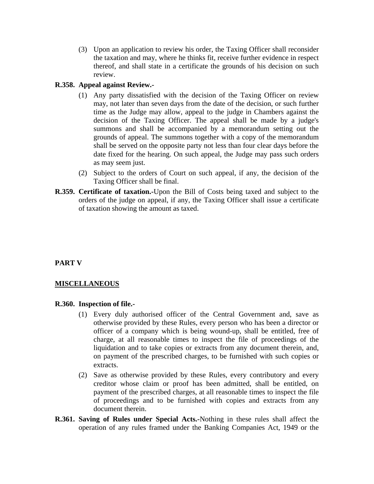(3) Upon an application to review his order, the Taxing Officer shall reconsider the taxation and may, where he thinks fit, receive further evidence in respect thereof, and shall state in a certificate the grounds of his decision on such review.

## **R.358. Appeal against Review.-**

- (1) Any party dissatisfied with the decision of the Taxing Officer on review may, not later than seven days from the date of the decision, or such further time as the Judge may allow, appeal to the judge in Chambers against the decision of the Taxing Officer. The appeal shall be made by a judge's summons and shall be accompanied by a memorandum setting out the grounds of appeal. The summons together with a copy of the memorandum shall be served on the opposite party not less than four clear days before the date fixed for the hearing. On such appeal, the Judge may pass such orders as may seem just.
- (2) Subject to the orders of Court on such appeal, if any, the decision of the Taxing Officer shall be final.
- **R.359. Certificate of taxation.-**Upon the Bill of Costs being taxed and subject to the orders of the judge on appeal, if any, the Taxing Officer shall issue a certificate of taxation showing the amount as taxed.

# **PART V**

## **MISCELLANEOUS**

## **R.360. Inspection of file.-**

- (1) Every duly authorised officer of the Central Government and, save as otherwise provided by these Rules, every person who has been a director or officer of a company which is being wound-up, shall be entitled, free of charge, at all reasonable times to inspect the file of proceedings of the liquidation and to take copies or extracts from any document therein, and, on payment of the prescribed charges, to be furnished with such copies or extracts.
- (2) Save as otherwise provided by these Rules, every contributory and every creditor whose claim or proof has been admitted, shall be entitled, on payment of the prescribed charges, at all reasonable times to inspect the file of proceedings and to be furnished with copies and extracts from any document therein.
- **R.361. Saving of Rules under Special Acts.-**Nothing in these rules shall affect the operation of any rules framed under the Banking Companies Act, 1949 or the